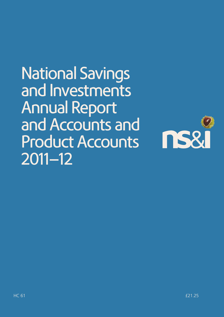National Savings and Investments Annual Report and Accounts and Product Accounts 2011–12

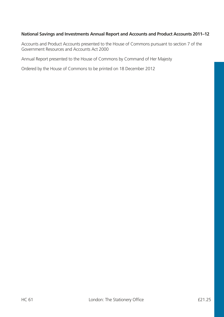#### **National Savings and Investments Annual Report and Accounts and Product Accounts 2011–12**

Accounts and Product Accounts presented to the House of Commons pursuant to section 7 of the Government Resources and Accounts Act 2000

Annual Report presented to the House of Commons by Command of Her Majesty

Ordered by the House of Commons to be printed on 18 December 2012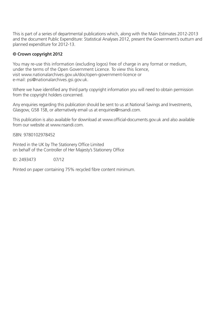This is part of a series of departmental publications which, along with the Main Estimates 2012-2013 and the document Public Expenditure: Statistical Analyses 2012, present the Government's outturn and planned expenditure for 2012-13.

#### **© Crown copyright 2012**

You may re-use this information (excluding logos) free of charge in any format or medium, under the terms of the Open Government Licence. To view this licence, visit www.nationalarchives.gov.uk/doc/open-government-licence or e-mail: psi@nationalarchives.gsi.gov.uk.

Where we have identified any third party copyright information you will need to obtain permission from the copyright holders concerned.

Any enquiries regarding this publication should be sent to us at National Savings and Investments, Glasgow, G58 1SB, or alternatively email us at enquiries@nsandi.com.

This publication is also available for download at www.official-documents.gov.uk and also available from our website at www.nsandi.com

ISBN: 9780102978452

Printed in the UK by The Stationery Office Limited on behalf of the Controller of Her Majesty's Stationery Office

ID: 2493473 07/12

Printed on paper containing 75% recycled fibre content minimum.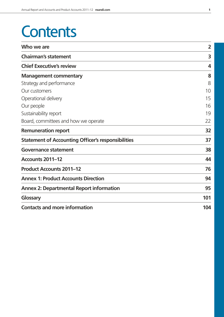## **Contents**

| Who we are                                                | $\overline{2}$   |
|-----------------------------------------------------------|------------------|
| <b>Chairman's statement</b>                               | 3                |
| <b>Chief Executive's review</b>                           | $\boldsymbol{4}$ |
| <b>Management commentary</b>                              | 8                |
| Strategy and performance                                  | 8                |
| Our customers                                             | 10               |
| Operational delivery                                      | 15               |
| Our people                                                | 16               |
| Sustainability report                                     | 19               |
| Board, committees and how we operate                      | 22               |
| <b>Remuneration report</b>                                | 32               |
| <b>Statement of Accounting Officer's responsibilities</b> | 37               |
| <b>Governance statement</b>                               | 38               |
| Accounts 2011-12                                          | 44               |
| <b>Product Accounts 2011-12</b>                           | 76               |
| <b>Annex 1: Product Accounts Direction</b>                | 94               |
| <b>Annex 2: Departmental Report information</b>           | 95               |
| Glossary                                                  | 101              |
| <b>Contacts and more information</b>                      | 104              |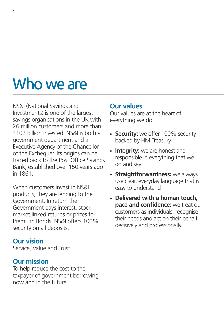# Who we are

NS&I (National Savings and Investments) is one of the largest savings organisations in the UK with 26 million customers and more than £102 billion invested. NS&I is both a government department and an Executive Agency of the Chancellor of the Exchequer. Its origins can be traced back to the Post Office Savings Bank, established over 150 years ago in 1861.

When customers invest in NS&I products, they are lending to the Government. In return the Government pays interest, stock market linked returns or prizes for Premium Bonds. NS&I offers 100% security on all deposits.

### **Our vision**

Service, Value and Trust

### **Our mission**

To help reduce the cost to the taxpayer of government borrowing now and in the future.

### **Our values**

Our values are at the heart of everything we do:

- **Security:** we offer 100% security, backed by HM Treasury
- **Integrity:** we are honest and responsible in everything that we do and say
- **Straightforwardness:** we always use clear, everyday language that is easy to understand
- **Delivered with a human touch, pace and confidence:** we treat our customers as individuals, recognise their needs and act on their behalf decisively and professionally.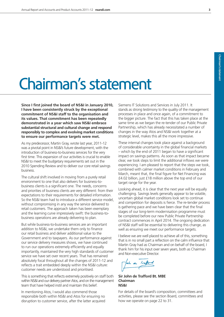# Chairman's statement

**Since I first joined the board of NS&I in January 2010, I have been consistently struck by the exceptional commitment of NS&I staff to the organisation and its values. That commitment has been repeatedly demonstrated in a year which saw NS&I embrace substantial structural and cultural change and respond responsibly to complex and evolving market conditions to ensure our performance targets were met.**

As my predecessor, Martin Gray, wrote last year, 2011-12 was a pivotal point in NS&I's future development, with the introduction of business-to-business services for the very first time. This expansion of our activities is crucial to enable NS&I to meet the budgetary requirements set out in the 2010 Spending Review and to deliver our core retail savings business.

The cultural shift involved in moving from a purely retail environment to one that also delivers for business-tobusiness clients is a significant one. The needs, concerns and priorities of business clients are very different: from their expectations to their requirements for detailed information. So the NS&I team had to introduce a different service model, without compromising in any way the service delivered to retail customers. The approach taken has been exemplary and the learning curve impressively swift: the business-tobusiness operations are already delivering to plan.

But while business-to-business services are an important addition to NS&I, we undertake them only to finance our retail business and deliver additional value to the Government and to taxpayers. As our performance against our service delivery measures shows, we have continued to run our operations extremely efficiently and equally importantly, maintained the very high standards of customer service we have set over recent years. That has remained absolutely focal throughout all the changes of 2011-12 and reflects a trait embedded deeply within the NS&I culture: customer needs are understood and prioritised.

This is something that reflects extremely positively on staff both within NS&I and our delivery partner Atos, and on the management team that have helped instil and maintain this belief.

In mentioning Atos, I would also commend those responsible both within NS&I and Atos for ensuring no disruption to customer service, after the latter acquired

Siemens IT Solutions and Services in July 2011. It stands as strong testimony to the quality of the management processes in place and once again, of a commitment to the bigger picture. The fact that this has taken place at the same time as we began the re-tender of our Public Private Partnership, which has already necessitated a number of changes in the way Atos and NS&I work together at a strategic level, makes this all the more impressive.

These internal changes took place against a background of considerable uncertainty in the global financial markets – which by the end of 2011 began to have a significant impact on savings patterns. As soon as that impact became clear, we took steps to limit the additional inflows we were experiencing. I am pleased to report that the steps we took, combined with calmer market conditions in February and March, meant that, the final figure for Net Financing was £4.02 billion, just £18 million above the top end of our target range for the year.

Looking ahead, it is clear that the next year will be equally challenging. Savings levels generally appear to be volatile, uncertain global market conditions look set to continue and competition for deposits is fierce. The re-tender process is gathering pace and we have been clear that the final stages of our long-term modernisation programme must be completed before our new Public Private Partnership contract commences in April 2014. The ongoing dedication of NS&I staff will be essential to delivering this change, as well as ensuring we meet our performance targets.

I believe we are well placed to achieve all of this, something that is in no small part a reflection on the calm influence that Martin Gray had as Chairman and on behalf of the board, I thank him for his input over seven years, both as Chairman and Non-executive Director.

John de Irafford

**Sir John de Trafford Bt. MBE Chairman NS&I**

For details of the board's composition, committees and activities, please see the section Board, committees and how we operate on page 22 to 31.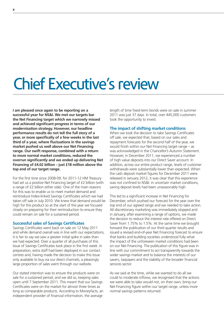## Chief Executive's review

**I am pleased once again to be reporting on a successful year for NS&I. We met our targets bar the Net Financing target which we narrowly missed and achieved significant progress in terms of our modernisation strategy. However, our headline performance results do not tell the full story of a year, or more specifically of a few weeks in the last third of a year, where fluctuations in the savings market pushed us well above our Net Financing range. Our swift response, combined with a return to more normal market conditions, reduced the overrun significantly and we ended up delivering Net Financing of £4.02 billion – just £18 million above the top end of our target range.**

For the first time since 2008-09, for 2011-12 HM Treasury had set us a positive Net Financing target of £2 billion (with a range of £2 billion either side). One of the main reasons for this was to enable us to meet market demand and reintroduce Index-linked Savings Certificates which we had taken off sale in July 2010. We knew that demand would be high for this product so at the start of the year we focused closely on preparing for their reintroduction to ensure they could remain on sale for a sustained period.

#### **Successful sales of Savings Certificates**

Savings Certificates went back on sale on 12 May 2011 and while demand overall was in line with our expectations, it is fair to say we saw a greater initial spike in sales than we had expected. Over a quarter of all purchases of this Issue of Savings Certificates took place in the first week. In preparation, extra staff had been deployed in our contact centres and, having made the decision to make this Issue only available to buy via our direct channels, a pleasingly large proportion of sales went through our website.

Our stated intention was to ensure the products were on sale for a sustained period, and we did so, keeping sales open until 7 September 2011. This meant that our Savings Certificates were on the market for almost three times as long as comparable products. According to Moneyfacts, an independent provider of financial information, the average

length of time fixed-term bonds were on sale in summer 2011 was just 37 days. In total, over 445,000 customers took the opportunity to invest.

#### **The impact of shifting market conditions**

When we took the decision to take Savings Certificates off sale, we expected that, based on our sales and repayment forecasts for the second half of the year, we would finish within our Net Financing target range – as was acknowledged in the Chancellor's Autumn Statement. However, in December 2011, we experienced a number of high value deposits into our Direct Saver account. In addition, across our entire product range, levels of customer withdrawals were substantially lower than expected. When the cash deposit market figures for December 2011 were released in January 2012, it was clear that this experience was not confined to NS&I: in uncertain market conditions, saving deposit levels had been unseasonably high.

This led to a significant increase in Net Financing for December, which pushed our forecast for the year over the top end of our agreed range and we needed to take action. All discretionary marketing was immediately stopped and in January, after examining a range of options, we made the decision to reduce the interest rate offered on Direct Saver from 1.75% to 1.5%. At the same time we brought forward the publication of our third quarter results and issued a revised end-of-year Net Financing forecast to ensure that banks and building societies understood fully what the impact of the unforeseen market conditions had been on our Net Financing. The publication of this figure was in line with our commitment to act transparently towards the wider savings market and to balance the interests of our savers, taxpayers and the stability of the broader financial services sector.

As we said at the time, while we wanted to do all we could to moderate inflows, we recognised that the actions we were able to take would not, on their own, bring our Net Financing figure within our target range, unless more normal savings patterns returned.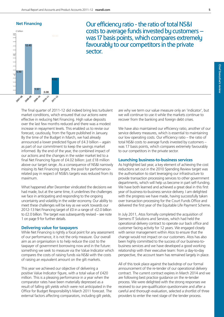



Our efficiency ratio - the ratio of total NS&I costs to average funds invested by customers – was 17 basis points, which compares extremely favourably to our competitors in the private sector.

The final quarter of 2011-12 did indeed bring less turbulent market conditions, which ensured that our actions were effective in reducing Net Financing. High value deposits over the last few months reduced and there was a modest increase in repayment levels. This enabled us to revise our forecast, cautiously, from the figure published in January. By the time of the Budget in March, we had already announced a lower predicted figure of £4.3 billion – again as part of our commitment to keep the savings market informed. By the end of the year, the combined impact of our actions and the changes in the wider market led to a final Net Financing figure of £4.02 billion: just £18 million above our target range. As a consequence of NS&I narrowly missing its Net Financing target, the pool for performancerelated pay in respect of NS&I's targets was reduced from its maximum.

What happened after December vindicated the decisions we had made, but at the same time, it underlines the challenges we face in anticipating and responding to the ongoing uncertainty and volatility in the wider economy. Our ability to meet these challenges will be key as we work towards our 2012-13 Net Financing target of £0 in a range of -£2.0 billion to £2.0 billion. The target was subsequently revised – see note 1 on page 9 for further details.

#### **Delivering value for taxpayers**

While Net Financing is rightly a focal point for any assessment of our performance, it is not the only measure. Our overall aim as an organisation is to help reduce the cost to the taxpayer of government borrowing now and in the future: something we seek to measure via the Value Indicator which compares the costs of raising funds via NS&I with the costs of raising an equivalent amount on the gilt markets.

This year we achieved our objective of delivering a positive Value Indicator figure, with a total value of £420 million. This is a pleasing performance in a year when the comparator rates have been materially depressed as a result of falling gilt yields which were not anticipated in the Office for Budget Responsibility's March 2011 forecast. The external factors affecting comparators, including gilt yields,

are why we term our value measure only an 'indicator', but we will continue to use it while the markets continue to recover from the banking and foreign debt crises.

We have also maintained our efficiency ratio, another of our service delivery measures, which is essential to maintaining our low operating costs. Our efficiency ratio – the ratio of total NS&I costs to average funds invested by customers – was 17 basis points, which compares extremely favourably to our competitors in the private sector.

#### **Launching business-to-business services**

As highlighted last year, a key element of achieving the cost reductions set out in the 2010 Spending Review target was the authorisation to start leveraging our infrastructure to provide transaction processing services to other government departments, which will help us become in part self-funding. We have both learned and achieved a great deal in this first year of business-to-business service delivery. I am delighted with the progress we have made, having successfully taken over transaction processing for the Court Funds Office and delivered the first year of the Equitable Life Payment Scheme.

In July 2011, Atos formally completed the acquisition of Siemens IT Solutions and Services, which had held the operational delivery contract to operate our back office and customer facing activity for 12 years. We engaged closely with senior management within Atos to ensure that the change would not impact on our customers. Atos has also been highly committed to the success of our business-tobusiness services and we have developed a good working relationship with their executive team: from a day-to-day perspective, the account team has remained largely in place.

All of this took place against the backdrop of our formal announcement of the re-tender of our operational delivery contract. The current contract expires in March 2014 and we are following best practice guidance on the re-tender process. We were delighted with the strong responses we received to our pre-qualification questionnaire and after a careful and thorough evaluation, selected a shortlist of three providers to enter the next stage of the tender process.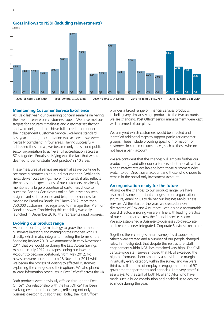**Gross inflows to NS&I (including reinvestments)**



#### **Maintaining Customer Service Excellence**

As I said last year, our overriding concern remains delivering the level of service our customers expect. We have met our targets for accuracy, timeliness and customer satisfaction and were delighted to achieve full accreditation under the independent Customer Service Excellence standard. Last year, although accreditation was achieved, we were 'partially compliant' in four areas. Having successfully addressed those areas, we became only the second public sector organisation to achieve full accreditation across all 57 categories. Equally satisfying was the fact that we are deemed to demonstrate 'best practice' in 10 areas.

These measures of service are essential as we continue to see more customers using our direct channels. While this helps deliver cost savings, more importantly it also reflects the needs and expectations of our customers. As already mentioned, a large proportion of customers chose to purchase Savings Certificates online. We have also seen a significant shift to online and telephone channels for managing Premium Bonds. By March 2012, more than 750,000 customers had registered to manage their Premium Bonds this way. Considering this capability was only launched in December 2010, this represents rapid progress.

#### **Evolving our product range**

As part of our long-term strategy to grow the number of customers investing and managing their money with us directly, which is also integral to meeting the terms of the Spending Review 2010, we announced in early November 2011 that we would be closing the Easy Access Savings Account in July 2012 and repositioning our Investment Account to become postal-only from May 2012. No new sales were accepted from 28 November 2011 while we began the process of writing to affected customers explaining the changes and their options. We also placed tailored information brochures in Post Offices® across the UK.

Both products were previously offered through the Post Office®. Our relationship with the Post Office® has been evolving over a number of years, reflecting not only our business direction but also theirs. Today, the Post Office® provides a broad range of financial services products, including very similar savings products to the two accounts we are changing. Post Office® senior management were kept well informed of our plans.

We analysed which customers would be affected and identified additional steps to support particular customer groups. These include providing specific information for customers in certain circumstances, such as those who do not have a bank account.

We are confident that the changes will simplify further our product range and offer our customers a better deal, with a higher interest rate available to both those customers who switch to our Direct Saver account and those who choose to remain in the postal-only Investment Account.

#### **An organisation ready for the future**

Alongside the changes to our product range, we have also made some important changes to our organisational structure, enabling us to deliver our business-to-business services. At the start of the year, we created a new directorate of Risk and Assurance, with a single accountable board director, ensuring we are in line with leading practice of our counterparts across the financial services sector. We also established a Business-to-business sub-directorate and created a new, integrated, Corporate Services directorate.

Together, these changes meant some jobs disappeared, others were created and a number of our people changed roles. I am delighted, that despite this restructure, staff engagement within NS&I has remained very high. The Civil Service-wide staff survey showed that NS&I exceeded the high performance benchmark by a considerable margin in virtually every category within the survey and we were third overall in terms of employee engagement out of 97 government departments and agencies. I am very grateful, as always, to the staff of both NS&I and Atos who have made such a huge contribution and enabled us to achieve so much during the year.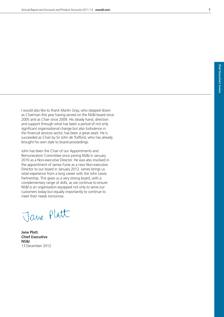I would also like to thank Martin Gray, who stepped down as Chairman this year having served on the NS&I board since 2005 and as Chair since 2009. His steady hand, direction and support through what has been a period of not only significant organisational change but also turbulence in the financial services sector, has been a great asset. He is succeeded as Chair by Sir John de Trafford, who has already brought his own style to board proceedings.

John has been the Chair of our Appointments and Remuneration Committee since joining NS&I in January 2010 as a Non-executive Director. He was also involved in the appointment of James Furse as a new Non-executive Director to our board in January 2012. James brings us retail experience from a long career with the John Lewis Partnership. This gives us a very strong board, with a complementary range of skills, as we continue to ensure NS&I is an organisation equipped not only to serve our customers today but equally importantly to continue to meet their needs tomorrow.

Jane Platt

**Jane Platt Chief Executive NS&I** 13 December 2012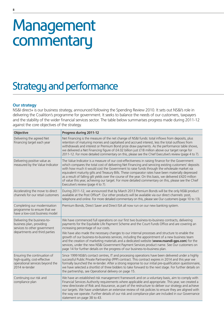## Management commentary

## Strategy and performance

#### **Our strategy**

NS&I direct+ is our business strategy, announced following the Spending Review 2010. It sets out NS&I's role in delivering the Coalition's programme for government. It seeks to balance the needs of our customers, taxpayers and the stability of the wider financial services sector. The table below summarises progress made during 2011-12 against the core objectives of the strategy.

| Objective                                                                                                                | Progress during 2011-12                                                                                                                                                                                                                                                                                                                                                                                                                                                                                                                                                                                                                                                                                                 |
|--------------------------------------------------------------------------------------------------------------------------|-------------------------------------------------------------------------------------------------------------------------------------------------------------------------------------------------------------------------------------------------------------------------------------------------------------------------------------------------------------------------------------------------------------------------------------------------------------------------------------------------------------------------------------------------------------------------------------------------------------------------------------------------------------------------------------------------------------------------|
| Delivering the agreed Net<br>Financing target each year                                                                  | Net Financing is the measure of the net change of NS&I funds: total inflows from deposits, plus<br>retention of maturing monies and capitalised and accrued interest, less the total outflows from<br>withdrawals and interest or Premium Bond prize draw payments. As the performance table shows,<br>we delivered a Net Financing figure of £4.02 billion just £18 million above our target range for<br>2011-12. For more detailed commentary on this, please see the Chief Executive's review (page 4 to 7).                                                                                                                                                                                                        |
| Delivering positive value as<br>measured by the Value Indicator                                                          | The Value Indicator is a measure of our cost-effectiveness in raising finance for the Government<br>which compares the total cost of delivering Net Financing and servicing existing customers' deposits<br>with how much it would cost the Government to raise funds through the wholesale market via<br>equivalent maturity gilts and Treasury Bills. These comparator rates have been materially depressed<br>as a result of falling gilt yields over the course of the year. On this basis, we delivered £420 million<br>of value this year, achieving our target. For more detailed commentary on this, please see the Chief<br>Executive's review (page 4 to 7).                                                  |
| Accelerating the move to direct<br>channels for our retail customers                                                     | During 2011-12, we announced that by March 2013 Premium Bonds will be the only NS&I product<br>available at the Post Office®. Our other products will be available via our direct channels: post,<br>telephone and online. For more detailed commentary on this, please see Our customers (page 10 to 13).                                                                                                                                                                                                                                                                                                                                                                                                              |
| Completing our modernisation<br>programme to ensure that we<br>have a low-cost business model                            | Premium Bonds, Direct Saver and Direct ISA all now run on our new banking system.                                                                                                                                                                                                                                                                                                                                                                                                                                                                                                                                                                                                                                       |
| Delivering the business-to-<br>business plan, providing<br>services to other government<br>departments and third parties | We have commenced full operations on our first two business-to-business contracts, delivering<br>payments for the Equitable Life Payment Scheme and the Court Funds Office and are covering an<br>increasing percentage of our costs.<br>We have also made the necessary changes to our internal processes and structure to enable the<br>growth of our business-to-business services, including the appointment of a new business team<br>and the creation of marketing materials and a dedicated website (www.nsandi-gps.com) for the<br>services, under the new NS&I Government Payment Services product name. See Our customers on<br>page 14 for further details on the progress of our business-to-business plan. |
| Ensuring the continuation of<br>high-quality, cost-effective<br>operational services beyond the<br>2014 re-tender        | Since 1999 NS&I's contact centres, IT and processing operations have been delivered under a highly<br>successful Public Private Partnership (PPP) contract. This contract expires in 2014 and this year we<br>formally launched the re-tender. After a strong response to our initial pre-qualification questionnaire,<br>we have selected a shortlist of three bidders to take forward to the next stage. For further details on<br>the partnership, see Operational delivery on page 15.                                                                                                                                                                                                                              |
| Continuing our risk and<br>compliance plan                                                                               | We have an established risk management framework and on a voluntary basis, aim to comply with<br>Financial Services Authority requirements where applicable and appropriate. This year, we created a<br>new directorate of Risk and Assurance, as part of the restructure to deliver our strategy and achieve<br>our targets. We have undertaken an extensive review of risk policies to ensure they are aligned with<br>the way we operate. Further details of our risk and compliance plan are included in our Governance<br>statement on page 38 to 43.                                                                                                                                                              |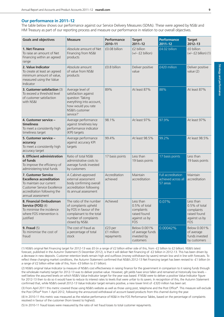#### **Our performance in 2011–12**

The table below shows our performance against our Service Delivery Measures (SDMs). These were agreed by NS&I and HM Treasury as part of our reporting process and measure our performance in relation to our overall objectives.

| <b>Goals and objectives</b>                                                                                                                                                        | <b>Measure</b>                                                                                                                                    | Performance<br>2010-11              | <b>Target</b><br>$2011 - 12$                                                            | <b>Performance</b><br>$2011 - 12$                     | <b>Target</b><br>$2012 - 13$                                                               |
|------------------------------------------------------------------------------------------------------------------------------------------------------------------------------------|---------------------------------------------------------------------------------------------------------------------------------------------------|-------------------------------------|-----------------------------------------------------------------------------------------|-------------------------------------------------------|--------------------------------------------------------------------------------------------|
| 1. Net Finance<br>To raise an amount of Net<br>Financing within an agreed<br>range                                                                                                 | Absolute amount of Net<br>Financing from NS&I<br>products                                                                                         | £0.08 billion                       | £2 billion<br>$(+/- f2 billion)$                                                        | £4.02 billion                                         | £0 billion<br>$(+/- f2 billion)$ (1)                                                       |
| 2. Value Indicator<br>To create at least an agreed<br>minimum amount of value,<br>measured using the Value<br>Indicator                                                            | Absolute amount<br>of value from NS&I<br>products                                                                                                 | £0.8 billion                        | Deliver positive<br>value                                                               | £420 million                                          | Deliver positive<br>value $(2)$                                                            |
| 3. Customer satisfaction (3)<br>To exceed a threshold level<br>of customer satisfaction<br>with NS&I                                                                               | Average level of<br>satisfaction against<br>question 'Taking<br>everything into account,<br>how would you rate<br>NS&l's customer<br>service?'    | 89%                                 | At least 87%                                                                            | 88%                                                   | At least 87%                                                                               |
| 4. Customer service -<br>timeliness<br>To meet a consistently high<br>timeliness target                                                                                            | Average performance<br>against timeliness key<br>performance indicator<br>(KPI) targets                                                           | 98.1%                               | At least 97%                                                                            | 97.9%                                                 | At least 97%                                                                               |
| 5. Customer service -<br>accuracy<br>To meet a consistently high<br>accuracy target                                                                                                | Average performance<br>against accuracy KPI<br>targets                                                                                            | 99.4%                               | At least 98.5%                                                                          | 99.2%                                                 | At least 98.5%                                                                             |
| <b>6. Efficient administration</b><br>of funds<br>To improve the efficiency of<br>administering total funds                                                                        | Ratio of total NS&I<br>administrative costs to<br>average funds invested<br>by customers                                                          | 17 basis points                     | Less than<br>19 basis points                                                            | 17 basis points                                       | Less than<br>19 basis points                                                               |
| <b>7. Customer Service</b><br><b>Excellence accreditation</b><br>To maintain our current<br><b>Customer Service Excellence</b><br>accreditation following the<br>annual assessment | A Cabinet-approved<br>external assessment<br>body confirming overall<br>accreditation following<br>its annual assessment                          | Accreditation<br>achieved           | Maintain<br>accreditation                                                               | Full accreditation<br>achieved across all<br>57 areas | Maintain<br>accreditation                                                                  |
| 8. Financial Ombudsman<br><b>Service (FOS)</b> (4)<br>To minimise the incidence<br>where FOS intervention is<br>justified                                                          | The ratio of the number<br>of complaints upheld<br>by FOS in favour of the<br>complainant to the total<br>number of complaints<br>closed by NS&I. | Achieved                            | Less than<br>0.5% of total<br>complaints<br>raised found<br>against us by<br><b>FOS</b> | 0.07%                                                 | Less than<br>$0.5\%$ of total<br>complaints<br>raised found<br>against us by<br><b>FOS</b> |
| 9. Fraud $(5)$<br>To mimimise the cost of<br>fraud                                                                                                                                 | The cost of fraud as<br>a percentage of total<br>stock                                                                                            | £23 per<br>£1 million<br>repayments | Below 0.001%<br>of average funds<br>invested by<br>customers                            | $0.00042\%$                                           | Below 0.001%<br>of average<br>funds invested<br>by customers                               |

(1) NS&I's original Net Financing target for 2012-13 was £0 (in a range of £2 billion either side of this, from -£2 billion to £2 billion). NS&I's latest forecast, published in the Autumn Statement (5 December 2012), is that it will deliver Net Financing of -£2 billion in 2012-13. This has been driven by a decrease in new deposits. Customer retention levels remain high and outflows (money withdrawn by savers) remain low and in line with forecasts. To reflect these changing market conditions, the Autumn Statement confirmed that NS&I's 2012-13 Net Financing target has been revised to -£1 billion (in a range of £2 billion either side of this, from -£3 billion to £1 billion).

(2) NS&I's original Value Indicator (a measure of NS&I's cost effectiveness in raising finance for the government in comparison to it raising funds through the wholesale markets) target for 2012-13 was to deliver positive value. However, gilt yields have since fallen and remained at historically low levels – well below the assumed levels on which NS&I's Value Indicator target for the year was based. If NS&I were to deliver a positive Value Indicator figure for 2012-13 then to do so it would have to reduce its interest rates to levels that were unfair to its savers. In recognition of this, the Autumn Statement confirmed that, while NS&I's overall 2012-13 Value Indicator target remains positive, a new lower limit of -£320 million has been set.

(3) From April 2011 this metric covered those using NS&I's website as well as those using post, telephone and the Post Office®. This measure will exclude the Post Office® from 1 April 2012, following the announced withdrawal of account based products from this channel during the year.

(4) In 2010-11 this metric was measured as the relative performance of NS&I in the FOS Performance Tables, based on the percentage of complaints resolved in favour of the customer (from lowest to highest).

(5) In 2010-11 fraud losses were measured by the ratio of net fraud losses to total customer repayments.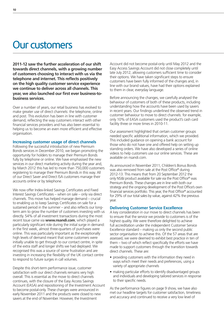### Our customers

**2011-12 saw the further acceleration of our shift towards direct channels, with a growing number of customers choosing to interact with us via the telephone and internet. This reflects positively on the high quality customer service experience we continue to deliver across all channels. This year, we also launched our first ever business-tobusiness services.**

Over a number of years, our retail business has evolved to make greater use of direct channels: the telephone, online and post. This evolution has been in line with customer demand, reflecting the way customers interact with other financial services providers and has also been essential to helping us to become an even more efficient and effective organisation.

#### **Increasing customer usage of direct channels**

Following the successful introduction of new Premium Bonds services in December 2010, we began promoting the opportunity for holders to manage their Premium Bonds fully by telephone or online. We have emphasised the new services in our direct marketing activity during the year and, by March 2012 this has led to more than 750,000 customers registering to manage their Premium Bonds in this way. All of our Direct Saver and Direct ISA customers manage their accounts online or by telephone.

We now offer Index-linked Savings Certificates and Fixed Interest Savings Certificates – when on sale – only via direct channels. This move has helped manage demand – crucial to enabling us to keep Savings Certificates on sale for a sustained period in the summer – and also reflects our longterm aim to grow the number of customers investing with us directly. 54% of all investment transactions during the most recent Issue came via **www.nsandi.com**, which played a particularly significant role during the initial surge in demand: in the first week, almost three-quarters of purchases were online. This was particularly important as the exceptionally high levels of demand meant that some customers were initially unable to get through to our contact centre, in spite of the extra staff and longer shifts we had deployed. We recognised this was a source of some frustration and are investing in increasing the flexibility of the UK contact centre to respond to future surges in call volumes.

Despite this short-term performance issue, customer satisfaction with our direct channels remains very high overall. This is essential as the move to direct channels continues, with the closure of the Easy Access Savings Account (EASA) and repositioning of the Investment Account to become postal-only. These changes were announced in early November 2011 and the products were closed to new savers at the end of November. However, the Investment

Account did not become postal-only until May 2012 and the Easy Access Savings Account did not close completely until late July 2012, allowing customers sufficient time to consider their options. We have taken significant steps to ensure customers have been fully informed of the changes and, in line with our brand values, have had their options explained to them in clear, everyday language.

Before announcing the changes, we carefully analysed the behaviour of customers of both of these products, including understanding how the accounts have been used by savers in recent years. Our findings underlined the observed trend in customer behaviour to move to direct channels: for example, only 10% of EASA customers used the product's cash card facility three or more times in 2010-11.

Our assessment highlighted that certain customer groups needed specific additional information, which we provided. This included guidance on opening a bank account for those who do not have one and offered help on setting up standing orders. We have also developed a series of online videos to help customers use our online services. These are available on nsandi.com.

As announced in November 2011, Children's Bonus Bonds was also removed from sale at the Post Office® during 2012-13. This means that from 20 September 2012 the only NS&I product available for sale via the Post Office® was Premium Bonds. These changes are in line with both our strategy and the ongoing development of the Post Office's own financial services portfolio. This year, the Post Office® accounted for 29% of our total sales by value, against 42% the previous year.

#### **Delivering Customer Service Excellence**

A key consideration in our move to direct channels has been to ensure that the service we provide to customers is of the highest quality. We were therefore delighted to achieve full accreditation under the independent Customer Service Excellence standard – making us only the second public sector organisation to achieve this. Of the 57 areas that are assessed, we were deemed to exhibit best practice in ten of them – two of which reflect specifically the efforts we have made to support customers through the transition towards direct channels. These are:

- providing customers with the information they need in ways which meet their needs and preferences, using a variety of appropriate channels
- making particular efforts to identify disadvantaged groups and individuals and developing tailored services in response to their specific needs.

As the performance figures on page 9 show, we have also met our headline targets for customer satisfaction, timeliness and accuracy and continued to receive a very low level of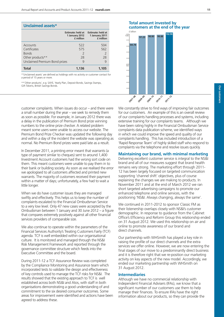|                               | <b>Estimate: held at</b><br>1 January 2012<br>£ million | <b>Estimate: held at</b><br>1 January 2011<br>£ million |
|-------------------------------|---------------------------------------------------------|---------------------------------------------------------|
| Accounts                      | 522                                                     | 504                                                     |
| Certificates                  | 575                                                     | 562                                                     |
| <b>Bonds</b>                  | $\mathcal{P}$                                           | $\overline{\phantom{0}}$                                |
| Other products**              | 28                                                      | 28                                                      |
| Unclaimed Premium Bond prizes | q                                                       | 9                                                       |
| Total                         | 1,136                                                   | 1,105                                                   |

\*'Unclaimed assets' are defined as holdings with no activity or customer contact for a period of 15 years or more.

\*\*'Other products', e.g. SAYE, Yearly Plan, Deposit Bonds, Savings Stamps, Gift Tokens, British Savings Bonds.

customer complaints. When issues do occur – and there were a small number during the year – we seek to remedy them as soon as possible. For example, in January 2012 there was a delay in the publication of Premium Bond prize winning numbers to the online prize checker. A related problem meant some users were unable to access our website. The Premium Bond Prize Checker was updated the following day and within a day of the incident the website was operating as normal. No Premium Bond prizes were paid late as a result.

In December 2011, a printing error meant that warrants (a type of payment similar to cheques) sent to around 1,400 Investment Account customers had the wrong sort code on them. This meant customers were unable to pay them in to their bank or building society. As soon as we realised the error we apologised to all customers affected and printed new warrants. The majority of customers received their payment within a matter of days; unfortunately, a few had to wait a little longer.

When we do have customer issues they are managed swiftly and effectively. This helps us to keep the number of complaints escalated to the Financial Ombudsman Service to a very low level. Only 47 new cases were accepted by the Ombudsman between 1 January and 30 June 2012 – a figure that compares extremely positively against all other financial services providers of comparable size.

We also continue to operate within the parameters of the Financial Services Authority's Treating Customers Fairly (TCF) agenda. TCF is well embedded within our organisational culture. It is monitored and managed through the NS&I Risk Management Framework and reported through the governance committee structure which feeds into the Executive Committee and the board.

During 2011-12 a TCF Assurance Review was completed by the Compliance Monitoring and Assurance team which incorporated tests to validate the design and effectiveness of key controls used to manage the TCF risks for NS&I. The results showed that the existing approach to TCF is well established across both NS&I and Atos, with staff in both organisations demonstrating a good understanding of and commitment to the six desired consumer outcomes. Some areas for improvement were identified and actions have been agreed to address these.

We constantly strive to find ways of improving fair outcomes for our customers. An example of this is an overall review of our complaints handling processes and systems, including extensive training for our complaints teams. Although we have been rating highly in the Financial Ombudsman Service complaints data publication scheme, we identified ways in which we could improve the speed and quality of our complaints handling. This has included introduction of a 'Rapid Response Team' of highly skilled staff who respond to complaints via the telephone and resolve issues quickly.

#### **Maintaining our brand, with minimal marketing**

Delivering excellent customer service is integral to the NS&I brand and all of our measures suggest that brand health remains very strong. The marketing effort through 2011- 12 has been largely focused on targeted communication supporting 'channel shift' objectives, plus of course explaining the changes we are making to products. In November 2011 and at the end of March 2012 we ran short targeted advertising campaigns to promote our enhanced telephone and online services, with the positioning 'NS&I. Always changing, always the same'.

We continued in 2011-2012 to sponsor Classic FM as their listenership overlaps closely with NS&I's customer demographic. In response to guidance from the Cabinet Office's Efficiency and Reform Group this relationship ended on 31 August 2012. We used this relationship on air and online to promote awareness of our brand and direct channels.

Our partnership with WHSmith has played a key role in raising the profile of our direct channels and the extra services we offer online. However, we are now entering the final stages of our move to a predominantly direct business and it is therefore right that we re-position our marketing activity on key aspects of the new model. Accordingly, we ended our marketing partnership with WHSmith on 31 August 2012.

#### **Intermediaries**

Although we have no commercial relationship with Independent Financial Advisers (IFAs), we know that a significant number of our customers use them to help manage their finances. To ensure IFAs have the right information about our products, so they can provide the

### **Total amount invested by Unclaimed assets\* customers at the end of the year**

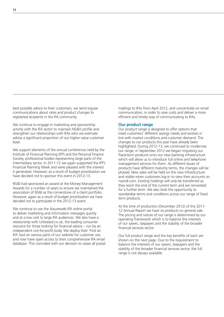best possible advice to their customers, we send regular communications about rates and product changes to registered recipients in the IFA community.

We continue to engage in marketing and sponsorship activity with the IFA sector to maintain NS&I's profile and strengthen our relationships with IFAs who we estimate advise a significant proportion of our higher value customer base.

We support elements of the annual conferences held by the Institute of Financial Planning (IFP) and the Personal Finance Society, professional bodies representing large parts of the intermediary sector. In 2011-12 we again supported the IFP's Financial Planning Week and were pleased with the interest it generated. However, as a result of budget prioritisation we have decided not to sponsor this event in 2012-13.

NS&I had sponsored an award at the Money Management Awards for a number of years to ensure we maintained the association of NS&I as the cornerstone of a client portfolio. However, again as a result of budget prioritisation we have decided not to participate in the 2012-13 event.

We continue to use the Assureweb IFA online portal to deliver marketing and information messages quickly and at a low cost to large IFA audiences. We also have a relationship with Unbiased.co.uk, the leading consumer resource for those looking for financial advice – run by an independent not-for-profit body. We deploy their 'Find an IFA' tool on various parts of our website for customer use, and now have open access to their comprehensive IFA email database. This coincided with our decision to cease all postal mailings to IFAs from April 2012, and concentrate on email communication, in order to save costs and deliver a more efficient and timely way of communicating to IFAs.

#### **Our product range**

Our product range is designed to offer options that meet customers' different savings needs and evolves in line with market conditions and customer demand. The changes to our products this year have already been highlighted. During 2012-13, we continued to modernise our range; in September 2012 we began migrating our fixed-term products onto our new banking infrastructure which will allow us to introduce full online and telephone management services for them. As different Issues of products have different maturity terms, the changes will be phased. New sales will be held on the new infrastructure and visible when customers log-in to view their accounts on nsandi.com. Existing holdings will only be transferred as they reach the end of the current term and are reinvested for a further term. We also took the opportunity to standardise terms and conditions across our range of fixed term products.

At the time of production (December 2012) of the 2011- 12 Annual Report we have six products on general sale. The pricing and nature of our range is determined by our operating framework which is to balance the interests of our savers, taxpayers and the stability of the broader financial services sector.

Our full product range and the key benefits of each are shown on the next page. Due to the requirement to balance the interests of our savers, taxpayers and the stability of the broader financial services sector, the full range is not always available.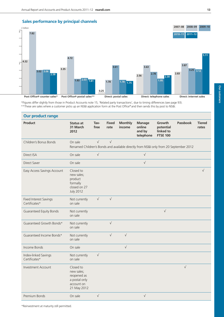**Our** 

**customers**





\*Figures differ slightly from those in Product Accounts note 15, 'Related party transactions', due to timing differences (see page 93).

\*\*These are sales where a customer picks up an NS&I application form at the Post Office® and then sends this by post to NS&I.

| <b>Our product range</b>                       |                                                                                                  |              |                      |                          |                                                |                                                     |                 |                        |
|------------------------------------------------|--------------------------------------------------------------------------------------------------|--------------|----------------------|--------------------------|------------------------------------------------|-----------------------------------------------------|-----------------|------------------------|
| <b>Product</b>                                 | <b>Status at</b><br>31 March<br>2012                                                             | Tax-<br>free | <b>Fixed</b><br>rate | <b>Monthly</b><br>income | <b>Manage</b><br>online<br>and by<br>telephone | Growth<br>potential<br>linked to<br><b>FTSE 100</b> | <b>Passbook</b> | <b>Tiered</b><br>rates |
| Children's Bonus Bonds                         | On sale<br>Renamed Children's Bonds and available directly from NS&I only from 20 September 2012 | $\sqrt{}$    | $\sqrt{ }$           |                          |                                                |                                                     |                 |                        |
| Direct ISA                                     | On sale                                                                                          | $\sqrt{}$    |                      |                          | $\sqrt{}$                                      |                                                     |                 |                        |
| Direct Saver                                   | On sale                                                                                          |              |                      |                          | $\sqrt{}$                                      |                                                     |                 |                        |
| Easy Access Savings Account                    | Closed to<br>new sales;<br>product<br>formally<br>closed on 27<br><b>July 2012</b>               |              |                      |                          |                                                |                                                     |                 | $\sqrt{ }$             |
| <b>Fixed Interest Savings</b><br>Certificates* | Not currently<br>on sale                                                                         | $\sqrt{}$    | $\sqrt{}$            |                          |                                                |                                                     |                 |                        |
| <b>Guaranteed Equity Bonds</b>                 | Not currently<br>on sale                                                                         |              |                      |                          |                                                | $\sqrt{}$                                           |                 |                        |
| Guaranteed Growth Bonds*                       | Not currently<br>on sale                                                                         |              | $\sqrt{}$            |                          |                                                |                                                     |                 |                        |
| Guaranteed Income Bonds*                       | Not currently<br>on sale                                                                         |              | $\sqrt{}$            | $\sqrt{}$                |                                                |                                                     |                 |                        |
| Income Bonds                                   | On sale                                                                                          |              |                      | $\sqrt{}$                |                                                |                                                     |                 |                        |
| Index-linked Savings<br>Certificates*          | Not currently<br>on sale                                                                         | $\sqrt{}$    |                      |                          |                                                |                                                     |                 |                        |
| <b>Investment Account</b>                      | Closed to<br>new sales;<br>reopened as<br>a postal only<br>account on<br>21 May 2012             |              |                      |                          |                                                |                                                     | $\sqrt{ }$      |                        |
| Premium Bonds                                  | On sale                                                                                          | $\sqrt{}$    |                      |                          | $\sqrt{}$                                      |                                                     |                 |                        |

\*Reinvestment at maturity still permitted.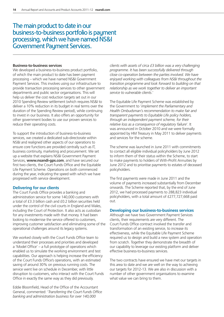### The main product to date in our business-to-business portfolio is payment processing, which we have named NS&I Government Payment Services.

#### **Business-to-business services**

We developed a business-to-business product portfolio, of which the main product to date has been payment processing – which we have named NS&I Government Payment Services. This involves using our infrastructure to provide transaction processing services to other government departments and public sector organisations. This will help us deliver the cost reduction targets set out in our 2010 Spending Review settlement (which requires NS&I to deliver a 10% reduction in its budget in real terms over the duration of the Spending Review period), while continuing to invest in our business. It also offers an opportunity for other government bodies to use our proven services to reduce their operating costs.

To support the introduction of business-to-business services, we created a dedicated sub-directorate within NS&I and realigned other aspects of our operations to ensure core functions are provided centrally such as IT, business continuity, marketing and procurement. We set up a website that explains NS&I Government Payment Services, **www.nsandi-gps.com**, and have secured our first two clients, the Court Funds Office and the Equitable Life Payment Scheme. Operations on both commenced during the year, indicating the speed with which we have progressed with service development.

#### **Delivering for our clients**

The Court Funds Office provides a banking and administration service for some 140,000 customers with a total of £3.3 billion cash and £0.2 billion securities held under the control of the civil courts in England and Wales, including the Court of Protection. It also acts as custodian for any investments made with that money. It had been looking to modernise the service offered to customers, improving customer satisfaction and eliminating some of the operational challenges around its legacy systems.

We worked closely with the Court Funds Office team to understand their processes and priorities and developed a 'Model Office' – a full prototype of operations which enabled us to simulate the working environment and test capabilities. Our approach is helping increase the efficiency of the Court Funds Office's operations, with an estimated saving of around 30% on previous running costs. The service went live on schedule in December, with little disruption to customers, who interact with the Court Funds Office in exactly the same way as they did previously.

Eddie Bloomfield, Head of the Office of the Accountant General, commented: '*Transferring the Court Funds Office banking and administration business for over 140,000*

*clients with assets of circa £3 billion was a very challenging programme. It has been successfully delivered through close co-operation between the parties involved. We have enjoyed working with colleagues from NS&I throughout the transition programme and look forward to building on that relationship as we work together to deliver an important service to vulnerable clients*.'

The Equitable Life Payment Scheme was established by the Government to '*implement the Parliamentary and Health Ombudsman's recommendation to make fair and transparent payments to Equitable Life policy holders, through an independent payment scheme, for their relative loss as a consequence of regulatory failure*'. It was announced in October 2010 and we were formally appointed by HM Treasury in May 2011 to deliver payments and services for the scheme.

The scheme was launched in June 2011 with commitments to contact all eligible individual policyholders by June 2012 to inform them of their status within the Scheme, to start to make payments to holders of With-Profit Annuities by June 2012 and to prioritise payments to estates of deceased policyholders.

The first payments were made in June 2011 and the volume of payments increased substantially from December onwards. The Scheme reported that, by the end of June 2012, we had processed payments to 288,823 individual policyholders, with a total amount of £277,727,668 paid out.

#### **Developing our business-to-business services**

Although we have two Government Payment Services clients, their requirements are very different. The Court Funds Office contract involved the transfer and transformation of an existing service, to increase its effectiveness, while the Equitable Life Payment Scheme required us to design and build a new system and operation from scratch. Together they demonstrate the breadth of our capability to leverage our existing platform and deliver effective business-to-business services.

The two contracts have ensured we have met our targets in this area to date and we are well on the way to achieving our targets for 2012-13. We are also in discussion with a number of other government organisations to examine what value we can bring to them.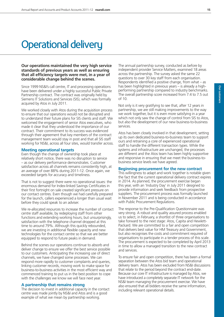## Operational delivery

#### **Our operations maintained the very high service standards of previous years as well as ensuring that all efficiency targets were met, in a year of considerable change behind the scenes.**

Since 1999 NS&I's call centre, IT and processing operations have been delivered under a highly successful Public Private Partnership contract. The contract was originally held by Siemens IT Solutions and Services (SIS), which was formally acquired by Atos in July 2011.

We worked closely with Atos during the acquisition process to ensure that our operations would not be disrupted and to understand their future plans for SIS clients and staff. We welcomed the engagement of senior Atos executives, who made it clear that they understood the importance of our contract. Their commitment to its success was evidenced through their agreement that key members of the contract management team would stay in post and that all SIS staff working for NS&I, across all four sites, would transfer across.

#### **Meeting operational targets**

Even though the change of ownership took place at relatively short notice, there was no disruption to service – as our delivery performance demonstrates. Customer satisfaction across all channels remains consistently high, at an average of over 88% during 2011-12. Once again, we exceeded targets for accuracy and timeliness.

That is not to suggest there were no operational issues: the enormous demand for Index-linked Savings Certificates in their first fortnight on sale created significant pressure on our contact centres. Even though we had carefully prepared for the launch, callers experienced a longer than usual wait before they could speak to an adviser.

We re-allocated resources to increase the number of contact centre staff available, by redeploying staff from other functions and extending working hours, but unsurprisingly, satisfaction with the telephone channel dropped at this time to around 79%. Although this quickly rebounded, we are investing in additional flexible capacity and new technologies for the contact centre so that we are better equipped to respond to future peaks in demand.

Behind the scenes our operations continue to absorb and deliver change to ensure we offer the best service possible to our customers. Anticipating the increasing use of direct channels, we have changed some processes. We can respond more rapidly to customer complaints and queries, linking customer records, moving work to make space for business-to-business activities in the most efficient way and commenced training to put us in the best position to cope with the challenges we know we will face next year.

#### **A partnership that remains strong**

The decision to invest in additional capacity in the contact centre was made jointly by NS&I and Atos and is a good example of what we mean by partnership working.

The annual partnership survey, conducted as before by independent provider Service Matters, examined 18 areas across the partnership. The survey asked the same 22 questions to over 30 key staff from each organisation. Respondents identified a positive change, from what – as has been highlighted in previous years – is already a highperforming partnership compared to industry benchmarks. The overall partnership score increased from 7.4 to 7.5 out of 10.

Not only is it very gratifying to see that, after 12 years in partnership, we are still making improvements to the way we work together, but it is even more satisfying in a year which not only saw the change of control from SIS to Atos, but also the development of our new business-to-business services.

Atos has been closely involved in that development, setting up its own dedicated business-to-business team to support ours and retraining a core of experienced operational staff to handle the different transaction types. While the systems and infrastructure are unchanged, the processes are different and the Atos team has been highly supportive and responsive in ensuring that we meet the business-tobusiness service levels we have agreed.

#### **Beginning procurement for the new contract**

This willingness to adapt and work together is notable given the fact that the current operational delivery contract expires in 2014. As planned, the procurement exercise began this year, with an 'Industry Day' in July 2011 designed to provide information and seek feedback from prospective suppliers. The procurement process was formally launched in November 2011 and is being conducted in accordance with Public Procurement Regulations.

The response to the Pre-Qualification Questionnaire was very strong. A robust and quality assured process enabled us to select, in February, a shortlist of three organisations to take forward to the next stage: Atos, Capita and Hewlett-Packard. We are committed to a fair and open competition that delivers best value for HM Treasury and Government, but also recognises the costs and commitment required of organisations to participate in a tender process of this scale. The procurement is expected to be completed by April 2013 in time to allow a managed transition to the new contract and services.

To ensure fair and open competition, there has been a formal separation between the Atos bid team and operational delivery team. Atos has been excluded from NS&I discussions that relate to the period beyond the contract end-date. Because our core IT infrastructure is managed by Atos, we have introduced a completely separate IT network for the NS&I team managing the procurement exercise. We have also ensured that all bidders receive the same information, including relevant operational details.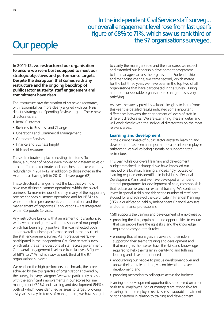In the independent Civil Service staff survey... our overall engagement level rose from last year's figure of 68% to 71%, which saw us rank third of the 97 organisations surveyed.

## Our people

**In 2011-12, we restructured our organisation to ensure we were best equipped to meet our strategic objectives and performance targets. Despite the disruption that comes with any restructure and the ongoing backdrop of public sector austerity, staff engagement and commitment have risen.**

The restructure saw the creation of six new directorates, with responsibilities more clearly aligned with our NS&I direct+ strategy and Spending Review targets. These new directorates are:

- Retail Customer
- Business-to-Business and Change
- Operations and Commercial Management
- Corporate Services
- Finance and Business Insight
- Risk and Assurance.

These directorates replaced existing structures. To staff them, a number of people were moved to different roles or into a different directorate and one chose to take voluntary redundancy in 2011–12, in addition to those noted in the Accounts as having left in 2010–11 (see page 62).

These structural changes reflect the fact that we now have two distinct customer operations within the overall business. To maximise our efficiency, many of the supporting services for both customer operations and for NS&I as a whole – such as procurement, communications and the management of corporate IT applications – are integrated within Corporate Services.

Any restructure brings with it an element of disruption, so we have been delighted with the response of our people, which has been highly positive. This was reflected both in our overall business performance and in the results of the staff engagement survey. As in previous years, we participated in the independent Civil Service staff survey which asks the same questions of staff across government. Our overall engagement level rose from last year's figure of 68% to 71%, which saw us rank third of the 97 organisations surveyed.

We reached the high performers benchmark, the score achieved by the top quartile of organisations covered by the survey, in every category. We were particularly pleased with the significant improvements in our scores for line management (74%) and learning and development (54%), both of which were identified as areas to target following last year's survey. In terms of management, we have sought to clarify the manager's role and the standards we expect and extended our leadership development programme to line managers across the organisation. For leadership and managing change, we came second, which means for the last three years we have been in the top two of all organisations that have participated in the survey. During a time of considerable organisational change, this is very satisfying.

As ever, the survey provides valuable insights to learn from: this year the detailed results indicated some important differences between the engagement of levels of staff in different directorates. We are examining these in detail and will work closely with the individual directorates on the most relevant areas.

#### **Learning and development**

In the current climate of public sector austerity, learning and development has been an important focal point for employee satisfaction, as well as being essential to supporting the restructure.

This year, while our overall learning and development budget remained unchanged, we have improved our method of allocation. Training is increasingly focused on learning requirements identified in individuals' 'Personal Development Plans' and we have developed a number of internal programmes for development of core, common skills that reduce our reliance on external training. We continue to invest in specialist skills and this year a number of staff have studied for and achieved the Certificate in Financial Planning (CF2), a qualification held by Independent Financial Advisers and other finance professionals.

NS&I supports the training and development of employees by:

- providing the time, equipment and opportunities to ensure that our people have the right skills and the knowledge required to carry out their roles
- ensuring that all managers are aware of their role in supporting their team's training and development and that managers themselves have the skills and knowledge required to help their team in identifying and fulfilling learning and development needs
- encouraging our people to pursue development over and above their job role and to give consideration to career development, and
- providing mentoring to colleagues across the business.

Learning and development opportunities are offered on a fair basis to all employees. Senior managers are responsible for ensuring that no employee receives less favourable treatment or consideration in relation to training and development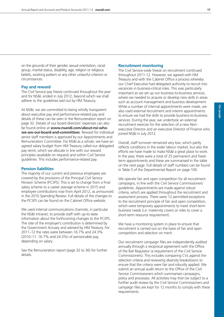on the grounds of their gender, sexual orientation, racial group, marital status, disability, age, religion or religious beliefs, working pattern or any other unlawful criterion or circumstances.

#### **Pay and reward**

The Civil Service pay freeze continued throughout the year and for NS&I, ended in July 2012, beyond which we shall adhere to the guidelines laid out by HM Treasury.

At NS&I, we are committed to being wholly transparent about executive pay and performance-related pay and details of these can be seen in the Remuneration report on page 32. Details of our board directors' expenses can also be found online at **www.nsandi.com/about-nsi-whowe-are-our-board-and-committees**. Reward for individual senior staff members is approved by our Appointments and Remuneration Committee. For NS&I as a whole, we have an agreed salary budget from HM Treasury called our delegated pay remit, which we allocate in line with our reward principles (available on request) and within Civil Service guidelines. This includes performance-related pay.

#### **Pension liabilities**

The majority of our current and previous employees are covered by the provisions of the Principal Civil Service Pension Scheme (PCSPS). This is set to change from a final salary scheme to a career average scheme in 2015 and employee contributions rose from April 2012, as announced in the 2010 Spending Review. Full details of the changes to the PCSPS can be found on the Cabinet Office website.

We used internal communications channels, in particular the NS&I intranet, to provide staff with up-to-date information about the forthcoming changes to the PCSPS. The rate of the employer's contribution is determined by the Government Actuary and advised by HM Treasury. For 2011–12 the rates were between 16.7% and 24.3% (2010–11: 16.7% and 24.3%) of pensionable pay, depending on salary.

See the Remuneration report (page 32 to 36) for further details.

#### **Recruitment monitoring**

The Civil Service-wide freeze on recruitment continued throughout 2011-12. However, we agreed with HM Treasury and with the Cabinet Office a process whereby our Chief Executive had delegated authority to recruit into vacancies in business-critical roles. This was particularly important as we set up our business-to-business services, where we needed to acquire or develop new skills in areas such as account management and business development. While a number of internal appointments were made, we also used external recruitment and interim appointments to ensure we had the skills to provide business-to-business services. During the year, we undertook an external recruitment exercise for the selection of a new Nonexecutive Director and an executive Director of Finance who joined NS&I in July 2012.

Overall, staff turnover remained very low, which partly reflects conditions in the wider labour market, but also the efforts we have made to make NS&I a great place to work. In the year, there were a total of 25 permanent and fixedterm appointments and these are summarised in the table on the next page. Full details of staff numbers can be found in Table 5 of the Departmental Report on page 100.

We operate fair and open competition for all recruitment campaigns, in line with the Civil Service Commissioners' guidelines. Appointments are made against robust criteria, which are applied throughout the recruitment and assessment process. There were 12 permitted exceptions to the recruitment principle of fair and open competition, which were temporary appointments to meet short-term business needs (i.e. maternity covers or roles to cover a short-term resource requirement).

We have a monitoring system in place to ensure that recruitment is carried out on the basis of fair and open competition and selection on merit.

Our recruitment campaign files are independently audited annually through a reciprocal agreement with the Office of the Rail Regulator (a requirement of the Civil Service Commissioners). This includes comparing CVs against the selection criteria and reviewing diversity breakdowns to ensure that the criteria were fair and robustly applied. We submit an annual audit return to the Office of the Civil Service Commissioners which summarises campaigns, policy and processes. All activities may then be subject to a further audit review by the Civil Service Commissioners and campaign files are kept for 12 months to comply with these requirements.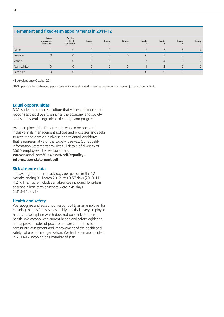#### **Permanent and fixed-term appointments in 2011–12**

|           | Non-<br>executive<br><b>Directors</b> | Senior<br>Civil<br>Servants* | Grade | Grade            | Grade | Grade<br>4    | Grade | Grade | Grade          |
|-----------|---------------------------------------|------------------------------|-------|------------------|-------|---------------|-------|-------|----------------|
| Male      |                                       |                              |       |                  |       |               |       |       | $\overline{4}$ |
| Female    |                                       |                              |       | $\left( \right)$ |       | $\mathfrak b$ |       |       |                |
| White     |                                       |                              |       |                  |       |               |       |       |                |
| Non-white |                                       |                              |       |                  |       |               |       |       |                |
| Disabled  |                                       |                              |       |                  |       |               |       |       |                |

\* Equivalent since October 2011

NS&I operate a broad-banded pay system, with roles allocated to ranges dependent on agreed job evaluation criteria.

#### **Equal opportunities**

NS&I seeks to promote a culture that values difference and recognises that diversity enriches the economy and society and is an essential ingredient of change and progress.

As an employer, the Department seeks to be open and inclusive in its management policies and processes and seeks to recruit and develop a diverse and talented workforce that is representative of the society it serves. Our Equality Information Statement provides full details of diversity of NS&I's employees, it is available here:

**www.nsandi.com/files/asset/pdf/equalityinformation-statement.pdf**

#### **Sick absence data**

The average number of sick days per person in the 12 months ending 31 March 2012 was 3.57 days (2010–11: 4.24). This figure includes all absences including long-term absence. Short-term absences were 2.45 days (2010–11: 2.71).

#### **Health and safety**

We recognise and accept our responsibility as an employer for ensuring that, as far as is reasonably practical, every employee has a safe workplace which does not pose risks to their health. We comply with current health and safety legislation and approved codes of practice and are committed to continuous assessment and improvement of the health and safety culture of the organisation. We had one major incident in 2011-12 involving one member of staff.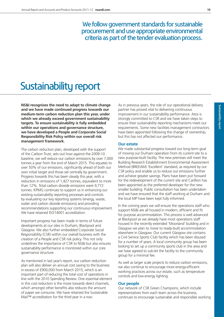We follow government standards for sustainable procurement and use appropriate environmental criteria as part of the tender evaluation process.

## Sustainability report

**NS&I recognises the need to adapt to climate change and we have made continued progress towards our medium-term carbon reduction plan this year, under which we already exceed government sustainability targets. To ensure sustainability is fully embedded within our operations and governance structure, we have developed a People and Corporate Social Responsibility Risk Policy within our overall risk management framework.**

The carbon reduction plan, developed with the support of the Carbon Trust, sets out how against the 2009-10 baseline, we will reduce our carbon emissions by over 7,000 tonnes a year from the end of March 2015. This equates to over 50% of our emissions, significantly ahead of both our own initial target and those set centrally by government. Progress towards this has been steady this year, with a reduction in emissions of 1,427 tonnes, equivalent to more than 12%. Total carbon dioxide emissions were 9,772 tonnes. KPMG continues to support us in enhancing our existing sustainability reporting processes and controls by evaluating our key reporting systems (energy, waste, water and carbon dioxide emissions) and providing recommendations supporting our continuous improvement. We have retained ISO14001 accreditation.

Important progress has been made in terms of future developments at our sites in Durham, Blackpool and Glasgow. We also further embedded Corporate Social Responsibility (CSR) within our overall business with the creation of a People and CSR risk policy. This not only underlines the importance of CSR to NS&I but also ensures sustainability performance is monitored within our core governance structure.

As mentioned in last year's report, our carbon reduction plan will also deliver an annual cost saving to the business in excess of £900,000 from March 2015, which is an important part of reducing the total cost of operations in line with the 2010 Spending Review. One essential element in this cost reduction is the move towards direct channels, which amongst other benefits also reduces the amount of paper we consume. We have retained the Sustainable Mail™ accreditation for the third year in a row.

As in previous years, the role of our operational delivery partner has proved vital to delivering continuous improvement in our sustainability performance. Atos is strongly committed to CSR and we have taken steps to ensure their sustainability reporting mechanisms meet our requirements. Some new facilities management contractors have been appointed following the change of ownership, but this has not affected our performance.

#### **Our estate**

We made substantial progress toward our long-term goal of moving our Durham operation from its current site to a new purpose-built facility. The new premises will meet the Building Research Establishment Environmental Assessment Method (BREEAM) 'Excellent' standard, as required by our CSR policy and enable us to reduce our emissions further and achieve greater savings. Plans have been put forward for the redevelopment of the current site and Carillion has been appointed as the preferred developer for the new smaller building. Public consultation has been undertaken and we have ensured that the staff working at Durham and the local MP have been kept fully informed.

In the coming years we will ensure the operations staff who support NS&I are all housed in modern, efficient and fit for purpose accommodation. This process is well advanced at Blackpool as we already have most operations staff housed in the recently extended 'Moorland' building and in Glasgow we plan to move to ready-built accommodation elsewhere in Glasgow. Our current Glasgow site contains a Civil Service Sports Club facility which has been disused for a number of years. A local community group has been looking to set up a community sports club in the area and we have agreed to sub-let the facility to the community group for a minimal fee.

As well as larger scale projects to reduce carbon emissions, we also continue to encourage more energy-efficient working practices across our estate, such as temperature controls and low-energy lighting.

#### **Our people**

Our network of CSR Green Champions, which include representatives from each team across the business, continues to encourage sustainable and responsible working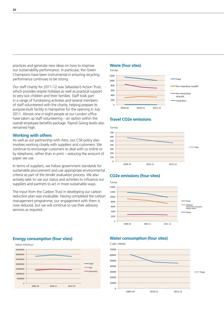practices and generate new ideas on how to improve our sustainability performance. In particular, the Green Champions have been instrumental in ensuring recycling performance continues to be strong.

Our staff charity for 2011-12 was Sebastian's Action Trust, which provides respite holidays as well as practical support to very sick children and their families. Staff took part in a range of fundraising activities and several members of staff volunteered with the charity, helping prepare its purpose-built facility in Hampshire for the opening in July 2011. Almost one in eight people at our London office have taken up staff volunteering – an option within the overall employee benefits package. Payroll Giving levels also remained high.

#### **Working with others**

As well as our partnership with Atos, our CSR policy also involves working closely with suppliers and customers. We continue to encourage customers to deal with us online or by telephone, rather than in print – reducing the amount of paper we use.

In terms of suppliers, we follow government standards for sustainable procurement and use appropriate environmental criteria as part of the tender evaluation process. We also actively seek to use our status and activities to influence our suppliers and partners to act in more sustainable ways.

The input from the Carbon Trust in developing our carbon reduction plan was invaluable. Having completed the carbon management programme, our engagement with them is now reduced, but we will continue to use their advisory services as required.

#### **Waste (four sites)**



#### **Travel CO2e emissions**



#### **CO2e emissions (four sites)**



#### **Energy consumption (four sites)**



#### **Water consumption (four sites)**

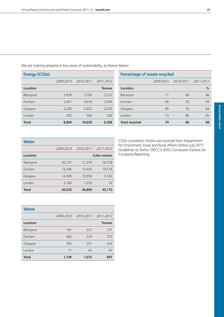We are making progress in key areas of sustainability, as shown below:

| <b>Energy (CO2e)</b> |           |           |               | Percentage of waste recycled |           |           |           |
|----------------------|-----------|-----------|---------------|------------------------------|-----------|-----------|-----------|
|                      | 2009-2010 | 2010-2011 | 2011-2012     |                              | 2009-2010 | 2010-2011 | 2011-2012 |
| Location             |           |           | <b>Tonnes</b> | Location                     |           |           | $\%$      |
| Blackpool            | 2,839     | 3,796     | 3,232         | Blackpool                    | 71        | 48        | 46        |
| Durham               | 3,451     | 3,616     | 3,300         | Durham                       | 66        | 70        | 59        |
| Glasgow              | 2,249     | 2,852     | 2,476         | Glasgow                      | 85        | 79        | 84        |
| London               | 355       | 366       | 300           | London                       | 73        | 86        | 85        |
| <b>Total</b>         | 8,894     | 10,630    | 9,308         | <b>Total recycled</b>        | 74        | 68        | 68        |

| <b>Water</b> |           |                     |           |  |  |  |  |
|--------------|-----------|---------------------|-----------|--|--|--|--|
|              | 2009-2010 | 2010-2011           | 2011-2012 |  |  |  |  |
| Location     |           | <b>Cubic metres</b> |           |  |  |  |  |
| Blackpool    | 30,197    | 21,376              | 16,318    |  |  |  |  |
| Durham       | 12,346    | 13,459              | 19,576    |  |  |  |  |
| Glasgow      | 14,308    | 10,958              | 9,162     |  |  |  |  |
| London       | 3,784     | 1,076               | 59        |  |  |  |  |
| <b>Total</b> | 60,635    | 46,869              | 45,115    |  |  |  |  |

CO2e conversion factors are sourced from Department for Enviroment, Food and Rural Affairs (Defra) July 2011 Guidelines to Defra / DECC's GHG Conversion Factors for Company Reporting.

| <b>Waste</b> |           |           |               |
|--------------|-----------|-----------|---------------|
|              | 2009-2010 | 2010-2011 | 2011-2012     |
| Location     |           |           | <b>Tonnes</b> |
| Blackpool    | 191       | 227       | 157           |
| Durham       | 482       | 529       | 379           |
| Glasgow      | 395       | 251       | 416           |
| London       | 71        | 65        | 45            |
| <b>Total</b> | 1,139     | 1,072     | 997           |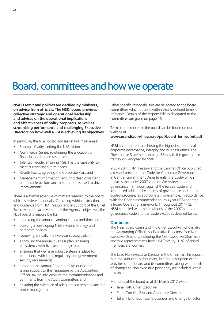## Board, committees and how we operate

**NS&I's remit and policies are decided by ministers, on advice from officials. The NS&I board provides collective strategic and operational leadership and advises on the operational implications and effectiveness of policy proposals, as well as scrutinising performance and challenging Executive Directors on how well NS&I is achieving its objectives.**

In particular, the NS&I board advises on five main areas:

- Strategic Clarity: setting the NS&I vision
- Commercial Sense: scrutinising the allocation of financial and human resources
- Talented People: ensuring NS&I has the capability to meet current and future needs
- Results Focus: agreeing the Corporate Plan; and
- Management Information: ensuring clear, consistent, comparable performance information is used to drive improvements.

There is a formal schedule of matters reserved to the board which is reviewed annually. Operating within instructions and guidance from HM Treasury and in support of the Chief Executive in the achievement of the Agency's objectives, the NS&I board is responsible for:

- approving the annual planning criteria and timetable
- assisting in developing NS&I's vision, strategy and corporate policies
- reviewing annually the five-year strategic plan
- approving the annual business plan, ensuring consistency with five-year strategic plan
- ensuring that we have robust systems in place for compliance with legal, regulatory and government security requirements
- adopting the Annual Report and Accounts and giving support to their signature by the Accounting Officer, taking into account the recommendations and comments from the Audit Committee, and
- ensuring the existence of adequate succession plans for senior management.

Other specific responsibilities are delegated to the board committees which operate within clearly defined terms of reference. Details of the responsibilities delegated to the committees are given on page 26.

Terms of reference for the board can be found on our website at

#### **www.nsandi.com/files/asset/pdf/board\_termsofref.pdf**

NS&I is committed to achieving the highest standards of corporate governance, integrity and business ethics. The Governance Statement on page 38 details the governance framework adopted by NS&I.

In July 2011, HM Treasury and the Cabinet Office published a revised version of the Code for Corporate Governance in Central Government Departments (the Code) which replaces the earlier 2007 version. We reviewed our governance framework against the revised Code and introduced additional elements of governance and internal control processes as appropriate. For example, in accordance with the Code's recommendation, this year NS&I adopted a Board Operating Framework. Throughout 2011-12, NS&I complied with the provisions of the 2007 corporate governance code and the Code except as detailed below.

#### **Our board**

The NS&I board consists of the Chief Executive (who is also the Accounting Officer); six Executive Directors; four Nonexecutive Directors, including the Non-executive Chairman; and two representatives from HM Treasury. 31% of board members are women.

The Lead Non-executive Director is the Chairman; his report is at the start of this document, but the description of the activities of the board and its committees, along with details of changes to Non-executive personnel, are included within this section.

Members of the board as at 31 March 2012 were:

- Jane Platt, Chief Executive
- Peter Cornish, Risk and Assurance Director
- Julian Hynd, Business-to-Business and Change Director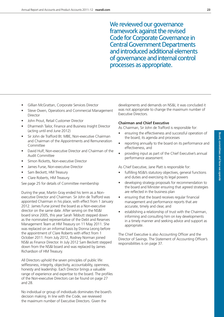We reviewed our governance framework against the revised Code for Corporate Governance in Central Government Departments and introduced additional elements of governance and internal control processes as appropriate.

- Gillian McGrattan, Corporate Services Director
- Steve Owen, Operations and Commercial Management **Director**
- John Prout, Retail Customer Director
- Dharmesh Tailor, Finance and Business Insight Director (acting until end June 2012)
- Sir John de Trafford Bt. MBE, Non-executive Chairman and Chairman of the Appointments and Remuneration Committee
- David Hulf, Non-executive Director and Chairman of the Audit Committee
- Simon Ricketts, Non-executive Director
- James Furse, Non-executive Director
- Sam Beckett, HM Treasury
- Clare Roberts, HM Treasury.

See page 25 for details of Committee membership

During the year, Martin Gray ended his term as a Nonexecutive Director and Chairman. Sir John de Trafford was appointed Chairman in his place, with effect from 1 January 2012. James Furse joined the board as a Non-executive director on the same date. After serving on the NS&I board since 2005, this year Sarah Tebbutt stepped down as the nominated representative of the Debt and Reserves Management Team at HM Treasury on 11 May 2011. She was replaced on an informal basis by Donna Leong before the appointment of Clare Roberts with effect from 1 October 2011. From July 2012, Rodney Norman joined NS&I as Finance Director. In July 2012 Sam Beckett stepped down from the NS&I board and was replaced by James Richardson of HM Treasury.

All Directors uphold the seven principles of public life: selflessness, integrity, objectivity, accountability, openness, honesty and leadership. Each Director brings a valuable range of experience and expertise to the board. The profiles of the Non-executive Directors can be found on page 27 and 28.

No individual or group of individuals dominates the board's decision making. In line with the Code, we reviewed the maximum number of Executive Directors. Given the

developments and demands on NS&I, it was concluded it was not appropriate to change the maximum number of Executive Directors.

#### **Chairman and Chief Executive**

As Chairman, Sir John de Trafford is responsible for:

- ensuring the effectiveness and successful operation of the board, its agenda and processes
- reporting annually to the board on its performance and effectiveness, and
- providing input as part of the Chief Executive's annual performance assessment.

As Chief Executive, Jane Platt is responsible for:

- fulfilling NS&I's statutory objectives, general functions and duties and exercising its legal powers
- developing strategy proposals for recommendation to the board and Minister ensuring that agreed strategies are reflected in the business plan
- ensuring that the board receives regular financial management and performance reports that are accurate, timely and clear, and
- establishing a relationship of trust with the Chairman, informing and consulting him on key developments in a timely manner and seeking advice and support as appropriate.

The Chief Executive is also Accounting Officer and the Director of Savings. The Statement of Accounting Officer's responsibilities is on page 37.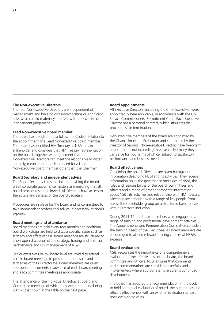#### **The Non-executive Directors**

The four Non-executive Directors are independent of management and have no cross-directorships or significant links which could materially interfere with the exercise of independent judgement.

#### **Lead Non-executive board member**

The board has decided not to follow the Code in relation to the appointment of a Lead Non-executive board member. The board has identified HM Treasury as NS&I's main stakeholder and considers that HM Treasury representation on the board, together with agreement that the Non-executive Directors can meet the responsible Minister annually, means that there is no need for a Lead Non-executive board member other than the Chairman.

#### **Board Secretary and independent advice**

The Board Secretary is responsible for advising the board on all corporate governance matters and ensuring that all board procedures are followed. All Directors have access to the advice and services of the Board Secretary.

Procedures are in place for the board and its committees to take independent professional advice, if necessary, at NS&I's expense.

#### **Board meetings and attendance**

Board meetings are held every two months and additional board workshops are held to discuss specific issues such as strategy and effectiveness. Board meetings are structured to allow open discussion of the strategy, trading and financial performance and risk management of NS&I.

Senior executives below board level are invited to attend certain board meetings to present on the results and strategies of their Directorate. Board members are given appropriate documents in advance of each board meeting and each committee meeting as appropriate.

The attendance of the individual Directors at board and Committee meetings of which they were members during 2011-12 is shown in the table on the next page.

#### **Board appointments**

All Executive Directors, including the Chief Executive, were appointed, where applicable, in accordance with the Civil Service Commissioners' Recruitment Code. Each Executive Director has a personal contract, which stipulates the procedures for termination.

Non-executive members of the board are appointed by the Chancellor of the Exchequer and contracted by the Director of Savings. Non-executive Directors have fixed-term appointments not exceeding three years. Normally they can serve for two terms of office, subject to satisfactory performance and business need.

#### **Board effectiveness**

On joining the board, Directors are given background information describing NS&I and its activities. They receive information on all the governance processes of NS&I, the roles and responsibilities of the board, committees and officers and a range of other appropriate information about NS&I, its activities and relationship with HM Treasury. Meetings are arranged with a range of key people from across the stakeholder group on a structured basis to assist with a Director's induction.

During 2011-12, the board members were engaged in a range of training and professional development activities. The Appointments and Remuneration Committee considers the training needs of the Executives. All board members are encouraged to attend relevant training courses at NS&I's expense.

#### **Board evaluation**

NS&I recognises the importance of a comprehensive evaluation of the effectiveness of the board, the board committee and officers. NS&I ensures that comments and recommendations are considered carefully and implemented, where appropriate, to ensure its continued development.

The board has adopted the recommendation in the Code to hold an annual evaluation of board, the committees and officers effectiveness with an external evaluation at least once every three years.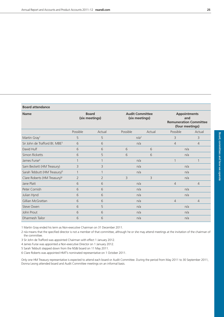| <b>Board attendance</b>                   |                                |                |                  |                                          |                                                                                |                |  |
|-------------------------------------------|--------------------------------|----------------|------------------|------------------------------------------|--------------------------------------------------------------------------------|----------------|--|
| <b>Name</b>                               | <b>Board</b><br>(six meetings) |                |                  | <b>Audit Committee</b><br>(six meetings) | <b>Appointments</b><br>and<br><b>Remuneration Committee</b><br>(four meetings) |                |  |
|                                           | Possible                       | Actual         | Possible         | Actual                                   | Possible                                                                       | Actual         |  |
| Martin Gray <sup>1</sup>                  | 5                              | 5              | n/a <sup>2</sup> |                                          | 3                                                                              | 3              |  |
| Sir John de Trafford Bt. MBE <sup>3</sup> | 6                              | 6              | n/a              |                                          | $\overline{4}$                                                                 | $\overline{4}$ |  |
| David Hulf                                | 6                              | 6              | 6                | 6<br>n/a                                 |                                                                                |                |  |
| Simon Ricketts                            | 6                              | 5              | 6<br>6           |                                          | n/a                                                                            |                |  |
| James Furse <sup>4</sup>                  |                                |                | n/a              |                                          | $\mathbf{1}$                                                                   |                |  |
| Sam Beckett (HM Treasury)                 | 3                              | 3              | n/a              |                                          | n/a                                                                            |                |  |
| Sarah Tebbutt (HM Treasury) <sup>5</sup>  | 1                              |                | n/a              |                                          | n/a                                                                            |                |  |
| Clare Roberts (HM Treasury) <sup>6</sup>  | $\overline{2}$                 | $\overline{2}$ | 3                | 3<br>n/a                                 |                                                                                |                |  |
| Jane Platt                                | 6                              | 6              | n/a              |                                          | $\overline{4}$                                                                 | $\overline{4}$ |  |
| Peter Cornish                             | 6                              | 6              | n/a              |                                          | n/a                                                                            |                |  |
| Julian Hynd                               | 6                              | 6              | n/a              |                                          | n/a                                                                            |                |  |
| Gillian McGrattan                         | 6                              | 6              | n/a              |                                          | $\overline{4}$                                                                 | $\overline{4}$ |  |
| Steve Owen                                | 6                              | 5              | n/a              |                                          | n/a                                                                            |                |  |
| John Prout                                | 6                              | 6              | n/a              |                                          | n/a                                                                            |                |  |
| Dharmesh Tailor                           | 6                              | 6              | n/a              |                                          | n/a                                                                            |                |  |

1 Martin Gray ended his term as Non-executive Chairman on 31 December 2011.

2 n/a means that the specified director is not a member of that committee, although he or she may attend meetings at the invitation of the chairman of the committee.

3 Sir John de Trafford was appointed Chairman with effect 1 January 2012.

4 James Furse was appointed a Non-executive Director on 1 January 2012.

5 Sarah Tebbutt stepped down from the NS&I board on 11 May 2011.

6 Clare Roberts was appointed HMT's nominated representative on 1 October 2011.

Only one HM Treasury representative is expected to attend each board or Audit Committee. During the period from May 2011 to 30 September 2011, Donna Leong attended board and Audit Committee meetings on an informal basis.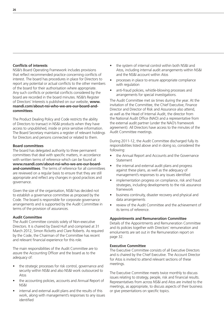#### **Conflicts of interests**

NS&I's Board Operating Framework includes provisions that reflect recommended practice concerning conflicts of interest. The board has procedures in place for Directors to report any potential or actual conflicts to the other members of the board for their authorisation where appropriate. Any such conflicts or potential conflicts considered by the board are recorded in the board minutes. NS&I's Register of Directors' Interests is published on our website, **www. nsandi.com/about-nsi-who-we-are-our-board-andcommittees**.

The Product Dealing Policy and Code restricts the ability of Directors to transact in NS&I products when they have access to unpublished, inside or price sensitive information. The Board Secretary maintains a register of relevant holdings for Directors and persons connected or related to them.

#### **Board committees**

The board has delegated authority to three permanent committees that deal with specific matters, in accordance with written terms of reference which can be found at **www.nsandi.com/about-nsi-who-we-are-our-boardand-committees**. The terms of reference for all committees are reviewed on a regular basis to ensure that they are still appropriate and reflect any changes in good practices and governance.

Given the size of the organisation, NS&I has decided not to establish a governance committee as proposed by the Code. The board is responsible for corporate governance arrangements and is supported by the Audit Committee in terms of the provision of assurances.

#### **Audit Committee**

The Audit Committee consists solely of Non-executive Directors. It is chaired by David Hulf and comprised at 31 March 2012, Simon Ricketts and Clare Roberts. As required by the Code, the Chairman of the Committee has recent and relevant financial experience for this role.

The main responsibilities of the Audit Committee are to assure the Accounting Officer and the board as to the adequacy of:

- the strategic processes for risk control, governance and security within NS&I and also NS&I work outsourced to Atos
- the accounting policies, accounts and Annual Report of NS&I
- internal and external audit plans and the results of this work, along with management's responses to any issues identified
- the system of internal control within both NS&I and Atos, including internal audit arrangements within NS&I and the NS&I account within Atos
- processes in place to ensure appropriate compliance with regulation
- anti-fraud policies, whistle-blowing processes and arrangements for special investigations.

The Audit Committee met six times during the year. At the invitation of the Committee, the Chief Executive, Finance Director and Director of Risk and Assurance also attend, as well as the Head of Internal Audit, the director from the National Audit Office (NAO) and a representative from the external audit partner (under the NAO's framework agreement). All Directors have access to the minutes of the Audit Committee meetings.

During 2011-12, the Audit Committee discharged fully its responsibilities listed above and in doing so, considered the following:

- the Annual Report and Accounts and the Governance **Statement**
- the internal and external audit plans and progress against these plans, as well as the adequacy of management's responses to any issues identified
- implementation progress on compliance, risk and fraud strategies, including developments to the risk assurance framework
- business continuity, disaster recovery and physical and data arrangements
- review of the Audit Committee and the achievement of its terms of reference.

#### **Appointments and Remuneration Committee**

Details of the Appointments and Remuneration Committee and its policies together with Directors' remuneration and emoluments are set out in the Remuneration report on page 32.

#### **Executive Committee**

The Executive Committee consists of all Executive Directors and is chaired by the Chief Executive. The Account Director for Atos is invited to attend relevant sections of these meetings.

The Executive Committee meets twice monthly to discuss issues relating to strategy, people, risk and financial results. Representatives from across NS&I and Atos are invited to the meetings, as appropriate, to discuss aspects of their business or give presentations on specific topics.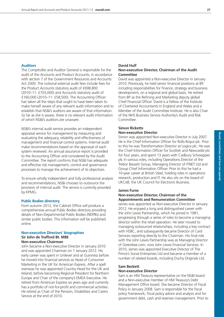#### **Auditors**

The Comptroller and Auditor General is responsible for the audit of the Accounts and Product Accounts, in accordance with section 7 of the Government Resources and Accounts Act 2000. The notional external audit fees include fees for the Product Accounts statutory audit of £698,800 (2010–11: £703,000) and Accounts statutory audit of £160,000 (2010–11: £58,500). The Accounting Officer has taken all the steps that ought to have been taken to make herself aware of any relevant audit information and to establish that NS&I's auditors are aware of that information. So far as she is aware, there is no relevant audit information of which NS&I's auditors are unaware.

NS&I's internal audit service provides an independent appraisal service for management by measuring and evaluating the adequacy, reliability and effectiveness of management and financial control systems. Internal audit make recommendations based on the appraisal of each system reviewed. An annual assurance report is provided to the Accounting Officer and considered by the Audit Committee. The report confirms that NS&I has adequate and effective risk management, control and governance processes to manage the achievement of its objectives.

To ensure wholly independent and fully professional analysis and recommendations, NS&I chooses to outsource the provision of internal audit. The service is currently provided by KPMG.

#### **Public Bodies directory**

From autumn 2012, the Cabinet Office will produce a comprehensive annual Public Bodies directory providing details of Non-Departmental Public Bodies (NDPBs) and similar public bodies. This information will be published online.

#### **Non-executive Directors' biographies Sir John de Trafford Bt. MBE Non-executive Chairman**

John became a Non-executive Director in January 2010 and was appointed Chairman on 1 January 2012. His early career was spent in Unilever and at Guinness before he moved into financial services as Head of Consumer Marketing in the UK for American Express. After a spell overseas he was appointed Country Head for the UK and Ireland, before becoming Regional President for Northern Europe and Chair of the company's EMEA Executive. He retired from American Express six years ago and currently has a portfolio of not-for-profit and commercial activities. He retired as Chair of the Pension, Disabilities and Carers Service at the end of 2010.

#### **David Hulf Non-executive Director, Chairman of the Audit Committee**

David was appointed a Non-executive Director in January 2010. Previously, he held senior financial positions at BP, including responsibilities for finance, strategy and business development, on a regional and global basis. He retired from BP as the Refining and Marketing deputy global Chief Financial Officer. David is a Fellow of the Institute of Chartered Accountants in England and Wales and a Member of the Audit Committee Institute. He is also Chair of the NHS Business Service Authority's Audit and Risk Committee.

#### **Simon Ricketts Non-executive Director**

Simon was appointed Non-executive Director in July 2007. He is the Chief Information Officer for Rolls-Royce plc. Prior to this he was Transformation Director at Logica plc. He was the Chief Information Officer for Scottish and Newcastle plc for four years, and spent 13 years with Cadbury Schweppes plc in various roles, including Operations Director of the Trebor Bassett Group, Managing Director of ITNET Ltd and Group Chief Information Officer. Prior to this he had a 10-year career at British Steel, holding roles in operations research, production and IT. He also sits on the board of UKCeB, the UK Council for Electronic Business.

#### **James Furse Non-executive Director, Chairman of the Appointments and Remuneration Committee**

James was appointed as Non-executive Director in January 2012. He enjoyed a long and distinguished career with the John Lewis Partnership, which he joined in 1981, progressing through a series of roles to become a managing director within the retail operation. He later moved to managing outsourced relationships, including a key contract with HSBC, and subsequently became Director of Card Services reporting directly to the Chairman. His final role with the John Lewis Partnership was as Managing Director of Greenbee.com, now John Lewis Financial Services. In 2010, James was appointed Executive Director of The Prince's Social Enterprises Ltd and became a member of a number of related boards, including Duchy Originals Ltd.

#### **Sam Beckett Non-executive Director**

Sam is an HM Treasury representative on the NS&I board and a Non-executive member of HM Treasury's Debt Management Office board. She became Director of Fiscal Policy in January 2008. Sam is responsible for the fiscal policy framework, fiscal policy advice and analysis and for government debt, cash and reserves management. Prior to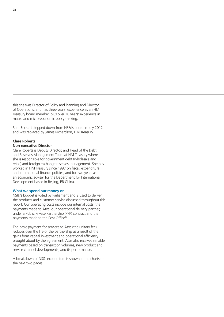this she was Director of Policy and Planning and Director of Operations, and has three years' experience as an HM Treasury board member, plus over 20 years' experience in macro and micro-economic policy-making.

Sam Beckett stepped down from NS&I's board in July 2012 and was replaced by James Richardson, HM Treasury.

### **Clare Roberts**

#### **Non-executive Director**

Clare Roberts is Deputy Director, and Head of the Debt and Reserves Management Team at HM Treasury where she is responsible for government debt (wholesale and retail) and foreign exchange reserves management. She has worked in HM Treasury since 1997 on fiscal, expenditure and international finance policies, and for two years as an economic adviser for the Department for International Development based in Beijing, PR China.

#### **What we spend our money on**

NS&I's budget is voted by Parliament and is used to deliver the products and customer service discussed throughout this report. Our operating costs include our internal costs, the payments made to Atos, our operational delivery partner, under a Public Private Partnership (PPP) contract and the payments made to the Post Office®.

The basic payment for services to Atos (the unitary fee) reduces over the life of the partnership as a result of the gains from capital investment and operational efficiency brought about by the agreement. Atos also receives variable payments based on transaction volumes, new product and service channel developments, and its performance.

A breakdown of NS&I expenditure is shown in the charts on the next two pages.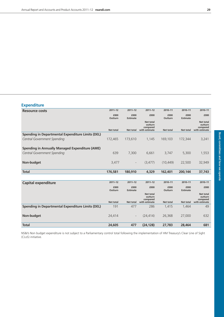**we operate**

#### **Expenditure**

| <b>Resource costs</b>                                    | $2011 - 12$      | $2011 - 12$              | $2011 - 12$                                              | 2010-11          | 2010-11                 | 2010-11                                                  |
|----------------------------------------------------------|------------------|--------------------------|----------------------------------------------------------|------------------|-------------------------|----------------------------------------------------------|
|                                                          | £000<br>Outturn  | £000<br><b>Estimate</b>  | £000                                                     | £000<br>Outturn  | £000<br><b>Estimate</b> | £000                                                     |
|                                                          | <b>Net total</b> | Net total                | <b>Net total</b><br>outturn<br>compared<br>with estimate | <b>Net total</b> | Net total               | <b>Net total</b><br>outturn<br>compared<br>with estimate |
| <b>Spending in Departmental Expenditure Limits (DEL)</b> |                  |                          |                                                          |                  |                         |                                                          |
| Central Government Spending                              | 172,465          | 173,610                  | 1,145                                                    | 169,103          | 172,344                 | 3,241                                                    |
| Spending in Annually Managed Expenditure (AME)           |                  |                          |                                                          |                  |                         |                                                          |
| Central Government Spending                              | 639              | 7,300                    | 6,661                                                    | 3,747            | 5,300                   | 1,553                                                    |
| Non-budget                                               | 3,477            | $\overline{\phantom{a}}$ | (3, 477)                                                 | (10, 449)        | 22,500                  | 32,949                                                   |
| <b>Total</b>                                             | 176,581          | 180,910                  | 4,329                                                    | 162,401          | 200,144                 | 37,743                                                   |
|                                                          |                  |                          |                                                          |                  |                         |                                                          |
| <b>Capital expenditure</b>                               | $2011 - 12$      | $2011 - 12$              | $2011 - 12$                                              | 2010-11          | 2010-11                 | 2010-11                                                  |
|                                                          | £000<br>Outturn  | £000<br><b>Estimate</b>  | £000                                                     | £000<br>Outturn  | £000<br><b>Estimate</b> | £000                                                     |
|                                                          |                  |                          | Net total<br>outturn<br>compared                         |                  |                         | <b>Net total</b><br>outturn<br>compared                  |
|                                                          | <b>Net total</b> | Net total                | with estimate                                            | <b>Net total</b> | Net total               | with estimate                                            |
| <b>Spending in Departmental Expenditure Limits (DEL)</b> | 191              | 477                      | 286                                                      | 1,415            | 1,464                   | 49                                                       |
| Non-budget                                               | 24,414           |                          | (24, 414)                                                | 26,368           | 27,000                  | 632                                                      |
| Total                                                    | 24,605           | 477                      | (24, 128)                                                | 27,783           | 28,464                  | 681                                                      |

NS&I's Non budget expenditure is not subject to a Parliamentary control total following the implementation of HM Treasury's Clear Line of Sight (CLoS) initiative.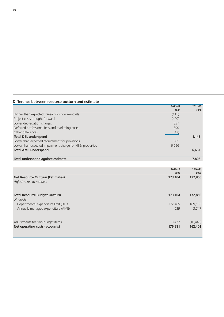#### **Difference between resource outturn and estimate**

|                                                           | $2011 - 12$ | $2011 - 12$ |
|-----------------------------------------------------------|-------------|-------------|
|                                                           | £000        | £000        |
| Higher than expected transaction volume costs             | (115)       |             |
| Project costs brought forward                             | (420)       |             |
| Lower depreciation charges                                | 837         |             |
| Deferred professional fees and marketing costs            | 890         |             |
| Other differences                                         | (47)        |             |
| <b>Total DEL underspend</b>                               |             | 1,145       |
| Lower than expected requirement for provisions            | 605         |             |
| Lower than expected impairment charge for NS&I properties | 6,056       |             |
| <b>Total AME underspend</b>                               |             | 6,661       |
|                                                           |             |             |
| Total underspend against estimate                         |             | 7,806       |

|                                         | $2011 - 12$ | 2010-11   |
|-----------------------------------------|-------------|-----------|
|                                         | £000        | £000      |
| <b>Net Resource Outturn (Estimates)</b> | 173,104     | 172,850   |
| Adjustments to remove:                  |             |           |
|                                         |             |           |
| <b>Total Resource Budget Outturn</b>    | 173,104     | 172,850   |
| of which:                               |             |           |
| Departmental expenditure limit (DEL)    | 172.465     | 169,103   |
| Annually managed expenditure (AME)      | 639         | 3,747     |
|                                         |             |           |
| Adjustments for Non budget items        | 3,477       | (10, 449) |
| Net operating costs (accounts)          | 176,581     | 162,401   |
|                                         |             |           |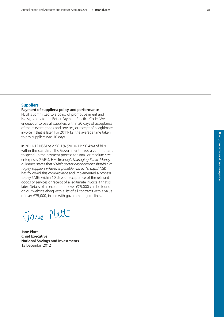**Board,** 

**committees**

 **and how**

 **we operate**

#### **Suppliers**

#### **Payment of suppliers: policy and performance**

NS&I is committed to a policy of prompt payment and is a signatory to the Better Payment Practice Code. We endeavour to pay all suppliers within 30 days of acceptance of the relevant goods and services, or receipt of a legitimate invoice if that is later. For 2011-12, the average time taken to pay suppliers was 10 days.

In 2011-12 NS&I paid 96.1% (2010-11: 96.4%) of bills within this standard. The Government made a commitment to speed up the payment process for small or medium size enterprises (SMEs). HM Treasury's *Managing Public Money* guidance states that '*Public sector organisations should aim to pay suppliers wherever possible within 10 days*.' NS&I has followed this commitment and implemented a process to pay SMEs within 10 days of acceptance of the relevant goods or services or receipt of a legitimate invoice if that is later. Details of all expenditure over £25,000 can be found on our website along with a list of all contracts with a value of over £75,000, in line with government guidelines.

Jane Platt

**Jane Platt Chief Executive National Savings and Investments** 13 December 2012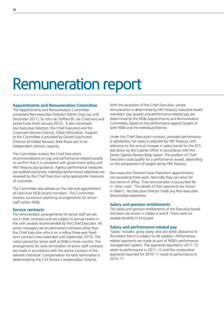# Remuneration report

#### **Appointments and Remuneration Committee**

The Appointments and Remuneration Committee comprised Non-executive Directors Martin Gray (up until December 2011), Sir John de Trafford Bt. (as Chairman) and James Furse (from January 2012). It also comprised two Executive Directors: the Chief Executive and the Corporate Services Director, Gillian McGrattan. Support to the Committee is provided by Gerard Hutchinson (Director of Global Reward, Rolls-Royce plc) in an independent advisory capacity.

The Committee reviews the Chief Executive's recommendations on pay and performance-related awards to confirm that it is consistent with government policy and HM Treasury pay guidance. Agency performance measures are audited outcomes; individual performance objectives are assessed by the Chief Executive using appropriate measures of outcomes.

The Committee also advises on the role and appointment of Executive NS&I board members. The Committee reviews succession planning arrangements for senior staff within NS&I.

#### **Service contracts**

The remuneration arrangements for senior staff are set out in their contracts and are subject to annual review in line with awards recommended by the Chief Executive. All senior managers are on permanent contracts other than the Chief Executive who is on a rolling three-year fixedterm contract (now extended until September 2015). The notice period for senior staff at NS&I is three months. The arrangements for early termination of senior staff contracts are made in accordance with the service contract of the relevant individual. Compensation for early termination is determined by the Civil Service Compensation Scheme.

With the exception of the Chief Executive, whose remuneration is determined by HM Treasury, Executive board members' pay awards and performance-related pay are determined by the NS&I Appointments and Remuneration Committee, based on the performance against targets of both NS&I and the individual Director.

Under the Chief Executive's contract, provided performance is satisfactory, her salary is adjusted by HM Treasury, with reference to the annual increase in salary bands for the SCS laid down by the Cabinet Office in accordance with the Senior Salaries Review Body report. The position of Chief Executive could qualify for a performance award, depending on the achievement of targets set by HM Treasury.

Non-executive Directors have fixed-term appointments not exceeding three years. Normally they can serve for two terms of office. Their remuneration is accounted for in 'other costs'. The details of their payments are shown in Table C. No Executive Director holds any Non-executive directorships elsewhere.

#### **Salary and pension entitlements**

The salary and pension entitlements of the Executive board members are shown in tables A and B. There were no taxable benefits in kind paid.

#### **Salary and performance-related pay**

'Salary' includes: gross salary; and any other allowance to the extent that it is subject to UK taxation. Performancerelated payments are made as part of NS&I's performance management system. The payments reported in 2011–12 relate to performance in 2011–12 and the comparative payments reported for 2010–11 relate to performance in 2010–11.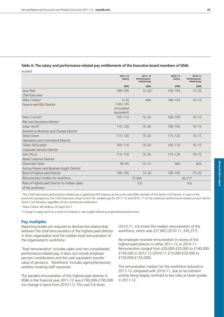## **Table A: The salary and performance-related pay entitlements of the Executive board members of NS&I**

Audited

|                                                 | $2011 - 12$<br>Salary | $2011 - 12$<br>Performance-<br>related pay | 2010-11<br>Salary | 2010-11<br>Performance-<br>related pay |  |
|-------------------------------------------------|-----------------------|--------------------------------------------|-------------------|----------------------------------------|--|
|                                                 | £000                  | £000                                       | £000              | £000                                   |  |
| Jane Platt                                      | 190-195               | $15 - 20$ <sup>1</sup>                     | 190-195           | $15 - 20$                              |  |
| <b>Chief Executive</b>                          |                       |                                            |                   |                                        |  |
| Mike Chilton <sup>2</sup>                       | $5 - 10$              | N/A                                        | $140 - 145$       | $10 - 15$                              |  |
| <b>Finance and Risk Director</b>                | $(140 - 145)$         |                                            |                   |                                        |  |
|                                                 | annualised            |                                            |                   |                                        |  |
|                                                 | equivalent)           |                                            |                   |                                        |  |
| Peter Cornish <sup>3</sup>                      | $105 - 110$           | $15 - 20$                                  | 100-105           | $10 - 15$                              |  |
| <b>Risk and Assurance Director</b>              |                       |                                            |                   |                                        |  |
| Julian Hynd <sup>3</sup>                        | $115 - 120$           | $15 - 20$                                  | 100-105           | $10 - 15$                              |  |
| <b>Business-to-Business and Change Director</b> |                       |                                            |                   |                                        |  |
| Steve Owen                                      | 115-120               | $15 - 20$                                  | 115-120           | $10 - 15$                              |  |
| Operations and Commercial Director              |                       |                                            |                   |                                        |  |
| Gillian McGrattan                               | 105-110               | $15 - 20$                                  | 105-110           | $10 - 15$                              |  |
| Corporate Services Director                     |                       |                                            |                   |                                        |  |
| John Prout                                      | $115 - 120$           | $15 - 20$                                  | $115 - 120$       | $10 - 15$                              |  |
| Retail Customer Director                        |                       |                                            |                   |                                        |  |
| Dharmesh Tailor                                 | $90 - 95$             | $10 - 15$                                  | N/A               | N/A                                    |  |
| Acting Finance and Business Insight Director    |                       |                                            |                   |                                        |  |
| Band of highest paid Director                   | 190-195               | $15 - 20$                                  | 190-195           | $15 - 20$                              |  |
| Remuneration median for workforce               |                       | 37,665                                     | 45,317            |                                        |  |
| Ratio of highest paid Director to median salary |                       | 5.6                                        |                   | 4.6                                    |  |
| of the workforce                                |                       |                                            |                   |                                        |  |

<sup>1</sup> The Chief Executive's performance-related pay is agreed by HM Treasury as she is the only NS&I member of the Senior Civil Service. In view of the economic background, the Chief Executive chose to limit her variable pay for 2011–12 and 2010–11 to the maximum performance-related amount set for Senior Civil Servants, regardless of her contractual entitlement.

<sup>2</sup> Mike Chilton left NS&I on 20 April 2011.

<sup>3</sup> Change in salary band as a result of increase in role weight following organisational restructure.

#### **Pay multiples**

Reporting bodies are required to disclose the relationship between the total remuneration of the highest-paid director in their organisation and the median total remuneration of the organisation's workforce.

'Total remuneration' includes salary and non-consolidated performance-related pay. It does not include employer pension contributions and the cash equivalent transfer value of pensions. 'Workforce' includes agency/temporary workers covering staff vacancies.

The banded remuneration of the highest-paid director in NS&I in the financial year 2011-12 was £190,000-£195,000 (no change in band from 2010-11). This was 5.6 times

(2010-11, 4.6 times) the median remuneration of the workforce, which was £37,665 (2010-11, £45,317).

No employee received remuneration in excess of the highest-paid director in either 2011-12 or 2010-11. Remuneration ranged from £20,000-£25,000 to £140,000- £145,000 in 2011-12 (2010-11 £15,000-£20,000 to £150,000-£155,000).

The remuneration median for the workforce reduced in 2011-12 compared with 2010-11, due to recruitment activity being largely confined to key roles at lower grades in 2011-12.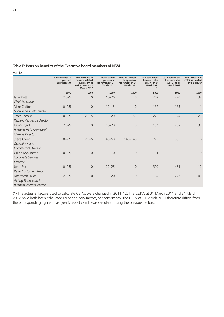# **Table B: Pension benefits of the Executive board members of NS&I**

Audited

|                                    | <b>Real increase in</b><br>pension<br>at retirement | Real increase in<br>pension related<br>lump sum at<br>retirement at 31<br><b>March 2012</b> | <b>Total accrued</b><br>pension at<br>retirement at 31<br><b>March 2012</b> | Pension-related<br>lump sum at<br>retirement at 31<br><b>March 2012</b> | Cash equivalent<br>transfer value<br>(CETV) at 31<br><b>March 2011</b><br>(1) | Cash equivalent<br>transfer value<br>(CETV) at 31<br><b>March 2012</b> | Real increase in<br><b>CETV</b> as funded<br>by employer |
|------------------------------------|-----------------------------------------------------|---------------------------------------------------------------------------------------------|-----------------------------------------------------------------------------|-------------------------------------------------------------------------|-------------------------------------------------------------------------------|------------------------------------------------------------------------|----------------------------------------------------------|
|                                    | £000                                                | £000                                                                                        | £000                                                                        | £000                                                                    | £000                                                                          | £000                                                                   | £000                                                     |
| Jane Platt                         | $2.5 - 5$                                           | $\overline{0}$                                                                              | $15 - 20$                                                                   | $\overline{0}$                                                          | 202                                                                           | 270                                                                    | 32                                                       |
| <b>Chief Executive</b>             |                                                     |                                                                                             |                                                                             |                                                                         |                                                                               |                                                                        |                                                          |
| Mike Chilton                       | $0 - 2.5$                                           | $\overline{0}$                                                                              | $10 - 15$                                                                   | $\overline{0}$                                                          | 132                                                                           | 133                                                                    | $\mathbf{1}$                                             |
| <b>Finance and Risk Director</b>   |                                                     |                                                                                             |                                                                             |                                                                         |                                                                               |                                                                        |                                                          |
| Peter Cornish                      | $0 - 2.5$                                           | $2.5 - 5$                                                                                   | $15 - 20$                                                                   | $50 - 55$                                                               | 279                                                                           | 324                                                                    | 21                                                       |
| <b>Risk and Assurance Director</b> |                                                     |                                                                                             |                                                                             |                                                                         |                                                                               |                                                                        |                                                          |
| Julian Hynd                        | $2.5 - 5$                                           | $\overline{0}$                                                                              | $15 - 20$                                                                   | $\overline{0}$                                                          | 154                                                                           | 209                                                                    | 37                                                       |
| Business-to-Business and           |                                                     |                                                                                             |                                                                             |                                                                         |                                                                               |                                                                        |                                                          |
| Change Director                    |                                                     |                                                                                             |                                                                             |                                                                         |                                                                               |                                                                        |                                                          |
| Steve Owen                         | $0 - 2.5$                                           | $2.5 - 5$                                                                                   | $45 - 50$                                                                   | $140 - 145$                                                             | 779                                                                           | 859                                                                    | 8                                                        |
| Operations and                     |                                                     |                                                                                             |                                                                             |                                                                         |                                                                               |                                                                        |                                                          |
| Commercial Director                |                                                     |                                                                                             |                                                                             |                                                                         |                                                                               |                                                                        |                                                          |
| Gillian McGrattan                  | $0 - 2.5$                                           | $\overline{0}$                                                                              | $5 - 10$                                                                    | $\overline{0}$                                                          | 61                                                                            | 88                                                                     | 19                                                       |
| Corporate Services                 |                                                     |                                                                                             |                                                                             |                                                                         |                                                                               |                                                                        |                                                          |
| Director                           |                                                     |                                                                                             |                                                                             |                                                                         |                                                                               |                                                                        |                                                          |
| John Prout                         | $0 - 2.5$                                           | 0                                                                                           | $20 - 25$                                                                   | $\overline{0}$                                                          | 399                                                                           | 451                                                                    | 12                                                       |
| Retail Customer Director           |                                                     |                                                                                             |                                                                             |                                                                         |                                                                               |                                                                        |                                                          |
| Dharmesh Tailor                    | $2.5 - 5$                                           | 0                                                                                           | $15 - 20$                                                                   | $\overline{0}$                                                          | 167                                                                           | 227                                                                    | 43                                                       |
| Acting Finance and                 |                                                     |                                                                                             |                                                                             |                                                                         |                                                                               |                                                                        |                                                          |
| <b>Business Insight Director</b>   |                                                     |                                                                                             |                                                                             |                                                                         |                                                                               |                                                                        |                                                          |

(1) The actuarial factors used to calculate CETVs were changed in 2011–12. The CETVs at 31 March 2011 and 31 March 2012 have both been calculated using the new factors, for consistency. The CETV at 31 March 2011 therefore differs from the corresponding figure in last year's report which was calculated using the previous factors.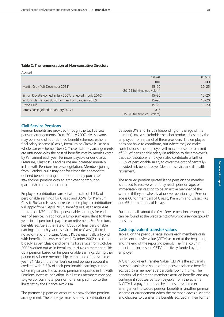#### **Table C: The remuneration of Non-executive Directors**

Audited

|                                                            | $2011 - 12$                  | 2010-11   |
|------------------------------------------------------------|------------------------------|-----------|
|                                                            | £000                         | £000      |
| Martin Gray (left December 2011)                           | $15 - 20$                    | $20 - 25$ |
|                                                            | (20-25 full time equivalent) |           |
| Simon Ricketts (joined in July 2007, renewed in July 2010) | $15 - 20$                    | $15 - 20$ |
| Sir John de Trafford Bt. (Chairman from January 2012)      | $15 - 20$                    | $15 - 20$ |
| David Hulf                                                 | $15 - 20$                    | $15 - 20$ |
| James Furse (joined in January 2012)                       | $0 - 5$                      |           |
|                                                            | (15-20 full time equivalent) |           |

#### **Civil Service Pensions**

Pension benefits are provided through the Civil Service pension arrangements. From 30 July 2007, civil servants may be in one of four defined benefit schemes; either a final salary scheme (Classic, Premium or Classic Plus); or a whole career scheme (Nuvos). These statutory arrangements are unfunded with the cost of benefits met by monies voted by Parliament each year. Pensions payable under Classic, Premium, Classic Plus and Nuvos are increased annually in line with Pensions Increase legislation. Members joining from October 2002 may opt for either the appropriate defined benefit arrangement or a 'money purchase' stakeholder pension with an employer contribution (partnership pension account).

Employee contributions are set at the rate of 1.5% of pensionable earnings for Classic and 3.5% for Premium, Classic Plus and Nuvos. Increases to employee contributions will apply from 1 April 2012. Benefits in Classic accrue at the rate of 1/80th of final pensionable earnings for each year of service. In addition, a lump sum equivalent to three years initial pension is payable on retirement. For Premium, benefits accrue at the rate of 1/60th of final pensionable earnings for each year of service. Unlike Classic, there is no automatic lump sum. Classic Plus is essentially a hybrid with benefits for service before 1 October 2002 calculated broadly as per Classic and benefits for service from October 2002 worked out as in Premium. In Nuvos a member builds up a pension based on his pensionable earnings during their period of scheme membership. At the end of the scheme year (31 March) the member's earned pension account is credited with 2.3% of their pensionable earnings in that scheme year and the accrued pension is uprated in line with Pensions Increase legislation. In all cases members may opt to give up (commute) pension for a lump sum up to the limits set by the Finance Act 2004.

The partnership pension account is a stakeholder pension arrangement. The employer makes a basic contribution of

between 3% and 12.5% (depending on the age of the member) into a stakeholder pension product chosen by the employee from a panel of three providers. The employee does not have to contribute, but where they do make contributions, the employer will match these up to a limit of 3% of pensionable salary (in addition to the employer's basic contribution). Employers also contribute a further 0.8% of pensionable salary to cover the cost of centrallyprovided risk benefit cover (death in service and ill health retirement).

The accrued pension quoted is the pension the member is entitled to receive when they reach pension age, or immediately on ceasing to be an active member of the scheme if they are already at or over pension age. Pension age is 60 for members of Classic, Premium and Classic Plus and 65 for members of Nuvos.

Further details about the Civil Service pension arrangements can be found at the website http://www.civilservice.gov.uk/ pensions

#### **Cash equivalent transfer values**

Table B on the previous page shows each member's cash equivalent transfer value (CETV) accrued at the beginning and the end of the reporting period. The final column reflects the increase in CETV effectively funded by the employer.

A Cash Equivalent Transfer Value (CETV) is the actuarially assessed capitalised value of the pension scheme benefits accrued by a member at a particular point in time. The benefits valued are the member's accrued benefits and any contingent spouse's pension payable from the scheme. A CETV is a payment made by a pension scheme or arrangement to secure pension benefits in another pension scheme or arrangement when the member leaves a scheme and chooses to transfer the benefits accrued in their former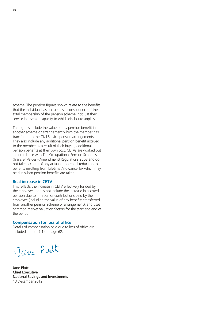scheme. The pension figures shown relate to the benefits that the individual has accrued as a consequence of their total membership of the pension scheme, not just their service in a senior capacity to which disclosure applies.

The figures include the value of any pension benefit in another scheme or arrangement which the member has transferred to the Civil Service pension arrangements. They also include any additional pension benefit accrued to the member as a result of their buying additional pension benefits at their own cost. CETVs are worked out in accordance with The Occupational Pension Schemes (Transfer Values) (Amendment) Regulations 2008 and do not take account of any actual or potential reduction to benefits resulting from Lifetime Allowance Tax which may be due when pension benefits are taken.

#### **Real increase in CETV**

This reflects the increase in CETV effectively funded by the employer. It does not include the increase in accrued pension due to inflation or contributions paid by the employee (including the value of any benefits transferred from another pension scheme or arrangement), and uses common market valuation factors for the start and end of the period.

#### **Compensation for loss of office**

Details of compensation paid due to loss of office are included in note 7.1 on page 62.

Jave Platt

**Jane Platt Chief Executive National Savings and Investments** 13 December 2012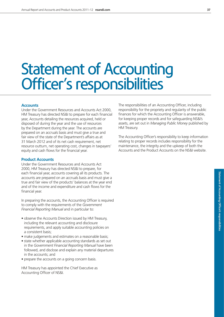# Statement of Accounting Officer's responsibilities

#### **Accounts**

Under the Government Resources and Accounts Act 2000, HM Treasury has directed NS&I to prepare for each financial year, Accounts detailing the resources acquired, held or disposed of during the year and the use of resources by the Department during the year. The accounts are prepared on an accruals basis and must give a true and fair view of the state of the Department's affairs as at 31 March 2012 and of its net cash requirement, net resource outturn, net operating cost, changes in taxpayers' equity and cash flows for the financial year.

#### **Product Accounts**

Under the Government Resources and Accounts Act 2000, HM Treasury has directed NS&I to prepare, for each financial year, accounts covering all its products. The accounts are prepared on an accruals basis and must give a true and fair view of the products' balances at the year end and of the income and expenditure and cash flows for the financial year.

In preparing the accounts, the Accounting Officer is required to comply with the requirements of the *Government Financial Reporting Manual* and in particular to:

- observe the Accounts Direction issued by HM Treasury, including the relevant accounting and disclosure requirements, and apply suitable accounting policies on a consistent basis;
- make judgements and estimates on a reasonable basis;
- state whether applicable accounting standards as set out in the *Government Financial Reporting Manual* have been followed, and disclose and explain any material departures in the accounts; and
- prepare the accounts on a going concern basis.

HM Treasury has appointed the Chief Executive as Accounting Officer of NS&I.

The responsibilities of an Accounting Officer, including responsibility for the propriety and regularity of the public finances for which the Accounting Officer is answerable, for keeping proper records and for safeguarding NS&I's assets, are set out in *Managing Public Money* published by HM Treasury.

The Accounting Officer's responsibility to keep information relating to proper records includes responsibility for the maintenance, the integrity and the upkeep of both the Accounts and the Product Accounts on the NS&I website.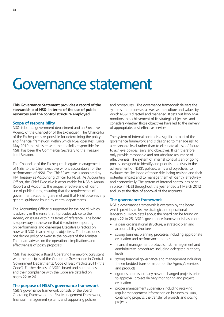# Governance statement

**This Governance Statement provides a record of the stewardship of NS&I in terms of the use of public resources and the control structure employed.**

#### **Scope of responsibility**

NS&I is both a government department and an Executive Agency of the Chancellor of the Exchequer. The Chancellor of the Exchequer is responsible for determining the policy and financial framework within which NS&I operates. Since May 2010 the Minister with the portfolio responsible for NS&I has been the Commercial Secretary to the Treasury, Lord Sassoon.

The Chancellor of the Exchequer delegates management of NS&I to the Chief Executive who is accountable for the performance of NS&I. The Chief Executive is appointed by HM Treasury as Accounting Officer for NS&I. As Accounting Officer, the Chief Executive is accountable for NS&I's Annual Report and Accounts, the proper, effective and efficient use of public funds, ensuring that the requirements of government accounting are met and that NS&I observes any general guidance issued by central departments.

The Accounting Officer is supported by the board, which is advisory in the sense that it provides advice to the Agency on issues within its terms of reference. The board is supervisory in the sense that it scrutinises reporting on performance and challenges Executive Directors on how well NS&I is achieving its objectives. The board does not decide policy or exercise the powers of the Minister. The board advises on the operational implications and effectiveness of policy proposals.

NS&I has adopted a Board Operating Framework consistent with the principles of the Corporate Governance in Central Government Departments: Code of Best Practice 2011 ('the Code'). Further details of NS&I's board and committees and their compliance with the Code are detailed on pages 22 to 26.

#### **The purpose of NS&I's governance framework**

NS&I's governance framework consists of the Board Operating Framework, the Risk Management Framework, financial management systems and supporting policies

and procedures. The governance framework delivers the systems and processes as well as the culture and values by which NS&I is directed and managed. It sets out how NS&I monitors the achievement of its strategic objectives and considers whether those objectives have led to the delivery of appropriate, cost-effective services.

The system of internal control is a significant part of the governance framework and is designed to manage risk to a reasonable level rather than to eliminate all risk of failure to achieve policies, aims and objectives. It can therefore only provide reasonable and not absolute assurance of effectiveness. The system of internal control is an ongoing process designed to identify and prioritise the risks to the achievement of NS&I's policies, aims and objectives, to evaluate the likelihood of those risks being realised and their potential impact and to manage them efficiently, effectively and economically. The system of internal control has been in place in NS&I throughout the year ended 31 March 2012 and up to the date of approval of the accounts.

#### **The governance framework**

NS&I's governance framework is overseen by the board which provides collective strategic and operational leadership. More detail about the board can be found on pages 22 to 28. NS&I's governance framework is based on:

- a clear organisational structure, a strategic plan and accountability structures
- strong business planning processes including appropriate evaluation and performance metrics
- financial management protocols, risk management and administrative procedures including delegated authority levels
- strong financial governance and management including the embedded transformation of the Agency's services and products
- rigorous appraisal of any new or changed projects prior to approval, project delivery monitoring and project evaluation
- proper management supervision including receiving regular management information on business as usual, continuing projects, the transfer of projects and closing projects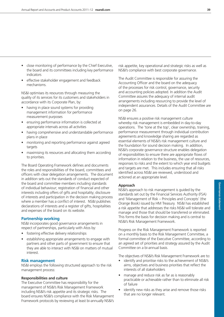- close monitoring of performance by the Chief Executive, the board and its committees including key performance indicators
- effective stakeholder engagement and feedback mechanisms.

NS&I optimises its resources through measuring the quality of its services for its customers and stakeholders in accordance with its Corporate Plan, by:

- having in place sound systems for providing management information for performance measurement purposes
- ensuring performance information is collected at appropriate intervals across all activities
- having comprehensive and understandable performance plans in place
- monitoring and reporting performance against agreed targets
- maximising its resources and allocating them according to priorities.

The Board Operating Framework defines and documents the roles and responsibilities of the board, committees and officers with clear delegation arrangements. The document in addition sets out the standards of conduct expected of the board and committee members including standards of individual behaviour; registration of financial and other interests including offers of gifts and hospitality; disclosure of interests and participation in the decision making process where a member has a conflict of interest. NS&I publishes declarations of interests and a register of gifts, hospitalities and expenses of the board on its website.

#### **Partnership working**

NS&I incorporates good governance arrangements in respect of partnerships, particularly with Atos by:

- fostering effective delivery relationships
- establishing appropriate arrangements to engage with partners and other parts of government to ensure that they are able to interact with NS&I on matters of mutual interest.

#### **Risk management**

NS&I employs the following structured approach to the risk management process:

#### **Responsibilities and culture**

The Executive Committee has responsibility for the management of NS&I's Risk Management Framework including NS&I's risk appetite and its strategic risks. The board ensures NS&I's compliance with the Risk Management Framework protocols by reviewing at least bi-annually NS&I's

risk appetite, key operational and strategic risks as well as NS&I's compliance with best corporate governance.

The Audit Committee is responsible for assuring the Accounting Officer and the board on the adequacy of the processes for risk control, governance, security and accounting policies adopted. In addition the Audit Committee assures the adequacy of internal audit arrangements including resourcing to provide the level of independent assurances. Details of the Audit Committee are on page 26.

NS&I ensures a positive risk management culture whereby risk management is embedded in day-to-day operations. The 'tone at the top', clear ownership, training, performance measurement through individual contribution agreements and knowledge sharing are regarded as essential elements of NS&I's risk management culture and the foundation for sound decision making. In addition, NS&I's corporate governance structure enables delegation of responsibilities to ensure there are appropriate flows of information in relation to the business, the use of resources, responses to risks and the extent to which year end budgets and targets are met. This includes ensuring that all risks identified across NS&I are reviewed, understood and actioned at an appropriate level.

#### **Approach**

NS&I's approach to risk management is guided by the standards set out by the Financial Services Authority (FSA) and 'Management of Risk – Principles and Concepts' (the Orange Book) issued by HM Treasury. NS&I has established a risk appetite that addresses the risks NS&I will tolerate and manage and those that should be transferred or eliminated. This forms the basis for decision making and is central to NS&I's Risk Management Framework.

Progress on the Risk Management Framework is reported on a monthly basis to the Risk Management Committee, a formal committee of the Executive Committee, according to an agreed set of priorities and strategy assured by the Audit Committee on a bi-annual basis.

The objectives of NS&I's Risk Management Framework are to:

- identify and prioritise risks to the achievement of NS&I's aims, objectives and business priorities that reflect the interests of all stakeholders
- manage and reduce risk as far as is reasonably practicable or achievable rather than to eliminate all risk of failure
- identify new risks as they arise and remove those risks that are no longer relevant.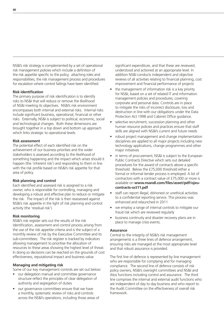NS&I's risk strategy is complemented by a set of operational risk management policies which include a definition of the risk appetite specific to the policy, attaching roles and responsibilities, the risk management process and procedures for escalation where control failings have been identified.

#### **Risk identification**

The primary purpose of risk identification is to identify risks to NS&I that will reduce or remove the likelihood of NS&I meeting its objectives. NS&I's risk environment encompasses both internal and external risks. Internal risks include significant business, operational, financial or other risks. Externally, NS&I is subject to political, economic, social and technological changes. Both these dimensions are brought together in a top down and bottom up approach which links strategic to operational levels.

#### **Risk assessment**

The potential effect of each identified risk on the achievement of our business priorities and the wider stakeholders is assessed according to the likelihood of something happening and the impact which arises should it happen (the 'inherent risk') and responding to them in line with the risk profile based on NS&I's risk appetite for that area of policy.

#### **Risk planning and control**

Each identified and assessed risk is assigned to a risk owner, who is responsible for controlling, managing and developing a robust and effective plan to reduce or mitigate the risk. The impact of the risk is then reassessed against NS&I's risk appetite in the light of risk planning and control activity (the 'residual risk').

#### **Risk monitoring**

NS&I's risk register sets out the results of the risk identification, assessment and control process arising from the use of the risk appetite criteria and is the subject of a monthly review of risk by the Executive Committee and its sub-committees. The risk register is tracked by indicators allowing management to prioritise the allocation of resources to these areas showing the highest level of threat. In doing so decisions can be reached on the grounds of cost effectiveness, reputational impact and business value.

#### **Managing and mitigating risk**

Some of our key management controls are set out below:

- our delegation manual and committee governance structure reflect the principles of clear delegation of authority and segregation of duties
- our governance committees ensure that we have a monthly, systematic review of risks and controls across the NS&I's operations, including those areas of

significant expenditure, and that these are reviewed, understood and actioned at an appropriate level. In addition NS&I conducts independent and objective reviews of all activities relating to financial planning, cost improvement and financial performance of projects

- the management of information risk is a key priority for NS&I, based on a set of related IT and information management policies and procedures, covering corporate and personal data. Controls are in place to mitigate the risks of incorrect disclosure, loss and destruction in line with our obligations under the Data Protection Act 1998 and Cabinet Office guidance.
- selective recruitment, succession planning and other human resource policies and practices ensure that staff skills are aligned with NS&I's current and future needs
- robust project management and change implementation disciplines are applied to all major projects including new technology applications, change programmes and other major initiatives
- in terms of procurement, NS&I is subject to the European Public Contracts Directive which sets out detailed procedures for the award of contracts above a specific threshold. Below the £75,000 threshold either a formal or informal tender process is employed. A list of contractors with a contract value of £75,000 or more is available on **www.nsandi.com/files/asset/pdf/ojeucontracts-oct11.pdf**
- staff can report illegal, dishonest or unethical activities to a confidential reporting service. This process was enhanced and relaunched in 2011
- we employ a range of internal controls to mitigate our fraud risk which are reviewed regularly
- business continuity and disaster recovery plans are in place to manage crisis events.

#### **Assurance**

Central to the integrity of NS&I's risk management arrangements is a three lines of defence arrangement, ensuring risks are managed at the most appropriate level and that robust assurance is provided.

The first line of defence is represented by line management who are responsible for complying and for managing compliance. The second line of defence consists of risk policy owners, NS&I's oversight committees and NS&I and Atos functions including control and assurance. The third line comprises the internal and external audit functions who are independent of day to day business and who report to the Audit Committee on the effectiveness of overall risk framework.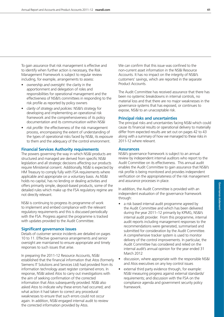To gain assurance that risk management is effective and to identify when further action is necessary, the Risk Management Framework is subject to regular review including, for example, arrangements to assess:

- *ownership and oversight:* the clarity in the apportionment and delegation of roles and responsibilities for operational management and the effectiveness of NS&I's committees in responding to the risk profile as reported by policy owners
- *clarity of strategy and policies:* NS&I's strategy for developing and implementing an operational risk framework and the comprehensiveness of its policy documentation and its communication within NS&I
- *risk profile:* the effectiveness of the risk management process, encompassing the extent of understanding of the types of operational risks faced by NS&I, its exposure to them and the adequacy of the control environment.

# **Financial Services Authority requirements**

The powers governing the way in which NS&I products are structured and managed are derived from specific NS&I legislation and all strategic decisions affecting our products require Ministerial consent. Additionally, NS&I is expected by HM Treasury to comply fully with FSA requirements where applicable and appropriate on a voluntary basis. As NS&I holds no capital, has no lending or dealing activities and offers primarily simple, deposit-based products, some of the detailed rules which make up the FSA regulatory regime are not directly relevant.

NS&I is continuing to progress its programme of work to implement and embed compliance with the relevant regulatory requirements and this is discussed periodically with the FSA. Progress against the programme is tracked with updates provided to the Audit Committee.

#### **Significant governance issues**

Details of customer service incidents are detailed on pages 10 to 11. Effective governance arrangements and senior oversight are maintained to ensure appropriate and timely responses to such issues that arise.

In preparing the 2011-12 Resource Accounts, NS&I established that the financial information that Atos (formerly Siemens IT Solutions and Services Ltd) had provided from its information technology asset register contained errors. In response, NS&I asked Atos to carry out investigations with the aim of seeking confirmation of the corrected information that Atos subsequently provided. NS&I also asked Atos to indicate why these errors had occurred; and what action it had taken to correct any procedural weaknesses to ensure that such errors could not occur again. In addition, NS&I engaged internal audit to review the corrected information provided by Atos.

We can confirm that this issue was confined to the non-current asset information in the NS&I Resource Accounts. It has no impact on the integrity of NS&I's customers' savings, which are reported in the separate Product Accounts.

The Audit Committee has received assurance that there has been no systemic breakdowns in internal controls, no material loss and that there are no major weaknesses in the governance systems that has exposed, or continues to expose, NS&I to an unacceptable risk.

#### **Principal risks and uncertainties**

The principal risks and uncertainties facing NS&I which could cause its financial results or operational delivery to materially differ from expected results are set out on pages 42 to 43 along with a summary of how we managed to these risks in 2011-12 where relevant.

#### **Assurances**

NS&I's governance framework is subject to an annual review by independent internal auditors who report to the Audit Committee on its effectiveness. This annual audit enables the Audit Committee to gain assurance that NS&I's risk profile is being monitored and provides independent verification on the appropriateness of the risk management and assurance processes in place.

In addition, the Audit Committee is provided with an independent evaluation of the governance framework through:

- a risk based internal audit programme agreed by the Audit Committee and which has been delivered during the year 2011–12 primarily by KPMG, NS&I's internal audit provider. From this programme, internal audit reports including management responses to the recommendations were generated, summarised and submitted for consideration by the Audit Committee. A comprehensive tracker system is used to monitor delivery of the control improvements. In particular, the Audit Committee has considered and relied on the internal audit's annual opinion for the year ended 31 March 2012
- discussion, where appropriate with the responsible NS&I and Atos executives on any key control issues
- external third party evidence through, for example: NS&I measuring progress against external standards/ requirements; and discussion with the FSA on the compliance agenda and government security policy framework.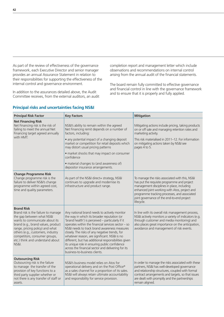As part of the review of effectiveness of the governance framework, each Executive Director and senior manager provides an annual Assurance Statement in relation to their responsibilities for supporting the effectiveness of the internal control and governance environment.

In addition to the assurances detailed above, the Audit Committee receives, from the external auditors, an audit completion report and management letter which include observations and recommendations on internal control arising from the annual audit of the financial statements.

The board remain fully committed to effective governance and financial control in line with the governance framework and to ensure that it is properly and fully applied.

| <b>Principal Risk Factor</b>                                                                                                                                                                                                                                                                                                  | <b>Key Factors</b>                                                                                                                                                                                                                                                                                                                                                                                                                                                                                                                                         | <b>Mitigation</b>                                                                                                                                                                                                                                                                                        |
|-------------------------------------------------------------------------------------------------------------------------------------------------------------------------------------------------------------------------------------------------------------------------------------------------------------------------------|------------------------------------------------------------------------------------------------------------------------------------------------------------------------------------------------------------------------------------------------------------------------------------------------------------------------------------------------------------------------------------------------------------------------------------------------------------------------------------------------------------------------------------------------------------|----------------------------------------------------------------------------------------------------------------------------------------------------------------------------------------------------------------------------------------------------------------------------------------------------------|
| <b>Net Financing Risk</b><br>Net Financing risk is the risk of<br>failing to meet the annual Net<br>Financing target agreed annually                                                                                                                                                                                          | NS&I's ability to remain within the agreed<br>Net Financing remit depends on a number of<br>factors, including:                                                                                                                                                                                                                                                                                                                                                                                                                                            | Mitigating actions include pricing, taking products<br>on or off sale and managing retention rates and<br>marketing activity.                                                                                                                                                                            |
| with HMT.                                                                                                                                                                                                                                                                                                                     | • any potential impact of a changing deposit<br>market or competition for retail deposits which<br>may distort usual pricing patterns                                                                                                                                                                                                                                                                                                                                                                                                                      | This risk materialised in 2011–12. For information<br>on mitigating actions taken by NS&I see<br>pages 4 to 5.                                                                                                                                                                                           |
|                                                                                                                                                                                                                                                                                                                               | • market shocks that may impact on consumer<br>confidence                                                                                                                                                                                                                                                                                                                                                                                                                                                                                                  |                                                                                                                                                                                                                                                                                                          |
|                                                                                                                                                                                                                                                                                                                               | · material changes to (and awareness of)<br>depositor insurance arrangements.                                                                                                                                                                                                                                                                                                                                                                                                                                                                              |                                                                                                                                                                                                                                                                                                          |
| <b>Change Programme Risk</b><br>Change programme risk is the<br>failure to deliver NS&I's change<br>programme within agreed cost,<br>time and quality parameters.                                                                                                                                                             | As part of the NS&I direct+ strategy, NS&I<br>continues to upgrade and modernise its<br>infrastructure and product range.                                                                                                                                                                                                                                                                                                                                                                                                                                  | To manage the risks associated with this, NS&I<br>has put the requisite programme and project<br>management disciplines in place, including<br>enhanced joint working with Atos, project and<br>programme tracking processes, and associated<br>joint governance of the end-to-end project<br>lifecycle. |
| <b>Brand Risk</b><br>Brand risk is the failure to manage<br>the gap between what NS&I<br>wants to communicate about its<br>brand (e.g., brand values, product<br>range, pricing policy) and what<br>others (e.g., customers, industry<br>competitors, consumer groups,<br>etc.) think and understand about<br><b>NS&amp;L</b> | Any national brand needs to actively monitor<br>the way in which its broader reputation (or<br>'brand health') is perceived - particularly if it<br>operates within the financial services sector $-$ so<br>NS&I needs to track brand awareness measures<br>closely. The risks of any negative trends, for<br>whatever reason, are significant. NS&I is no<br>different, but has additional responsibilities given<br>its unique role in ensuring public confidence<br>across the financial sector and delivering for its<br>business-to-business clients. | In line with its overall risk management process,<br>NS&I actively monitors a variety of indicators (e.g.<br>through customer and media monitoring) and<br>also places great importance on the anticipation,<br>avoidance and management of risk events.                                                 |
| <b>Outsourcing Risk</b><br>Outsourcing risk is the failure<br>to manage the transfer of the<br>provision of key functions to a<br>third party supplier whether or<br>not there is any transfer of staff or<br>assets.                                                                                                         | NS&I's business model relies on Atos for<br>operational delivery and on the Post Office®<br>as a sales channel for a proportion of its sales.<br>NS&I will always retain ultimate accountability<br>and responsibility for service provision.                                                                                                                                                                                                                                                                                                              | In order to manage the risks associated with these<br>partners, NS&I has well-developed governance<br>and relationship structures, coupled with formal<br>contract arrangements and targets, so that issues<br>are dealt with promptly and the partnerships<br>remain aligned.                           |

# **Principal risks and uncertainties facing NS&I**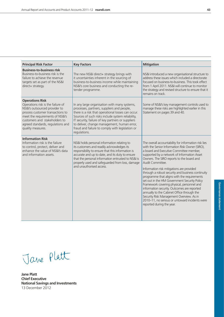| <b>Principal Risk Factor</b>                                                                                                                                                                                                                                   | <b>Key Factors</b>                                                                                                                                                                                                                                                                                                                                                           | <b>Mitigation</b>                                                                                                                                                                                                                                                                                                                                                                                                                                                                                                                                                                                                                                                                                                                        |
|----------------------------------------------------------------------------------------------------------------------------------------------------------------------------------------------------------------------------------------------------------------|------------------------------------------------------------------------------------------------------------------------------------------------------------------------------------------------------------------------------------------------------------------------------------------------------------------------------------------------------------------------------|------------------------------------------------------------------------------------------------------------------------------------------------------------------------------------------------------------------------------------------------------------------------------------------------------------------------------------------------------------------------------------------------------------------------------------------------------------------------------------------------------------------------------------------------------------------------------------------------------------------------------------------------------------------------------------------------------------------------------------------|
| <b>Business-to-business rlsk</b><br>Business-to-business risk is the<br>failure to achieve the revenue<br>targets set as part of the NS&I<br>direct+ strategy.                                                                                                 | The new NS&I direct+ strategy brings with<br>it uncertainties inherent in the sourcing of<br>business-to-business income while maintaining<br>NS&I's core business and conducting the re-<br>tender programme.                                                                                                                                                               | NS&I introduced a new organisational structure to<br>address these issues which included a directorate<br>focused on business-to-business. This took effect<br>from 1 April 2011. NS&I will continue to monitor<br>the strategy and revised structure to ensure that it<br>remains on track.                                                                                                                                                                                                                                                                                                                                                                                                                                             |
| <b>Operations Risk</b><br>Operations risk is the failure of<br>NS&I's outsourced provider to<br>process customer transactions to<br>meet the requirements of NS&I's<br>customers and stakeholders to<br>agreed standards, regulations and<br>quality measures. | In any large organisation with many systems,<br>processes, partners, suppliers and people,<br>there is a risk that operational losses can occur.<br>Sources of such risks include system reliability,<br>IT security, failure of key partners or suppliers<br>to deliver, change management, human error,<br>fraud and failure to comply with legislation or<br>regulations. | Some of NS&I's key management controls used to<br>manage these risks are highlighted earlier in this<br>Statement on pages 39 and 40.                                                                                                                                                                                                                                                                                                                                                                                                                                                                                                                                                                                                    |
| <b>Information Risk</b><br>Information risk is the failure<br>to control, protect, deliver and<br>enhance the value of NS&I's data<br>and information assets                                                                                                   | NS&I holds personal information relating to<br>its customers and readily acknowledges its<br>responsibility to ensure that this information is<br>accurate and up to date, and its duty to ensure<br>that the personal information entrusted to NS&I is<br>properly used and safeguarded from loss, damage<br>and unauthorised access.                                       | The overall accountability for information risk lies<br>with the Senior Information Risk Owner (SIRO),<br>a board and Executive Committee member,<br>supported by a network of Information Asset<br>Owners. The SIRO reports to the board and<br>Audit Committee.<br>Information risk mitigations are provided<br>through a robust security and business continuity<br>programme that aligns with the requirements<br>set out in the HM Government Security Policy<br>Framework covering physical, personnel and<br>information security. Outcomes are reported<br>annually to the Cabinet Office through the<br>Security Risk Management Overview. As in<br>2010-11, no serious or untoward incidents were<br>reported during the year. |

Jane Platt

**Jane Platt Chief Executive National Savings and Investments** 13 December 2012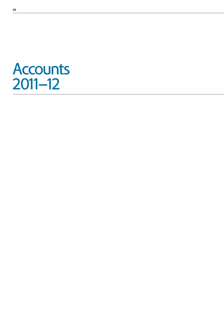# **Accounts** 2011–12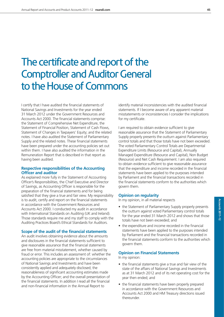# The certificate and report of the Comptroller and Auditor General to the House of Commons

I certify that I have audited the financial statements of National Savings and Investments for the year ended 31 March 2012 under the Government Resources and Accounts Act 2000. The financial statements comprise: the Statement of Comprehensive Net Expenditure, the Statement of Financial Position, Statement of Cash Flows, Statement of Changes in Taxpayers' Equity; and the related notes. I have also audited the Statement of Parliamentary Supply and the related notes. These financial statements have been prepared under the accounting policies set out within them. I have also audited the information in the Remuneration Report that is described in that report as having been audited.

#### **Respective responsibilities of the Accounting Officer and auditor**

As explained more fully in the Statement of Accounting Officer's Responsibilities, the Chief Executive and Director of Savings, as Accounting Officer is responsible for the preparation of the financial statements and for being satisfied that they give a true and fair view. My responsibility is to audit, certify and report on the financial statements in accordance with the Government Resources and Accounts Act 2000. I conducted my audit in accordance with International Standards on Auditing (UK and Ireland). Those standards require me and my staff to comply with the Auditing Practices Board's Ethical Standards for Auditors.

#### **Scope of the audit of the financial statements**

An audit involves obtaining evidence about the amounts and disclosures in the financial statements sufficient to give reasonable assurance that the financial statements are free from material misstatement, whether caused by fraud or error. This includes an assessment of: whether the accounting policies are appropriate to the circumstances of National Savings and Investments and have been consistently applied and adequately disclosed; the reasonableness of significant accounting estimates made by the Accounting Officer; and the overall presentation of the financial statements. In addition I read all the financial and non-financial information in the Annual Report to

identify material inconsistencies with the audited financial statements. If I become aware of any apparent material misstatements or inconsistencies I consider the implications for my certificate.

I am required to obtain evidence sufficient to give reasonable assurance that the Statement of Parliamentary Supply properly presents the outturn against Parliamentary control totals and that those totals have not been exceeded. The voted Parliamentary Control Totals are Departmental Expenditure Limits (Resource and Capital), Annually Managed Expenditure (Resource and Capital), Non Budget (Resource) and Net Cash Requirement. I am also required to obtain evidence sufficient to give reasonable assurance that the expenditure and income recorded in the financial statements have been applied to the purposes intended by Parliament and the financial transactions recorded in the financial statements conform to the authorities which govern them.

#### **Opinion on regularity**

In my opinion, in all material respects

- the Statement of Parliamentary Supply properly presents the outturn against voted Parliamentary control totals for the year ended 31 March 2012 and shows that those totals have not been exceeded; and
- the expenditure and income recorded in the financial statements have been applied to the purposes intended by Parliament and the financial transactions recorded in the financial statements conform to the authorities which govern them.

#### **Opinion on Financial Statements**

In my opinion:

- $\bullet$  the financial statements give a true and fair view of the state of the affairs of National Savings and Investments as at 31 March 2012 and of its net operating cost for the year then ended; and
- the financial statements have been properly prepared in accordance with the Government Resources and Accounts Act 2000 and HM Treasury directions issued thereunder.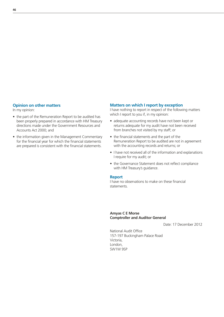### **Opinion on other matters**

In my opinion:

- the part of the Remuneration Report to be audited has been properly prepared in accordance with HM Treasury directions made under the Government Resources and Accounts Act 2000; and
- the information given in the Management Commentary for the financial year for which the financial statements are prepared is consistent with the financial statements.

### **Matters on which I report by exception**

I have nothing to report in respect of the following matters which I report to you if, in my opinion:

- adequate accounting records have not been kept or returns adequate for my audit have not been received from branches not visited by my staff; or
- $\bullet$  the financial statements and the part of the Remuneration Report to be audited are not in agreement with the accounting records and returns; or
- I have not received all of the information and explanations I require for my audit; or
- the Governance Statement does not reflect compliance with HM Treasury's guidance.

#### **Report**

I have no observations to make on these financial statements.

#### **Amyas C E Morse Comptroller and Auditor General**

Date: 17 December 2012

National Audit Office 157-197 Buckingham Palace Road Victoria, London, SW1W 9SP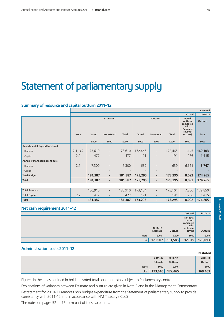# Statement of parliamentary supply

# **Summary of resource and capital outturn 2011–12**

|                                       | Restated    |                          |                              |                          |              |                          |                 |                                                                                        |                         |
|---------------------------------------|-------------|--------------------------|------------------------------|--------------------------|--------------|--------------------------|-----------------|----------------------------------------------------------------------------------------|-------------------------|
|                                       |             |                          |                              |                          |              |                          |                 | 2011-12                                                                                | 2010-11                 |
|                                       | <b>Note</b> | <b>Voted</b>             | <b>Estimate</b><br>Non-Voted | <b>Total</b>             | <b>Voted</b> | Outturn<br>Non-Voted     | <b>Total</b>    | <b>Voted</b><br>outturn<br>compared<br>with<br><b>Estimate:</b><br>saving/<br>(excess) | Outturn<br><b>Total</b> |
|                                       |             | £000                     | £000                         | £000                     | £000         | £000                     | £000            | £000                                                                                   | £000                    |
| <b>Departmental Expenditure Limit</b> |             |                          |                              |                          |              |                          |                 |                                                                                        |                         |
| - Resource                            | 2.1, 3.2    | 173,610                  | $\overline{\phantom{a}}$     | 173,610                  | 172,465      | $\overline{\phantom{a}}$ | 172,465         | 1,145                                                                                  | 169,103                 |
| - Capital                             | 2.2         | 477                      | $\overline{a}$               | 477                      | 191          |                          | 191             | 286                                                                                    | 1,415                   |
| <b>Annually Managed Expenditure</b>   |             |                          |                              |                          |              |                          |                 |                                                                                        |                         |
| - Resource                            | 2.1         | 7,300                    | $\overline{\phantom{0}}$     | 7,300                    | 639          |                          | 639             | 6,661                                                                                  | 3,747                   |
| - Capital                             |             | $\overline{\phantom{a}}$ |                              | $\overline{\phantom{a}}$ |              |                          | $\qquad \qquad$ | $\overline{\phantom{a}}$                                                               |                         |
| <b>Total Budget</b>                   |             | 181,387                  | ٠                            | 181,387                  | 173,295      | $\overline{\phantom{a}}$ | 173,295         | 8,092                                                                                  | 174,265                 |
| <b>Total</b>                          |             | 181,387                  | ٠                            | 181,387                  | 173,295      | $\overline{\phantom{0}}$ | 173,295         | 8,092                                                                                  | 174,265                 |
|                                       |             |                          |                              |                          |              |                          |                 |                                                                                        |                         |
| <b>Total Resource</b>                 |             | 180,910                  | $\qquad \qquad \blacksquare$ | 180,910                  | 173,104      | $\overline{\phantom{a}}$ | 173,104         | 7,806                                                                                  | 172,850                 |
| <b>Total Capital</b>                  | 2.2         | 477                      | $\overline{\phantom{a}}$     | 477                      | 191          | $\overline{\phantom{a}}$ | 191             | 286                                                                                    | 1,415                   |
| <b>Total</b>                          |             | 181,387                  | ٠                            | 181,387                  | 173,295      | ٠                        | 173,295         | 8,092                                                                                  | 174,265                 |

# **Net cash requirement 2011–12**

|                |                                |         | $2011 - 12$                                                     | 2010-11 |
|----------------|--------------------------------|---------|-----------------------------------------------------------------|---------|
|                | $2011 - 12$<br><b>Estimate</b> | Outturn | Net total<br>outturn<br>compared<br>with<br>estimate:<br>saving | Outturn |
| <b>Note</b>    | £000                           | £000    | £000                                                            | £000    |
| $\overline{4}$ | 173,907                        | 161,588 | 12,319                                                          | 178,013 |

## **Administration costs 2011–12**

|             |             |                 | <b>Restated</b> |
|-------------|-------------|-----------------|-----------------|
|             | $2011 - 12$ | $2011 - 12$     | 2010-11         |
|             | Estimate    | Outturn         | <b>Outturn</b>  |
| <b>Note</b> | £000        | £000            | £000            |
| 22          |             | 173,610 172,465 | 169,103         |

Figures in the areas outlined in bold are voted totals or other totals subject to Parliamentary control

Explanations of variances between Estimate and outturn are given in Note 2 and in the Management Commentary

Restatement for 2010-11 removes non budget expenditure from the Statement of parliamentary supply to provide consistency with 2011-12 and in accordance with HM Treasury's CLoS

The notes on pages 52 to 75 form part of these accounts.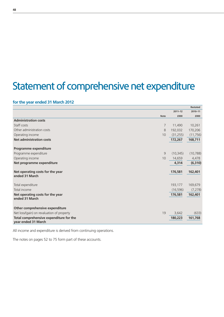# Statement of comprehensive net expenditure

# **for the year ended 31 March 2012**

|                                                                |                |             | <b>Restated</b> |
|----------------------------------------------------------------|----------------|-------------|-----------------|
|                                                                |                | $2011 - 12$ | 2010-11         |
|                                                                | <b>Note</b>    | £000        | £000            |
| <b>Administration costs</b>                                    |                |             |                 |
| Staff costs                                                    | $\overline{7}$ | 11,490      | 10,261          |
| Other administration costs                                     | 8              | 192,032     | 170,206         |
| Operating income                                               | 10             | (31, 255)   | (11, 756)       |
| <b>Net administration costs</b>                                |                | 172,267     | 168,711         |
| Programme expenditure                                          |                |             |                 |
| Programme expenditure                                          | 9              | (10, 345)   | (10, 788)       |
| Operating income                                               | 10             | 14,659      | 4,478           |
| Net programme expenditure                                      |                | 4,314       | (6, 310)        |
| Net operating costs for the year                               |                | 176,581     | 162,401         |
| ended 31 March                                                 |                |             |                 |
| Total expenditure                                              |                | 193,177     | 169,679         |
| Total income                                                   |                | (16, 596)   | (7, 278)        |
| Net operating costs for the year<br>ended 31 March             |                | 176,581     | 162,401         |
| Other comprehensive expenditure                                |                |             |                 |
| Net loss/(gain) on revaluation of property                     | 19             | 3,642       | (633)           |
| Total comprehensive expenditure for the<br>year ended 31 March |                | 180,223     | 161,768         |

All income and expenditure is derived from continuing operations.

The notes on pages 52 to 75 form part of these accounts.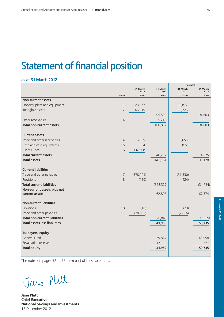# Statement of financial position

#### **as at 31 March 2012**

|             |                  |                  | Restated         |                  |
|-------------|------------------|------------------|------------------|------------------|
|             | 31 March<br>2012 | 31 March<br>2012 | 31 March<br>2011 | 31 March<br>2011 |
| <b>Note</b> | £000             | £000             | £000             | £000             |
|             |                  |                  |                  |                  |
| 11          | 28,677           |                  | 38,877           |                  |
| 12          | 66,915           |                  | 55,726           |                  |
|             |                  | 95,592           |                  | 94,603           |
| 14          |                  | 5,245            |                  |                  |
|             |                  | 100,837          |                  | 94,603           |
|             |                  |                  |                  |                  |
| 14          | 6,835            |                  | 3,653            |                  |
| 15          | 554              |                  | 872              |                  |
| 16          | 332,908          |                  |                  |                  |
|             |                  | 340,297          |                  | 4,525            |
|             |                  | 441,134          |                  | 99,128           |
|             |                  |                  |                  |                  |
| 17          | (378, 201)       |                  | (31, 330)        |                  |
| 18          | (126)            |                  | (424)            |                  |
|             |                  | (378, 327)       |                  | (31, 754)        |
|             |                  |                  |                  |                  |
|             |                  | 62,807           |                  | 67,374           |
|             |                  |                  |                  |                  |
| 18          | (16)             |                  | (23)             |                  |
|             | (20, 832)        |                  | (7,616)          |                  |
|             |                  | (20, 848)        |                  | (7,639)          |
|             |                  | 41,959           |                  | 59,735           |
|             |                  |                  |                  |                  |
|             |                  | 29,824           |                  | 43,958           |
|             |                  | 12,135           |                  | 15,777           |
|             |                  | 41,959           |                  | 59,735           |
|             | 17               |                  |                  |                  |

The notes on pages 52 to 75 form part of these accounts.

Jave Platt

**Jane Platt Chief Executive National Savings and Investments** 13 December 2012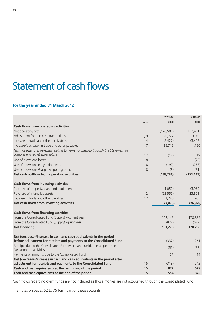# Statement of cash flows

# **for the year ended 31 March 2012**

|                                                                                                                    |             | $2011 - 12$ | 2010-11    |
|--------------------------------------------------------------------------------------------------------------------|-------------|-------------|------------|
|                                                                                                                    | <b>Note</b> | £000        | £000       |
| Cash flows from operating activities                                                                               |             |             |            |
| Net operating cost                                                                                                 |             | (176, 581)  | (162, 401) |
| Adjustment for non-cash transactions                                                                               | 8, 9        | 20,727      | 13,965     |
| Increase in trade and other receivables                                                                            | 14          | (8, 427)    | (3,428)    |
| Increase/(decrease) in trade and other payables                                                                    | 17          | 25,715      | 1,120      |
| less movements in payables relating to items not passing through the Statement of<br>comprehensive net expenditure | 17          | (17)        | 19         |
| Use of provisions-losses                                                                                           | 18          |             | (73)       |
| Use of provisions-early retirements                                                                                | 18          | (190)       | (288)      |
| Use of provisions-Glasgiow sports ground                                                                           | 18          | (8)         | (31)       |
| Net cash outflow from operating activities                                                                         |             | (138, 781)  | (151, 117) |
|                                                                                                                    |             |             |            |
| <b>Cash flows from investing activities</b>                                                                        |             |             |            |
| Purchase of property, plant and equipment                                                                          | 11          | (1,050)     | (3,960)    |
| Purchase of intangible assets                                                                                      | 12          | (23, 556)   | (23, 823)  |
| Increase in trade and other payables                                                                               | 17          | 1,780       | 905        |
| Net cash flows from investing activities                                                                           |             | (22, 826)   | (26, 878)  |
| <b>Cash flows from financing activities</b>                                                                        |             |             |            |
| From the Consolidated Fund (Supply) - current year                                                                 |             | 162,142     | 178,885    |
| From the Consolidated Fund (Supply) – prior year                                                                   |             | (872)       | (629)      |
| <b>Net financing</b>                                                                                               |             | 161,270     | 178,256    |
| Net (decrease)/increase in cash and cash equivalents in the period                                                 |             |             |            |
| before adjustment for receipts and payments to the Consolidated Fund                                               |             | (337)       | 261        |
| Receipts due to the Consolidated Fund which are outside the scope of the<br>Department's activities                |             | (56)        | (37)       |
| Payments of amounts due to the Consolidated Fund                                                                   |             | 75          | 19         |
| Net (decrease)/increase in cash and cash equivalents in the period after                                           |             |             |            |
| adjustment for receipts and payments to the Consolidated Fund                                                      | 15          | (318)       | 243        |
| Cash and cash equivalents at the beginning of the period                                                           | 15          | 872         | 629        |
| Cash and cash equivalents at the end of the period                                                                 | 15          | 554         | 872        |

Cash flows regarding client funds are not included as those monies are not accounted through the Consolidated Fund.

The notes on pages 52 to 75 form part of these accounts.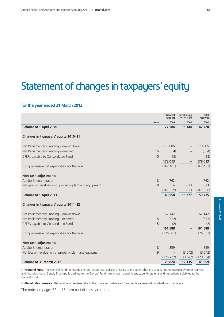# Statement of changes in taxpayers'equity

# **for the year ended 31 March 2012**

|                                                          |             | General<br><b>Fund (1)</b> | <b>Revaluation</b><br>reserve (2) | <b>Total</b><br>reserves |
|----------------------------------------------------------|-------------|----------------------------|-----------------------------------|--------------------------|
|                                                          | <b>Note</b> | £000                       | £000                              | £000                     |
| <b>Balance at 1 April 2010</b>                           |             | 27,584                     | 15,144                            | 42,728                   |
| Changes in taxpayers' equity 2010-11                     |             |                            |                                   |                          |
| Net Parliamentary Funding - drawn down                   |             | 178,885                    |                                   | 178,885                  |
| Net Parliamentary Funding - deemed                       | 15          | (854)                      |                                   | (854)                    |
| CFERs payable to Consolidated Fund                       | 15          | (18)                       |                                   | (18)                     |
|                                                          |             | 178,013                    | $\overline{a}$                    | 178,013                  |
| Comprehensive net expenditure for the year               |             | (162, 401)                 |                                   | (162, 401)               |
| <b>Non-cash adjustments</b>                              |             |                            |                                   |                          |
| Auditor's renumeration                                   | 8           | 762                        |                                   | 762                      |
| Net gain on revaluation of property, plant and equipment | 19          |                            | 633                               | 633                      |
|                                                          |             | (161, 639)                 | 633                               | (161,006)                |
| <b>Balance at 1 April 2011</b>                           |             | 43,958                     | 15,777                            | 59,735                   |
| Changes in taxpayers' equity 2011-12                     |             |                            |                                   |                          |
| Net Parliamentary Funding - drawn down                   |             | 162,142                    |                                   | 162,142                  |
| Net Parliamentary Funding - deemed                       | 15          | (552)                      |                                   | (552)                    |
| CFERs payable to Consolidated Fund                       | 15          | (2)                        |                                   | (2)                      |
|                                                          |             | 161,588                    |                                   | 161,588                  |
| Comprehensive net expenditure for the year               |             | (176, 581)                 |                                   | (176, 581)               |
| <b>Non-cash adjustments</b>                              |             |                            |                                   |                          |
| Auditor's remuneration                                   | $\,8\,$     | 859                        |                                   | 859                      |
| Net loss on revaluation of property, plant and equipment | 19          |                            | (3,642)                           | (3,642)                  |
|                                                          |             | (175, 722)                 | (3,642)                           | (179, 364)               |
| <b>Balance at 31 March 2012</b>                          |             | 29,824                     | 12,135                            | 41,959                   |

(1) **General Fund:** The General Fund represents the total assets less liabilities of NS&I, to the extent that the total is not represented by other reserves and financing items. Supply financing is credited to the General Fund. An amount equal to any expenditure on standing services is debited to the General Fund.

(2) **Revaluation reserve:** The revaluation reserve reflects the unrealised balance of the cumulative revaluation adjustments to assets.

The notes on pages 52 to 75 form part of these accounts.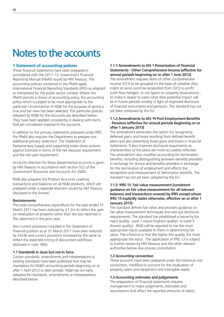# Notes to the accounts

# **1 Statement of accounting policies**

These financial statements have been prepared in accordance with the 2011–12 Government Financial Reporting Manual (FReM) issued by HM Treasury. The accounting policies contained in the FReM apply International Financial Reporting Standards (IFRS) as adapted or interpreted for the public sector context. Where the FReM permits a choice of accounting policy, the accounting policy which is judged to be most appropriate to the particular circumstances of NS&I for the purpose of giving a true and fair view has been selected. The particular policies adopted by NS&I for the Accounts are described below. They have been applied consistently in dealing with items that are considered material to the accounts.

In addition to the primary statements prepared under IFRS, the FReM also requires the Department to prepare one additional primary statement. The Statement of Parliamentary Supply and supporting notes show outturn against Estimate in terms of the net resource requirement and the net cash requirement.

Accounts direction for these departmental accounts is given by HM Treasury in accordance with section 5(2) of the Government Resources and Accounts Act 2000.

NS&I also prepares the Product Accounts covering transactions and balances on all NS&I products, which are prepared under a separate direction issued by HM Treasury (disclosed in the Annex).

#### **Restatements**

The total comprehensive expenditure for the year ended 31 March 2011 has been reduced by  $£1.2m$  to reflect the gain on revaluation of property rather than the loss reported in this statement in the prior year.

Non-current provisions included in the Statement of financial position as at 31 March 2011 have been reduced by £424k and current provisions increased by the same to reflect the expected timing of discounted cashflows disclosed in note 18(b).

#### **1.1 Standards in issue but not in force**

Certain standards, amendments and interpretations to existing standards have been published that may be mandatory for NS&I's accounting periods beginning on or after 1 April 2012 or later periods. NS&I has not early adopted the standards, amendments or interpretations described below:

**1.1.1 Amendments to IAS 1 Presentation of Financial Statements - Other Comprehensive Income (effective for annual periods beginning on or after 1 June 2012)**

The amendment requires items of other comprehensive income (OCI) to be grouped on the basis of whether they might at some point be reclassified from (OCI) to profit (cash flow hedges) or not (gains on property revaluations), to make it clearer to users what their potential impact will be in future periods notably in light of improved disclosure of financial instruments and pensions. The standard has not yet been endorsed by the EU.

#### **1.1.2 Amendments to IAS 19 Post Employment Benefits - Pensions (effective for annual periods beginning on or after 1 January 2013)**

The amendment eliminates the option for recognising deferred gains and losses resulting from defined benefit plans and also presenting those gains and losses in financial statements. It also improves disclosure requirments as characteristics of the plans are more accurately reflected. The amendment also modifies accounting for termination benefits, including distinguishing between benefits provided in exchange for service and benefits provided in exchange for the termination of employment and affects the recognition and measurement of termination benefits. The standard has not yet been adopted by the EU.

#### **1.1.3 IFRS 13 Fair value measurement (consistent guidance on fair value measurement for all relevant balances and transactions covered by IFRS except where IFRS 13 explicitly states otherwise, effective on or after 1 January 2013)**

The standard defines fair value and provides guidance on fair value measurement techniques and sets out disclosure requirements. The standard has established a hierarchy for input quality. Level 1 inputs (highest quality) to Level 3 (lowest quality). NS&I will be required to use the most appropriate inputs available to them in determining fair value. The inference is that the higher the quality, the more appropriate the input. The application of IFRS 13 is subject to further review by HM Treasury and the other relevant authorities before due process consultation.

#### **1.2 Accounting convention**

These accounts have been prepared under the historical cost convention, modified to account for the revaluation of property, plant and equipment and intangible assets.

#### **1.3 Accounting estimates and judgements**

The preparation of financial statements requires management to make judgements, estimates and assumptions that affect the reported amounts of assets,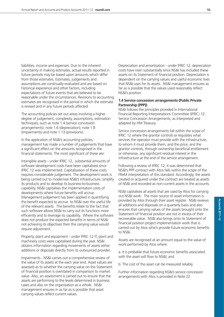liabilities, income and expenses. Due to the inherent uncertainty in making estimates, actual results reported in future periods may be based upon amounts which differ from those estimates. Estimates, judgements and assumptions are continually evaluated and are based on historical experience and other factors, including expectations of future events that are believed to be reasonable under the circumstances. Revisions to accounting estimates are recognised in the period in which the estimate is revised and in any future periods affected.

The accounting policies set out areas involving a higher degree of judgement, complexity, assumptions, estimation techniques, such as note 1.4 (service concession arrangements), note 1.6 (depreciation), note 1.8 (impairments) and note 1.13 (provisions).

In the application of NS&I's accounting policies, management has made a number of judgements that have a significant effect on the amounts recognised in the financial statements. The most significant of these are:

Intangible assets - under IFRIC 12, substantial amounts of software development costs have been capitalised since IFRIC 12 was implemented. Capitalisation of these costs requires considerable judgement. The development work is being carried out to modernise NS&I's infrastructure, simplify its products and to develop its business-to-business capability. NS&I capitalises the implementation costs of developments where future benefits will accrue. Management judgement has been applied in quantifying the benefit expected to accrue to NS&I over the useful life of the relevant assets. The benefits relate to the fact that such software allows NS&I to carry out its functions more efficiently and to leverage its capability. Where the software does not produce the expected benefits in terms of NS&I not achieving its objectives then the carrying value would require adjustment.

Property, plant and equipment - under IFRIC 12 IT, plant and machinery costs were capitalised during the year. NS&I obtains information regarding movements of assets either additions or disposals directly from its outsourced provider.

Impairments - NS&I carries out a comprehensive review of the value of its assets at the each year end. Asset values are assessed as to whether the carrying value on the Statement of financial position is overstated in comparison to market value. Also, an assessment is carried out to ensure that the assets are performing to the levels determined in business cases and also on the organisation as a whole. NS&I management ensures in as far as is possible that asset carrying values reflect current values.

Depreciation and amortisation - under IFRIC 12, depreciation costs have risen substantially since NS&I has included these assets on its Statement of financial position. Depreciation is dependent on the carrying values and useful economic lives that NS&I uses for its assets. NS&I management ensures as far as is possible that the values used reasonably reflect NS&I's position.

#### **1.4 Service concession arrangements (Public Private Partnership (PPP))**

NS&I follows the principles provided in International Financial Reporting Interpretations Committee (IFRIC) 12: Service Concession Arrangements, as interpreted and adapted by HM Treasury.

Service concession arrangements fall within the scope of IFRIC 12 where the grantor controls or regulates what services the operator must provide with the infrastructure, to whom it must provide them, and the price; and the grantor controls, through ownership beneficial entitlement or otherwise, any significant residual interest in the infrastructure at the end of the service arrangement.

Following a review of IFRIC 12, it was determined that NS&I's PPP contract with Atos falls within the scope of the FReM interpretation of this standard. Accordingly, the assets created or acquired under the contract are treated as assets of NS&I and recorded as non-current assets in the accounts.

NS&I capitalises all assets that are used by Atos for carrying out NS&I work. The main source of asset information is provided by Atos through their asset register. NS&I reviews all additions and disposals on a quarterly basis and also ensures that carrying values of the assets brought onto the Statement of financial position are not in excess of their recoverable value. NS&I also brings onto its Statement of financial position project implementation work that is carried out by Atos which provide future economic benefits to NS&I.

Assets are recognised at an amount equal to the value of work performed by Atos where:

a. It is probable that future economic benefits associated with the asset will flow to NS&I; and

b. The cost of the asset can be measured reliably.

Further information regarding NS&I's service concession arrangements with Atos is provided in Note 22.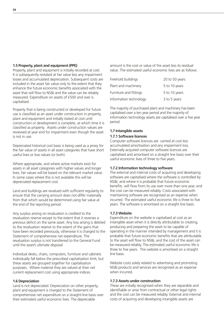#### **1.5 Property, plant and equipment (PPE)**

Property, plant and equipment is initially recorded at cost. It is subsequently restated at fair value less any impairment losses and accumulated depreciation. Subsequent costs are included in the asset fair value only to the extent that they enhance the future economic benefits associated with the asset that will flow to NS&I and the value can be reliably measured. Expenditure on assets of £500 and over is capitalised.

Property that is being constructed or developed for future use is classified as an asset under construction in property, plant and equipment and initially stated at cost until construction or development is complete, at which time it is classified as property. Assets under construction values are reviewed at year end for impairment even though the asset is not in use.

Depreciated historical cost basis is being used as a proxy for the fair value of assets in all asset categories that have short useful lives or low values (or both).

Where appropriate, and where active markets exist for assets in all asset categories with higher values and longer lives, fair values will be based on the relevant market value. In some cases where this is not available this will be depreciated replacement cost.

Land and buildings are revalued with sufficient regularity to ensure that the carrying amount does not differ materially from that which would be determined using fair value at the end of the reporting period.

Any surplus arising on revaluation is credited to the revaluation reserve except to the extent that it reverses a previous deficit on the same asset. Any loss arising is debited to the revaluation reserve to the extent of the gains that have been recorded previously, otherwise it is charged to the Statement of comprehensive net expenditure. The revaluation surplus is not transferred to the General Fund until the asset's ultimate disposal

Individual desks, chairs, computers, furniture and cabinets individually fall below the prescribed capitalisation limit, but these assets are grouped together for capitalisation purposes. Where material they are valued at their net current replacement cost using appropriate indices.

#### **1.6 Depreciation**

Land is not depreciated. Depreciation on other property, plant and equipment is charged to the Statement of comprehensive net expenditure on a straight-line basis over their estimated useful economic lives. The depreciable

amount is the cost or value of the asset less its residual value. The estimated useful economic lives are as follows:

| Freehold buildings     | 20 to 50 years |
|------------------------|----------------|
| Plant and machinery    | 5 to 10 years  |
| Furniture and fittings | 5 to 10 years  |
| Information technology | 3 to 5 years   |

The majority of purchased plant and machinery has been capitalised over a ten year period and the majority of information technology assets are capitalised over a five year period.

#### **1.7 Intangible assets**

#### **1.7.1 Software licences**

Computer software licences are carried at cost less accumulated amortisation and any impairment loss. Externally acquired computer software licences are capitalised and amortised on a straight line basis over their useful economic lives of three to five years.

#### **1.7.2 Information technology software**

The external and internal costs of acquiring and developing software are capitalised where the software is controlled by NS&I, and where it is probable that future economic benefits will flow from its use over more than one year, and the cost can be measured reliably. Costs associated with maintaining software are recognised as an expense when incurred. The estimated useful economic life is three to five years. The software is amortised on a straight line basis.

#### **1.7.3 Website**

Expenditure on the website is capitalised at cost as an intangible asset when it is directly attributable to creating, producing and preparing the asset to be capable of operating in the manner intended by management and it is probable that future economic benefits that are attributable to the asset will flow to NS&I, and the cost of the asset can be measured reliably. The estimated useful economic life is three to five years. The website is amortised on a straight line basis.

Website costs solely related to advertising and promoting NS&I products and services are recognised as an expense when incurred.

#### **1.7.3 Assets under construction**

These are initially recognised when they are separable and identifiable or arise from contractual or other legal rights and the cost can be measured reliably. External and internal costs of acquiring and developing intangible assets are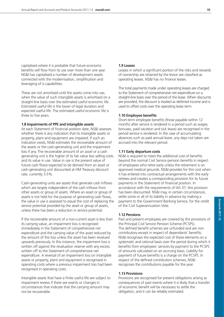capitalised where it is probable that future economic benefits will flow from its use over more than one year. NS&I has capitalised a number of development assets connected with the modernisation, simplification and leveraging of is capabilities.

These are not amortised until the assets come into use, when the value of such intangible assets is amortised on a straight-line basis over the estimated useful economic life. Estimated useful life is the lower of legal duration and expected useful life. The estimated useful economic life is three to five years.

#### **1.8 Impairments of PPE and intangible assets**

At each Statement of financial position date, NS&I assesses whether there is any indication that its intangible assets or property, plant and equipment are impaired. If such an indication exists, NS&I estimates the recoverable amount of the assets or the cash-generating unit and the impairment loss if any. The recoverable amount of an asset or a cash generating unit is the higher of its fair value less selling costs and its value in use. Value in use is the present value of future cash flows expected to be derived from an asset or cash-generating unit discounted at HM Treasury discount rate, currently 3.5%.

Cash-generating units are assets that generate cash inflows which are largely independent of the cash inflows from other assets or group of assets. Where an asset or group of assets is not held for the purpose of generating cash flows, the value in use is assessed to equal the cost of replacing the service potential provided by the asset or group of assets, unless there has been a reduction in service potential.

If the recoverable amount of a non-current asset is less than its carrying value, an impairment loss is recognised immediately in the Statement of comprehensive net expenditure and the carrying value of the asset reduced by the amount of the loss unless the asset has been revalued upwards previously. In this instance, the impairment loss is written off against the revaluation reserve with any excess written off to the Statement of comprehensive net expenditure. A reversal of an impairment loss on intangible assets or property, plant and equipment is recognised in operating costs where a previous impairment loss had been recognised in operating costs.

Intangible assets that have a finite useful life are subject to impairment review if there are events or changes in circumstances that indicate that the carrying amount may not be recoverable.

#### **1.9 Leases**

Leases in which a significant portion of the risks and rewards of ownership are retained by the lessor are classified as operating leases. NS&I has no finance leases.

The total payments made under operating leases are charged to the Statement of comprehensive net expenditure on a straight-line basis over the period of the lease. When discounts are provided, the discount is treated as deferred income and is used to offset costs over the operating lease term.

#### **1.10 Employee benefits**

Short-term employee benefits (those payable within 12 months after service is rendered in a period such as wages, bonuses, paid vacation and sick leave) are recognised in the period service is rendered. In the case of accumulating absences such as paid annual leave, any days not taken are accrued into the relevant period.

#### **1.11 Early departure costs**

NS&I is required to meet the additional cost of benefits beyond the normal Civil Service pension benefits in respect of employees who retire early unless the retirement is on approved medical grounds. NS&I provides for this cost when it has entered into contractual arrangements with the early retirees and creates a corresponding provision for its future payments in the Statement of financial position. In accordance with the requirements of IAS 37, this provision has been discounted. NS&I may, in certain circumstances, settle some or all of its liability in advance by making a payment to the Government Banking Service, for the credit of the Civil Superannuation Vote.

#### **1.12 Pensions**

Past and present employees are covered by the provisions of the Principal Civil Service Pension Scheme (PCSPS). The defined benefit schemes are unfunded and are non contributory except in respect of dependants' benefits. NS&I recognises the expected cost of these elements on a systematic and rational basis over the period during which it benefits from employees' services by payment to the PCSPS of amounts calculated on an accruing basis. Liability for payment of future benefits is a charge on the PCSPS. In respect of the defined contribution schemes, NS&I recognises the contributions payable for the year.

#### **1.13 Provisions**

Provisions are recognised for present obligations arising as consequences of past events where it is likely that a transfer of economic benefit will be necessary to settle the obligation, and it can be reliably estimated.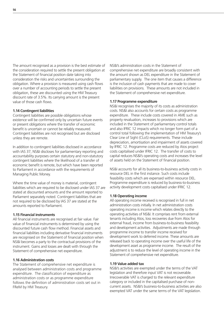The amount recognised as a provision is the best estimate of the consideration required to settle the present obligation at the Statement of financial position date taking into consideration the risks and uncertainties surrounding the obligation. Where a provision is measured using cash flows over a number of accounting periods to settle the present obligation, these are discounted using the HM Treasury discount rate of 3.5%. Its carrying amount is the present value of those cash flows.

#### **1.14 Contingent liabilities**

Contingent liabilities are possible obligations whose existence will be confirmed only by uncertain future events or present obligations where the transfer of economic benefit is uncertain or cannot be reliably measured. Contingent liabilities are not recognised but are disclosed unless they are remote.

In addition to contingent liabilities disclosed in accordance with IAS 37, NS&I discloses for parliamentary reporting and accountability purposes certain statutory and non-statutory contingent liabilities where the likelihood of a transfer of economic benefit is remote, but which have been reported to Parliament in accordance with the requirements of Managing Public Money.

Where the time value of money is material, contingent liabilities which are required to be disclosed under IAS 37 are stated at discounted amounts and the amount reported to Parliament separately noted. Contingent liabilities that are not required to be disclosed by IAS 37 are stated at the amounts reported to Parliament.

#### **1.15 Financial instruments**

All financial instruments are recognised at fair value. Fair value of financial instruments is determined by using the discounted future cash flow method. Financial assets and financial liabilities including derivative financial instruments are recognised on the Statement of financial position when NS&I becomes a party to the contractual provisions of the instrument. Gains and losses are dealt with through the Statement of comprehensive net expenditure.

#### **1.16 Administration costs**

The Statement of comprehensive net expenditure is analysed between administration costs and programme expenditure. The classification of expenditure as administration costs or as programme expenditure follows the definition of administration costs set out in FReM by HM Treasury.

NS&I's administration costs in the Statement of comprehensive net expenditure are broadly consistent with the amount shown as DEL expenditure in the Statement of parliamentary supply. The one item that causes a difference is the inclusion of cash payments that are made to cover liabilities on provisions. These amounts are not included in the Statement of comprehensive net expenditure.

#### **1.17 Programme expenditure**

NS&I recognises the majority of its costs as administration costs. NS&I also accounts for certain costs as programme expenditure. These include costs covered in AME such as property revaluation, increases to provisions which are included in the Statement of parliamentary control totals and also IFRIC 12 impacts which no longer form part of a control total following the implementation of HM Treasury's Clear Line of Sight (CLoS) requirements. These include depreciation, amortisation and impairment of assets covered by IFRIC 12. Programme costs are reduced by Atos project costs capitalised under IFRIC 12. The transfer of costs to capital reduces NS&I's operating costs and increases the level of assets held on the Statement of financial position.

NS&I accounts for all its business-to-business activity costs in resource DEL in the first instance. Such costs include feasibility costs which are expensed within resource DEL. Programme expenditure is reduced by business-to-business activity development costs capitalised under IFRIC 12.

#### **1.18 Operating income**

All operating income received is recognised in full in net administration costs initially. In net administration costs operating income is income which relates directly to the operating activities of NS&I. It comprises rent from external tenants including Atos, loss recoveries due from Atos for external fraud, income from business-to-business feasibility and development activities. Adjustments are made through programme income to transfer income received for development work to deferred income. These amounts are released back to operating income over the useful life of the development asset as programme income. The result of the adjustment is to reduce the level of operating income in the Statement of comprehensive net expenditure.

#### **1.19 Value added tax**

NS&I's activities are exempted under the terms of the VAT legislation and therefore input VAT is not recoverable. Irrecoverable VAT is charged to the relevant expenditure category or included in the capitalised purchase of noncurrent assets. NS&I's business-to-business activities are also exempted VAT under the same terms of the VAT legislation.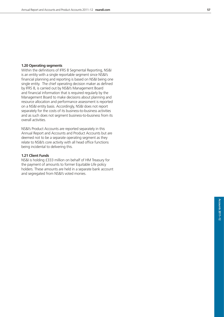#### **1.20 Operating segments**

Within the definitions of IFRS 8 Segmental Reporting, NS&I is an entity with a single reportable segment since NS&I's financial planning and reporting is based on NS&I being one single entity. The chief operating decision maker as defined by IFRS 8, is carried out by NS&I's Management Board and financial information that is required regularly by the Management Board to make decisions about planning and resource allocation and performance assessment is reported on a NS&I entity basis. Accordingly, NS&I does not report separately for the costs of its business-to-business activities and as such does not segment business-to-business from its overall activities.

NS&I's Product Accounts are reported separately in this Annual Report and Accounts and Product Accounts but are deemed not to be a separate operating segment as they relate to NS&I's core activity with all head office functions being incidental to delivering this.

#### **1.21 Client Funds**

NS&I is holding £333 million on behalf of HM Treasury for the payment of amounts to former Equitable Life policy holders. These amounts are held in a separate bank account and segregated from NS&I's voted monies.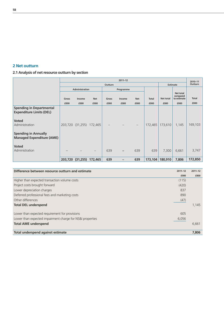

**2.1 Analysis of net resource outturn by section**

|                                                                    | $2011 - 12$ |                          |            |                |                   |            | 2010-11      |                  |                       |              |
|--------------------------------------------------------------------|-------------|--------------------------|------------|----------------|-------------------|------------|--------------|------------------|-----------------------|--------------|
|                                                                    |             |                          |            | <b>Outturn</b> |                   |            |              | <b>Estimate</b>  | Outturn               |              |
|                                                                    |             | <b>Administration</b>    |            |                | Programme         |            |              |                  |                       |              |
|                                                                    |             |                          |            |                |                   |            |              |                  | Net total<br>compared |              |
|                                                                    | Gross       | Income                   | <b>Net</b> | Gross          | Income            | <b>Net</b> | <b>Total</b> | <b>Net total</b> | to estimate           | <b>Total</b> |
|                                                                    | £000        | £000                     | £000       | £000           | £000              | £000       | £000         | £000             | £000                  | £000         |
| <b>Spending in Departmental</b><br><b>Expenditure Limits (DEL)</b> |             |                          |            |                |                   |            |              |                  |                       |              |
| <b>Voted</b><br>Administration                                     |             | 203,720 (31,255) 172,465 |            |                |                   |            | 172,465      | 173,610          | 1,145                 | 169,103      |
| <b>Spending in Annually</b><br><b>Managed Expenditure (AME)</b>    |             |                          |            |                |                   |            |              |                  |                       |              |
| <b>Voted</b><br>Administration                                     |             |                          |            | 639            | $\qquad \qquad -$ | 639        | 639          | 7,300            | 6,661                 | 3,747        |
|                                                                    |             | 203,720 (31,255) 172,465 |            | 639            | -                 | 639        | 173,104      | 180,910          | 7,806                 | 172,850      |

| Difference between resource outturn and estimate          | $2011 - 12$ | $2011 - 12$ |
|-----------------------------------------------------------|-------------|-------------|
|                                                           | £000        | £000        |
| Higher than expected transaction volume costs             | (115)       |             |
| Project costs brought forward                             | (420)       |             |
| Lower depreciation charges                                | 837         |             |
| Deferred professional fees and marketing costs            | 890         |             |
| Other differences                                         | (47)        |             |
| <b>Total DEL underspend</b>                               |             | 1,145       |
| Lower than expected requirement for provisions            | 605         |             |
| Lower than expected impairment charge for NS&I properties | 6,056       |             |
| <b>Total AME underspend</b>                               |             | 6,661       |
| Total underspend against estimate                         |             | 7,806       |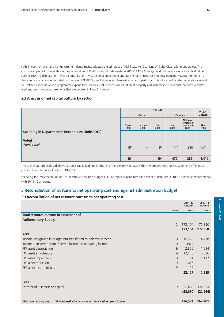NS&I in common with all other government departments adopted the principles of HM Treasury's Clear Line of Sight (CLoS) alignment project. The outcome impacted considerably in the presentation of NS&I's financial statements. In 2010-11 NS&I's Budget and Estimates included non budget items such as IFRIC 12 depreciation, IFRIC 12 amortisation, IFRIC 12 asset impairment and transfer of running costs to development. However for 2011-12 these items are no longer included on the face of NS&I's Supply Estimate and hence do not form part of a control total. Administration costs include all DEL related expenditure and programme expenditure includes AME elements (revaluation of property and increases to provisions) that form a control total and also non budget elements that are detailed in Note 3.1 below.

#### **2.2 Analysis of net capital outturn by section**

|                                                          |               | $2010 - 11$              |                    |                    |                                              |                    |
|----------------------------------------------------------|---------------|--------------------------|--------------------|--------------------|----------------------------------------------|--------------------|
|                                                          |               | Outturn                  |                    | Estimate           |                                              | Outturn            |
|                                                          | Gross<br>£000 | Income<br>£000           | <b>Net</b><br>£000 | <b>Net</b><br>£000 | Net total<br>compared<br>to estimate<br>£000 | <b>Net</b><br>£000 |
| <b>Spending in Departmental Expenditure Limits (DEL)</b> |               |                          |                    |                    |                                              |                    |
| <b>Voted</b><br>Administration                           | 191           | $\overline{\phantom{m}}$ | 191                | 477                | 286                                          | 1,415              |
|                                                          | 191           | -                        | 191                | 477                | 286                                          | 1,415              |

The capital outturn disclosed above excludes capitalised Public Private Partnership provider assets that are brought onto NS&I's Statement of financial position through the application of IFRIC 12.

Following the implementation of HM Treasury's CLoS, non budget IFRIC 12 capital expenditure has been excluded from 2010-11 numbers for consistency with 2011-12 amounts.

#### **3 Reconciliation of outturn to net operating cost and against administration budget**

#### **3.1 Reconciliation of net resource outturn to net operating cost**

|                                                                  |             | $2011 - 12$<br>Outturn | 2010-11<br>Outturn |
|------------------------------------------------------------------|-------------|------------------------|--------------------|
|                                                                  | <b>Note</b> | £000                   | £000               |
| Total resource outturn in Statement of                           |             |                        |                    |
| <b>Parliamentary Supply</b>                                      |             |                        |                    |
|                                                                  | 2           | 173,104                | 172,850            |
|                                                                  |             | 173,104                | 172,850            |
| Add:                                                             |             |                        |                    |
| Income recognised in budget but transferred to deferred income   | 10          | 15,580                 | 4,478              |
| Income transferred from deferred income to operating income      | 10          | (921)                  |                    |
| PPP asset depreciation                                           | 9           | 2,855                  | 1,584              |
| PPP asset amortisation                                           | 9           | 12,138                 | 5,336              |
| PPP asset impairment                                             | 9           | 791                    | 1,117              |
| PPP asset reduction                                              | 9           | 1,655                  |                    |
| PPP asset loss on disposal                                       | 9           | 29                     |                    |
|                                                                  |             | 32,127                 | 12,515             |
| Less:                                                            |             |                        |                    |
| Transfer of PPP costs to capital                                 | 9           | (28, 650)              | (22, 964)          |
|                                                                  |             | (28, 650)              | (22, 964)          |
| Net operating cost in Statement of comprehensive net expenditure |             | 176,581                | 162,401            |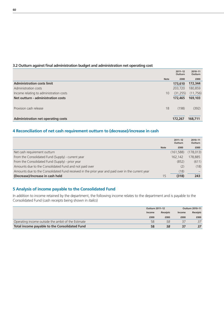#### **3.2 Outturn against final administration budget and administration net operating cost**

|                                           |             | $2011 - 12$<br>Outturn | 2010-11<br>Outturn |
|-------------------------------------------|-------------|------------------------|--------------------|
|                                           | <b>Note</b> | £000                   | £000               |
| <b>Administration costs limit</b>         |             | 173,610                | 172,344            |
| Administration costs                      |             | 203,720                | 180,859            |
| Income relating to administration costs   | 10          | (31, 255)              | (11, 756)          |
| Net outturn - administration costs        |             | 172,465                | 169,103            |
|                                           |             |                        |                    |
| Provision cash release                    | 18          | (198)                  | (392)              |
|                                           |             |                        |                    |
| <b>Administration net operating costs</b> |             | 172,267                | 168,711            |

# **4 Reconciliation of net cash requirement outturn to (decrease)/increase in cash**

|                                                                                                   |             | $2011 - 12$<br>Outturn | 2010-11<br>Outturn |
|---------------------------------------------------------------------------------------------------|-------------|------------------------|--------------------|
|                                                                                                   | <b>Note</b> | £000                   | £000               |
| Net cash requirement outturn                                                                      |             | (161, 588)             | (178, 013)         |
| From the Consolidated Fund (Supply) - current year                                                |             | 162.142                | 178,885            |
| From the Consolidated Fund (Supply) - prior year                                                  |             | (852)                  | (611)              |
| Amounts due to the Consolidated Fund and not paid over                                            |             | (2)                    | (18)               |
| Amounts due to the Consolidated Fund received in the prior year and paid over in the current year |             | (18)                   |                    |
| (Decrease)/Increase in cash held                                                                  | 15          | (318)                  | 243                |

# **5 Analysis of income payable to the Consolidated Fund**

In addition to income retained by the department, the following income relates to the department and is payable to the Consolidated Fund (cash receipts being shown in *italics*)

|                                                    | <b>Outturn 2011-12</b> |                 |        | <b>Outturn 2010-11</b> |
|----------------------------------------------------|------------------------|-----------------|--------|------------------------|
|                                                    | Income                 | <b>Receipts</b> | Income | <b>Receipts</b>        |
|                                                    | £000                   | £000            | £000   | £000                   |
| Operating income outside the ambit of the Estimate | 58                     | 58              | 37     | 37                     |
| Total income payable to the Consolidated Fund      | 58                     | 58              | 37     | 37                     |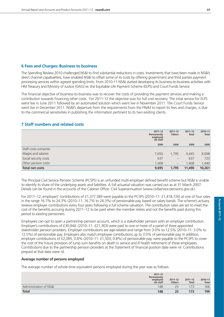#### **6 Fees and Charges: Business to business**

The Spending Review 2010 challenged NS&I to find substantial reductions in costs. Investments that have been made in NS&I's direct channel capabailities, have enabled NS&I to offset some of its costs by offering government and third parties payment processing services within agreed spending limits. From 2010-11 NS&I started developing its business-to-business activities with HM Treasury and Ministry of Justice (OAG) re: the Equitable Life Payment Scheme (ELPS) and Court Funds Service.

The financial objective of business-to-business was to recover the costs of providing the payment services and making a contribution towards financing other costs. For 2011-12 the objective was for full cost recovery. The intial service for ELPS went live in June 2011 followed by an automated solution which went live in November 2011. The Court Funds Service went live in December 2011. NS&I's departure from the requirements from the FReM to report its fees and charges, is due to the commercial sensitivities in publishing the information pertinent to its two existing clients.

### **7 Staff numbers and related costs**

|                        | $2011 - 12$<br>Permanently<br>employed<br><b>UK staff</b> | $2011 - 12$<br><b>Others</b> | $2011 - 12$<br><b>Total</b> | 2010-11<br><b>Total</b> |
|------------------------|-----------------------------------------------------------|------------------------------|-----------------------------|-------------------------|
|                        | £000                                                      | £000                         | £000                        | £000                    |
| Staff costs comprise:  |                                                           |                              |                             |                         |
| Wages and salaries     | 7,650                                                     | 1.795                        | 9,445                       | 8,098                   |
| Social security costs  | 637                                                       | $\overline{\phantom{m}}$     | 637                         | 723                     |
| Other pension costs    | 1,408                                                     | $\overline{\phantom{m}}$     | 1,408                       | 1,440                   |
| <b>Total net costs</b> | 9,695                                                     | 1,795                        | 11,490                      | 10,261                  |

The Principal Civil Service Pension Scheme (PCSPS) is an unfunded multi-employer defined benefit scheme but NS&I is unable to identify its share of the underlying assets and liabilities. A full actuarial valuation was carried out as at 31 March 2007. Details can be found in the accounts of the Cabinet Office: Civil Superannuation (www.civilservice-pensions.gov.uk).

For 2011–12, employers' contributions of £1,377,389 were payable to the PCSPS (2010–11: £1,418,726) at one of four rates in the range 16.7% to 24.3% (2010–11: 16.7% to 24.3%) of pensionable pay, based on salary bands. The scheme's actuary reviews employer contributions every four years following a full scheme valuation. The contribution rates are set to meet the cost of the benefits accruing during 2011–12 to be paid when the member retires and not the benefits paid during this period to existing pensioners.

Employees can opt to open a partnership pension account, which is a stakeholder pension with an employer contribution. Employer's contributions of £30,944 (2010–11: £21,303) were paid to one or more of a panel of three appointed stakeholder pension providers. Employer contributions are age-related and range from 3.0% to 12.5% (2010–11: 3.0% to 12.5%) of pensionable pay. Employers also match employee contributions up to 3.0% of pensionable pay. In addition, employer contributions of £2,095, 0.8% (2010–11: £1,503, 0.8%) of pensionable pay, were payable to the PCSPS to cover the cost of the future provision of lump sum benefits on death in service and ill health retirement of these employees. Contributions due to the partnership pension providers at the Statement of financial position date were nil. Contributions prepaid at that date were nil.

#### **Average number of persons employed**

The average number of whole-time equivalent persons employed during the year was as follows.

|                        | $2011 - 12$<br>Permanently<br>employed<br>UK staff | $2011 - 12$<br><b>Others</b> | $2011 - 12$<br><b>Total</b> | 2010-11<br>Total |
|------------------------|----------------------------------------------------|------------------------------|-----------------------------|------------------|
| Administration of NS&L | 148                                                |                              |                             | 166              |
| <b>Total</b>           | 148                                                | 25                           | 173                         | 166              |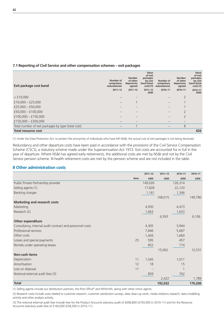#### **7.1 Reporting of Civil Service and other compensation schemes – exit packages**

| Exit package cost band                             | Number of<br>compulsory<br><b>redundancies</b> | <b>Number</b><br>of other<br>departures<br>agreed | Value<br>of exit<br>packages<br>by cost<br>band (total<br>$cost)$ (1) | Number of<br>compulsory<br>redundancies | <b>Number</b><br>of other<br>departures<br>agreed | Value<br>of exit<br>packages<br>by cost<br>band (total<br>$cost)$ (1) |
|----------------------------------------------------|------------------------------------------------|---------------------------------------------------|-----------------------------------------------------------------------|-----------------------------------------|---------------------------------------------------|-----------------------------------------------------------------------|
|                                                    | $2011 - 12$                                    | $2011 - 12$                                       | $2011 - 12$<br>£000                                                   | 2010-11                                 | 2010-11                                           | 2010-11<br>£000                                                       |
| $<$ £10,000                                        |                                                |                                                   |                                                                       |                                         | $\overline{2}$                                    |                                                                       |
| $£10,000 - £25,000$                                |                                                |                                                   |                                                                       |                                         |                                                   |                                                                       |
| £25,000 $-$ £50,000                                |                                                |                                                   |                                                                       |                                         |                                                   |                                                                       |
| $£50,000 - £100,000$                               |                                                |                                                   |                                                                       |                                         | $\overline{2}$                                    |                                                                       |
| £100,000 $-$ £150,000                              |                                                |                                                   |                                                                       |                                         | $\overline{2}$                                    |                                                                       |
| £150,000 - £200,000                                |                                                |                                                   |                                                                       |                                         |                                                   |                                                                       |
| Total number of exit packages by type (total cost) |                                                |                                                   |                                                                       |                                         | 8                                                 |                                                                       |
| <b>Total resource cost</b>                         |                                                |                                                   |                                                                       |                                         |                                                   | 426                                                                   |

(1) Under the Data Protection Act, to protect the anonymity of individuals who have left NS&I, the actual cost of exit packages is not being disclosed.

Redundancy and other departure costs have been paid in accordance with the provisions of the Civil Service Compensation Scheme (CSCS), a statutory scheme made under the Superannuation Act 1972. Exit costs are accounted for in full in the year of departure. Where NS&I has agreed early retirements, the additional costs are met by NS&I and not by the Civil Service pension scheme. Ill-health retirement costs are met by the pension scheme and are not included in the table.

# **8 Other administration costs**

|                                                          |             | $2011 - 12$ | $2011 - 12$ | 2010-11 | 2010-11 |
|----------------------------------------------------------|-------------|-------------|-------------|---------|---------|
|                                                          | <b>Note</b> | £000        | £000        | £000    | £000    |
| Public Private Partnership provider                      |             | 149,026     |             | 126,314 |         |
| Selling agents (1)                                       |             | 17,828      |             | 22,120  |         |
| Banking charges                                          |             | 1,161       |             | 1,346   |         |
|                                                          |             |             | 168,015     |         | 149,780 |
| <b>Marketing and research costs</b>                      |             |             |             |         |         |
| Marketing                                                |             | 4,930       |             | 4,473   |         |
| Research (2)                                             |             | 1,663       |             | 1,633   |         |
|                                                          |             |             | 6,593       |         | 6,106   |
| Other expenditure                                        |             |             |             |         |         |
| Consultancy, internal audit contract and personnel costs |             | 4,305       |             | 3,944   |         |
| Professional services                                    |             | 7,846       |             | 5,687   |         |
| Other costs                                              |             | 1,404       |             | 1,669   |         |
| Losses and special payments                              | 25          | 595         |             | 457     |         |
| Rentals under operating leases                           |             | 852         |             | 774     |         |
|                                                          |             |             | 15,002      |         | 12,531  |
| Non-cash items                                           |             |             |             |         |         |
| Depreciation                                             | 11          | 1,545       |             | 1,011   |         |
| Amortisation                                             | 12          | 18          |             | 15      |         |
| Loss on disposal                                         | 11          |             |             |         |         |
| Notional external audit fees (3)                         |             | 859         |             | 762     |         |
|                                                          |             |             | 2,422       |         | 1,789   |
| <b>Total</b>                                             |             |             | 192,032     |         | 170,206 |

(1) Selling agents include our distribution partners, the Post Office® and WHSmith, along with other minor agents.

(2) Research costs include costs related to customer research, customer satisfaction surveys, data clean-up work, media relations research, data modelling activity and other analysis activity.

(3) The notional external audit fees include fees for the Product Accounts statutory audit of £698,800 (£703,000 in 2010-11) and for the Resource Accounts statutory audit fees of £160,000 (£58,500 in 2010–11).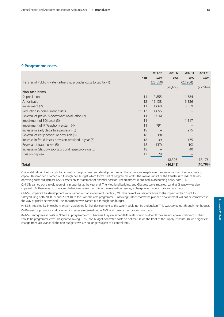# **9 Programme costs**

|                                                                      |             | $2011 - 12$ | $2011 - 12$ | 2010-11   | 2010-11   |
|----------------------------------------------------------------------|-------------|-------------|-------------|-----------|-----------|
|                                                                      | <b>Note</b> | £000        | £000        | £000      | £000      |
| Transfer of Public Private Partnership provider costs to capital (1) |             | (28, 650)   |             | (22, 964) |           |
|                                                                      |             |             | (28, 650)   |           | (22, 964) |
| <b>Non-cash items</b>                                                |             |             |             |           |           |
| Depreciation                                                         | 11          | 2,855       |             | 1,584     |           |
| Amortisation                                                         | 12          | 12,138      |             | 5,336     |           |
| Impairment (2)                                                       | 11          | 1,660       |             | 3,659     |           |
| Reduction in non-current assets                                      | 11, 12      | 1,655       |             |           |           |
| Reversal of previous downward revaluation (2)                        | 11          | (716)       |             |           |           |
| Impairment of EOI asset (3)                                          | 11          |             |             | 1,117     |           |
| Impairment of IP Telephony system (4)                                | 11          | 791         |             |           |           |
| Increase in early departure provision (5)                            | 18          |             |             | 275       |           |
| Reversal of early departure provision (5)                            | 18          | (9)         |             |           |           |
| Increase in fraud losses provision provided in year (5)              | 18          | 39          |             | 175       |           |
| Reversal of fraud losses (5)                                         | 18          | (137)       |             | (10)      |           |
| Increase in Glasgow sports ground lease provision (5)                | 18          |             |             | 40        |           |
| Loss on disposal                                                     | 12          | 29          |             |           |           |
|                                                                      |             |             | 18,305      |           | 12,176    |
| <b>Total</b>                                                         |             |             | (10, 345)   |           | (10, 788) |

(1) Capitalisation of Atos costs for infrastructure purchase and development work. These costs are negative as they are a transfer of service costs to capital. This transfer is carried out through non budget which forms part of programme costs. The overall impact of the transfer is to reduce NS&I's operating costs but increase NS&I's assets on its Statement of financial position. The treatment is outlined in accounting policy note 1.17.

(2) NS&I carried out a revaluation of its properties at the year end. The Moorland building, and Glasgow were impaired. Land at Glasgow was also impaired. As there was no unrealised balance remaining for this in the revaluation reserve, a charge was made to programme costs.

(3) NS&I impaired the development work carried out on evidence of identity (EOI). This project was deferred due to the impact of the "flight to safety"during both 2008-09 and 2009-10 to focus on the core programme. Following further review the planned development will not be completed in the way originally determined. The impairment was carried out through non budget.

(4) NS&I impaired its IP telephony system as planned further development to the system could not be undertaken. This was carried out through non budget.

(5) Reversal of provisions and provision increases are carried out in AME and form part of programme costs.

(6) NS&I recognises all costs in Note 9 as programme costs because they are either AME costs or non budget. If they are not administration costs they should be programme costs. This year following CLoS, non budget non voted costs do not feature on the front of the Supply Estimate. This is a significant change from last year as all the non budget costs are no longer subject to a control total.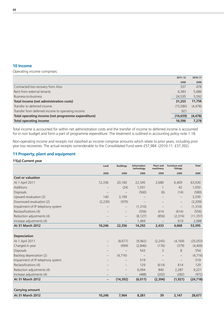#### **10 Income**

Operating income comprises:

|                                                    | $2011 - 12$ | 2010-11  |
|----------------------------------------------------|-------------|----------|
|                                                    | £000        | £000     |
| Contracted loss recovery from Atos                 | 337         | 478      |
| Rent from external tenants                         | 6,383       | 5,686    |
| Business-to-business                               | 24,535      | 5,592    |
| Total income (net administration costs)            | 31,255      | 11,756   |
| Transfer to deferred income                        | (15,580)    | (4, 478) |
| Transfer from deferred income to operating income  | 921         |          |
| Total operating income (net programme expenditure) | (14, 659)   | (4, 478) |
| <b>Total operating income</b>                      | 16,596      | 7,278    |

Total income is accounted for within net administration costs and the transfer of income to deferred income is accounted for in non budget and form a part of programme expenditure. The treatment is outlined in accounting policy note 1.18.

Non-operating income and receipts not classified as income comprise amounts which relate to prior years, including prior year loss recoveries. The actual receipts surrenderable to the Consolidated Fund were £57,984 (2010-11: £37,392).

#### **11 Property, plant and equipment**

#### **11(a) Current year**

|                                   | Land     | <b>Buildings</b>  | <b>Information</b><br>technology | <b>Plant and</b><br>machinery | <b>Furniture and</b><br>fittings | <b>Total</b> |
|-----------------------------------|----------|-------------------|----------------------------------|-------------------------------|----------------------------------|--------------|
|                                   | £000     | £000              | £000                             | £000                          | £000                             | £000         |
| <b>Cost or valuation</b>          |          |                   |                                  |                               |                                  |              |
| At 1 April 2011                   | 12,336   | 20,160            | 22,345                           | 2,680                         | 6,409                            | 63,930       |
| Additions                         |          | (24)              | 1,031                            |                               | 42                               | 1,050        |
| Disposals                         |          |                   | (560)                            | (6)                           | (14)                             | (580)        |
| Upward revaluation (2)            | 140      | 3,199             |                                  |                               | —                                | 3,339        |
| Downward revaluation (2)          | (2, 230) | (979)             |                                  |                               |                                  | (3,209)      |
| Impairment of IP telephony system |          |                   | (1,310)                          |                               | $\overline{\phantom{m}}$         | (1,310)      |
| Reclassifications (4)             |          |                   | (556)                            | 614                           | (614)                            | (556)        |
| Reduction adjustments (4)         |          |                   | (8, 127)                         | (856)                         | (2,374)                          | (11, 357)    |
| Increase adjustments (4)          |          |                   | 1,469                            |                               | 619                              | 2,088        |
| <b>At 31 March 2012</b>           | 10,246   | 22,356            | 14,292                           | 2,433                         | 4,068                            | 53,395       |
|                                   |          |                   |                                  |                               |                                  |              |
| <b>Depreciation</b>               |          |                   |                                  |                               |                                  |              |
| At 1 April 2011                   |          | (8,677)           | (9,962)                          | (2, 245)                      | (4, 169)                         | (25,053)     |
| Charged in year                   |          | (999)             | (2,846)                          | (176)                         | (379)                            | (4,400)      |
| Disposals                         |          |                   | 543                              | 3                             | 8                                | 554          |
| Backlog depreciation (2)          | —        | (4, 716)          |                                  |                               |                                  | (4,716)      |
| Impairment of IP telephony system |          |                   | 519                              |                               |                                  | 519          |
| Reclassifications (4)             |          |                   | 129                              | (614)                         | 614                              | 129          |
| Reduction adjustments (4)         |          | $\qquad \qquad -$ | 6,094                            | 840                           | 2,287                            | 9,221        |
| Increase adjustments (4)          |          |                   | (488)                            | (202)                         | (282)                            | (972)        |
| At 31 March 2012                  | -        | (14, 392)         | (6,011)                          | (2,394)                       | (1, 921)                         | (24, 718)    |
|                                   |          |                   |                                  |                               |                                  |              |
| <b>Carrying amount</b>            |          |                   |                                  |                               |                                  |              |
| <b>At 31 March 2012</b>           | 10,246   | 7,964             | 8,281                            | 39                            | 2,147                            | 28,677       |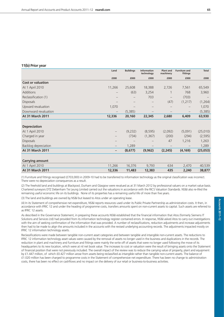#### **11(b) Prior year**

|                          | Land                     | <b>Buildings</b>                | <b>Information</b><br>technology | <b>Plant and</b><br>machinery | <b>Furniture and</b><br>fittings | <b>Total</b> |
|--------------------------|--------------------------|---------------------------------|----------------------------------|-------------------------------|----------------------------------|--------------|
|                          | £000                     | £000                            | £000                             | £000                          | £000                             | £000         |
| <b>Cost or valuation</b> |                          |                                 |                                  |                               |                                  |              |
| At 1 April 2010          | 11,266                   | 25,608                          | 18,388                           | 2,726                         | 7,561                            | 65,549       |
| <b>Additions</b>         |                          | (63)                            | 3,254                            |                               | 768                              | 3,960        |
| Reclassification (1)     |                          | $\qquad \qquad -$               | 703                              |                               | (703)                            |              |
| Disposals                |                          | $\hspace{0.1mm}-\hspace{0.1mm}$ |                                  | (47)                          | (1, 217)                         | (1,264)      |
| Upward revaluation       | 1,070                    |                                 |                                  |                               |                                  | 1,070        |
| Downward revaluation     |                          | (5,385)                         |                                  |                               | $\qquad \qquad -$                | (5,385)      |
| <b>At 31 March 2011</b>  | 12,336                   | 20,160                          | 22,345                           | 2,680                         | 6,409                            | 63,930       |
|                          |                          |                                 |                                  |                               |                                  |              |
| <b>Depreciation</b>      |                          |                                 |                                  |                               |                                  |              |
| At 1 April 2010          | $\overline{\phantom{m}}$ | (9,232)                         | (8, 595)                         | (2,092)                       | (5,091)                          | (25,010)     |
| Charged in year          | $\qquad \qquad -$        | (734)                           | (1, 367)                         | (200)                         | (294)                            | (2, 595)     |
| Disposals                | —                        |                                 |                                  | 47                            | 1,216                            | 1,263        |
| Backlog depreciation     | $\qquad \qquad -$        | 1,289                           |                                  |                               |                                  | 1,289        |
| <b>At 31 March 2011</b>  | -                        | (8,677)                         | (9,962)                          | (2,245)                       | (4, 169)                         | (25,053)     |
|                          |                          |                                 |                                  |                               |                                  |              |
| <b>Carrying amount</b>   |                          |                                 |                                  |                               |                                  |              |

| April 2010<br>At 1      | 1.266  | 16.3/6 | 9,793  | 634 | 2.470 | 40,539 |
|-------------------------|--------|--------|--------|-----|-------|--------|
| <b>At 31 March 2011</b> | 12,336 | 11,483 | 12,383 | 435 | 2,240 | 38,877 |

(1) Furniture and fittings recognised (£703,000) in 2009-10 had to be transferred to information technology as the original classification was incorrect. There were no depreciation consequences as a result.

(2) The freehold land and buildings at Blackpool, Durham and Glasgow were revalued as at 31 March 2012 by professional valuers on a market value basis. Chartered surveyors DTZ Debenham Tie Leung Limited carried out the valuations in accordance with the RICS Valuation Standards. NS&I also re-lifed the remiaining useful economic life on its buildings. None of its properties has a remaining useful life of more than five years.

(3) The land and buildings are owned by NS&I but leased to Atos under an operating lease.

(4) In its Statement of comprehensive net expenditure, NS&I reports resources used under its Public Private Partnership as administration costs. It then, in accordance with IFRIC 12 and under the heading of programme costs, transfers amounts spent on non-current assets to capital. Such assets are referred to as IFRIC 12 assets.

As described in the Governance Statement, in preparing these accounts NS&I established that the financial information that Atos (formerly Siemens IT Solutions and Services Ltd) had provided from its information technology register contained errors. In response, NS&I asked Atos to carry out investigations with the aim of seeking confirmation of the information that was provided. A number of reclassifications, reduction adjustments and increase adjustments then had to be made to align the amounts included in the accounts with the revised underlying accounting records. The adjustments impacted mostly on IFRIC 12 information technology assets.

Reclassifications were made between tangible non-current asset categories and between tangible and intangible non-current assets. The reductions to IFRIC 12 information technology asset values were caused by the removal of assets no longer used in the business and duplications in the records. The reduction in plant and machinery and furniture and fittings were mainly the write off of assets that were no longer used following the move of its headquarters to its new location, which were at nil net book value. The increases to cost or valuation were the result of bringing assets onto the Statement of financial position that were not previously included. The overall impact of the review was to reduce the carrying value of property, plant and equipment by £1.447 million, of which £0.427 million arose from assets being reclassified as intangible rather than tangible non-current assets. The balance of £1.020 million has been charged to programme costs in the Statement of comprehensive net expenditure. There has been no change to administration costs, there has been no effect on cashflows and no impact on the delivery of our retail or business-to-business activities.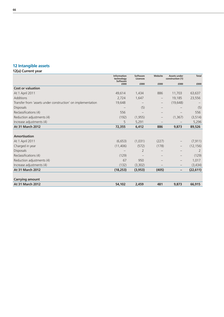# **12 Intangible assets**

# **12(a) Current year**

|                                                             | <b>Information</b><br>technology<br><b>Software</b> | Software<br>Licences | Website           | <b>Assets under</b><br>construction (1) | <b>Total</b> |
|-------------------------------------------------------------|-----------------------------------------------------|----------------------|-------------------|-----------------------------------------|--------------|
|                                                             | £000                                                | £000                 | £000              | £000                                    | £000         |
| <b>Cost or valuation</b>                                    |                                                     |                      |                   |                                         |              |
| At 1 April 2011                                             | 49,614                                              | 1,434                | 886               | 11,703                                  | 63,637       |
| <b>Additions</b>                                            | 2,724                                               | 1,647                |                   | 19,185                                  | 23,556       |
| Transfer from 'assets under construction' on implementation | 19,648                                              |                      | $\qquad \qquad -$ | (19, 648)                               |              |
| <b>Disposals</b>                                            |                                                     | (5)                  |                   |                                         | (5)          |
| Reclassifications (4)                                       | 556                                                 |                      |                   |                                         | 556          |
| Reduction adjustments (4)                                   | (192)                                               | (1, 955)             | $\qquad \qquad -$ | (1, 367)                                | (3, 514)     |
| Increase adjustments (4)                                    | 5                                                   | 5,291                |                   |                                         | 5,296        |
| At 31 March 2012                                            | 72,355                                              | 6,412                | 886               | 9,873                                   | 89,526       |
|                                                             |                                                     |                      |                   |                                         |              |
| <b>Amortisation</b>                                         |                                                     |                      |                   |                                         |              |
| At 1 April 2011                                             | (6,653)                                             | (1,031)              | (227)             |                                         | (7, 911)     |
| Charged in year                                             | (11, 406)                                           | (572)                | (178)             | $\qquad \qquad -$                       | (12, 156)    |
| <b>Disposals</b>                                            |                                                     | $\overline{2}$       |                   |                                         | 2            |
| Reclassifications (4)                                       | (129)                                               |                      |                   | $\qquad \qquad -$                       | (129)        |
| Reduction adjustments (4)                                   | 67                                                  | 950                  |                   | $\qquad \qquad -$                       | 1,017        |
| Increase adjustments (4)                                    | (132)                                               | (3,302)              |                   |                                         | (3,434)      |
| <b>At 31 March 2012</b>                                     | (18, 253)                                           | (3, 953)             | (405)             | -                                       | (22, 611)    |
|                                                             |                                                     |                      |                   |                                         |              |
| <b>Carrying amount</b>                                      |                                                     |                      |                   |                                         |              |
| <b>At 31 March 2012</b>                                     | 54,102                                              | 2,459                | 481               | 9,873                                   | 66,915       |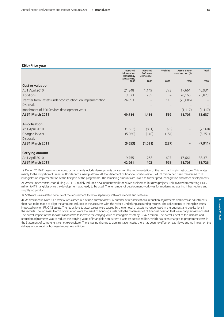#### **12(b) Prior year**

|                                                             | <b>Restated</b><br><b>Information</b><br>technology<br>Software (3) | <b>Restated</b><br>Software<br>Licences (3) | Website                         | <b>Assets under</b><br>construction (1) | <b>Total</b>                    |
|-------------------------------------------------------------|---------------------------------------------------------------------|---------------------------------------------|---------------------------------|-----------------------------------------|---------------------------------|
|                                                             | £000                                                                | £000                                        | £000                            | £000                                    | £000                            |
| <b>Cost or valuation</b>                                    |                                                                     |                                             |                                 |                                         |                                 |
| At 1 April 2010                                             | 21,348                                                              | 1,149                                       | 773                             | 17,661                                  | 40,931                          |
| <b>Additions</b>                                            | 3,373                                                               | 285                                         | $\overline{\phantom{m}}$        | 20,165                                  | 23,823                          |
| Transfer from 'assets under construction' on implementation | 24,893                                                              | $\overline{\phantom{m}}$                    | 113                             | (25,006)                                |                                 |
| <b>Disposals</b>                                            |                                                                     | $\overline{\phantom{m}}$                    | $\hspace{0.1mm}-\hspace{0.1mm}$ |                                         | $\hspace{0.1mm}-\hspace{0.1mm}$ |
| Impairment of EOI Services development work                 |                                                                     | $\qquad \qquad -$                           | $\qquad \qquad -$               | (1, 117)                                | (1, 117)                        |
| <b>At 31 March 2011</b>                                     | 49,614                                                              | 1,434                                       | 886                             | 11,703                                  | 63,637                          |
|                                                             |                                                                     |                                             |                                 |                                         |                                 |
| <b>Amortisation</b>                                         |                                                                     |                                             |                                 |                                         |                                 |
| At 1 April 2010                                             | (1, 593)                                                            | (891)                                       | (76)                            |                                         | (2,560)                         |
| Charged in year                                             | (5,060)                                                             | (140)                                       | (151)                           |                                         | (5, 351)                        |
| <b>Disposals</b>                                            |                                                                     |                                             | $\overline{\phantom{m}}$        | —                                       |                                 |
| <b>At 31 March 2011</b>                                     | (6, 653)                                                            | (1,031)                                     | (227)                           | -                                       | (7, 911)                        |
|                                                             |                                                                     |                                             |                                 |                                         |                                 |
| <b>Carrying amount</b>                                      |                                                                     |                                             |                                 |                                         |                                 |
| At 1 April 2010                                             | 19,755                                                              | 258                                         | 697                             | 17,661                                  | 38,371                          |
| <b>At 31 March 2011</b>                                     | 42,961                                                              | 403                                         | 659                             | 11,703                                  | 55,726                          |

1) During 2010-11 assets under construction mainly include developments concerning the implementation of the new banking infrastructure. This relates mainly to the migration of Premium Bonds onto a new platform. At the Statement of financial position date, £24.89 million had been transferred to IT intangibles on implementation of the first part of the programme. The remaining amounts are linked to further product migration and other developments.

2) Assets under construction during 2011-12 mainly included development work for NS&I's business-to-business projects. This involved transferring £14.91 million to IT intangibles once the development was ready to be used. The remainder of development work was for modernising existing infrastructure and simplifying products.

3) Software was restated because of the requirement to show separately software licences and software.

4) As described in Note 11 a review was carried out of non-current assets. A number of reclassifications, reduction adjustments and increase adjustments then had to be made to align the amounts included in the accounts with the revised underlying accounting records. The adjustments to intangible assets impacted only on IFRIC 12 assets. The reductions to asset values were caused by the removal of assets no longer used in the business and duplications in the records. The increases to cost or valuation were the result of bringing assets onto the Statement of of financial position that were not previosly included. The overall impact of the reclassifications was to increase the carrying value of intangible assets by £0.427 million. The overall effect of the increase and reduction adjustments was to reduce the carrying value of intangible non-current assets by £0.635 million, which has been charged to programme costs in the Statement of comprehensive net expenditure. There was no change to administration costs, there has been no effect on cashflows and no impact on the delivery of our retail or business-to-business activities.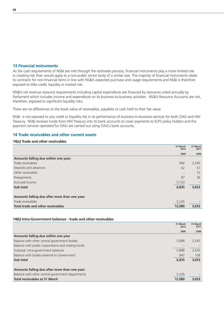#### **13 Financial instruments**

As the cash requirements of NS&I are met through the estimates process, financial instruments play a more limited role in creating risk than would apply to a non-public sector body of a similar size. The majority of financial instruments relate to contracts for non-financial items in line with NS&I's expected purchase and usage requirements and NS&I is therefore exposed to little credit, liquidity or market risk.

NS&I's net revenue resource requirements including capital expenditure are financed by resources voted annually by Parliament which includes income and expenditute on its business-to-business activities. NS&I's Resource Accounts are not, therefore, exposed to significant liquidity risks.

There are no differences to the book value of receivables, payables or cash held to their fair value.

NS&I is not exposed to any credit or liquidity risk in its performance of business-to-business services for both OAG and HM Treasury. NS&I receives funds from HM Treasury into its bank accounts to cover payments to ELPS policy holders and the payment services operated for OAG are carried out using OAG's bank accounts.

# **14 Trade receivables and other current assets**

#### **14(a) Trade and other receivables**

|                                               | 31 March<br>2012                | 31 March<br>2011 |
|-----------------------------------------------|---------------------------------|------------------|
|                                               | £000                            | £000             |
| Amounts falling due within one year:          |                                 |                  |
| Trade receivables                             | 966                             | 3,545            |
| Deposits and advances                         | 62                              | 57               |
| Other receivables                             | $\hspace{0.1mm}-\hspace{0.1mm}$ | 15               |
| Prepayments                                   | 87                              | 36               |
| Accrued income                                | 5,720                           |                  |
| Sub total                                     | 6,835                           | 3,653            |
| Amounts falling due after more than one year: |                                 |                  |
| Trade receivables                             | 5,245                           |                  |
| <b>Total trade and other receivables</b>      | 12,080                          | 3,653            |

#### **14(b) Intra-Government balances - trade and other receivables**

|                                                    | 31 March<br>2012 | 31 March<br>2011 |
|----------------------------------------------------|------------------|------------------|
|                                                    | £000             | £000             |
| Amounts falling due within one year                |                  |                  |
| Balance with other central government bodies       | 5,888            | 3,545            |
| Balance with public corporations and trading funds |                  |                  |
| Subtotal: intra-government balances                | 5,888            | 3,545            |
| Balance with bodies external to Government         | 947              | 108              |
| Sub total                                          | 6,835            | 3,653            |
| Amounts falling due after more than one year:      |                  |                  |
| Balance with other central government departments  | 5,245            |                  |
| <b>Total receivables at 31 March</b>               | 12,080           | 3,653            |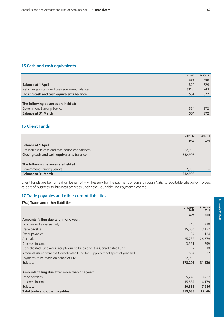## **15 Cash and cash equivalents**

|                                                 | $2011 - 12$ | 2010-11 |
|-------------------------------------------------|-------------|---------|
|                                                 | £000        | £000    |
| <b>Balance at 1 April</b>                       | 872         | 629     |
| Net change in cash and cash equivalent balances | (318)       | 243     |
| Closing cash and cash equivalents balance       | 554         | 872     |
|                                                 |             |         |
| The following balances are held at:             |             |         |
| Government Banking Service                      | 554         | 872     |
| <b>Balance at 31 March</b>                      | 554         | 872     |

### **16 Client Funds**

|                                                   | $2011 - 12$ | 2010-11 |
|---------------------------------------------------|-------------|---------|
|                                                   | £000        | £000    |
| <b>Balance at 1 April</b>                         |             |         |
| Net increase in cash and cash equivalent balances | 332,908     |         |
| Closing cash and cash equivalents balance         | 332,908     |         |
|                                                   |             |         |
| The following balances are held at:               |             |         |
| Government Banking Service                        | 332,908     |         |
| <b>Balance at 31 March</b>                        | 332,908     |         |

Client Funds are being held on behalf of HM Treasury for the payment of sums through NS&I to Equitable Life policy holders as part of business-to-business activities under the Equitable Life Payment Scheme.

#### **17 Trade payables and other current liabilities**

| 17(a) Trade and other liabilities                                              |                  |                  |
|--------------------------------------------------------------------------------|------------------|------------------|
|                                                                                | 31 March<br>2012 | 31 March<br>2011 |
|                                                                                | £000             | £000             |
| Amounts falling due within one year:                                           |                  |                  |
| Taxation and social security                                                   | 246              | 210              |
| Trade payables                                                                 | 15,004           | 3,127            |
| Other payables                                                                 | 154              | 124              |
| <b>Accruals</b>                                                                | 25,782           | 26,679           |
| Deferred income                                                                | 3,551            | 299              |
| Consolidated Fund extra receipts due to be paid to the Consolidated Fund       |                  | 19               |
| Amounts issued from the Consolidated Fund for Supply but not spent at year end | 554              | 872              |
| Payments to be made on behalf of HMT                                           | 332,908          |                  |
| <b>Subtotal</b>                                                                | 378,201          | 31,330           |
| Amounts falling due after more than one year:                                  |                  |                  |
| Trade payables                                                                 | 5,245            | 3,437            |
| Deferred income                                                                | 15,587           | 4,179            |
| <b>Subtotal</b>                                                                | 20,832           | 7,616            |
| Total trade and other payables                                                 | 399,033          | 38,946           |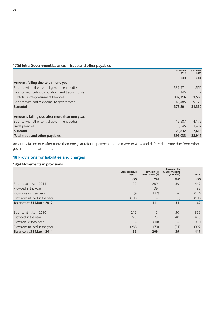# **17(b) Intra-Government balances – trade and other payables**

|                                                    | 31 March<br>2012 | 31 March<br>2011 |
|----------------------------------------------------|------------------|------------------|
|                                                    | £000             | £000             |
| Amount falling due within one year                 |                  |                  |
| Balance with other central government bodies       | 337,571          | 1,560            |
| Balance with public corporations and trading funds | 145              |                  |
| Subtotal: intra-government balances                | 337,716          | 1,560            |
| Balance with bodies external to government         | 40,485           | 29,770           |
| <b>Subtotal</b>                                    | 378,201          | 31,330           |
|                                                    |                  |                  |
| Amounts falling due after more than one year:      |                  |                  |
| Balance with other central government bodies       | 15,587           | 4,179            |
| Trade payables                                     | 5,245            | 3,437            |
| <b>Subtotal</b>                                    | 20,832           | 7,616            |
| Total trade and other payables                     | 399,033          | 38,946           |

Amounts falling due after more than one year refer to payments to be made to Atos and deferred income due from other government departments.

## **18 Provisions for liabilities and charges**

#### **18(a) Movements in provisions**

|                                 | Early departure<br>costs (1)    | <b>Provision for</b><br>fraud losses (2) | <b>Provision for</b><br>Glasgow sports<br>ground (3) | <b>Total</b> |
|---------------------------------|---------------------------------|------------------------------------------|------------------------------------------------------|--------------|
|                                 | £000                            | £000                                     | £000                                                 | £000         |
| Balance at 1 April 2011         | 199                             | 209                                      | 39                                                   | 447          |
| Provided in the year            | $\hspace{0.1mm}-\hspace{0.1mm}$ | 39                                       | $\qquad \qquad -$                                    | 39           |
| Provisions written back         | (9)                             | (137)                                    |                                                      | (146)        |
| Provisions utilised in the year | (190)                           |                                          | (8)                                                  | (198)        |
| <b>Balance at 31 March 2012</b> |                                 | 111                                      | 31                                                   | 142          |
|                                 |                                 |                                          |                                                      |              |
| Balance at 1 April 2010         | 212                             | 117                                      | 30                                                   | 359          |
| Provided in the year            | 275                             | 175                                      | 40                                                   | 490          |
| Provision written back          |                                 | (10)                                     |                                                      | (10)         |
| Provisions utilised in the year | (288)                           | (73)                                     | (31)                                                 | (392)        |
| <b>Balance at 31 March 2011</b> | 199                             | 209                                      | 39                                                   | 447          |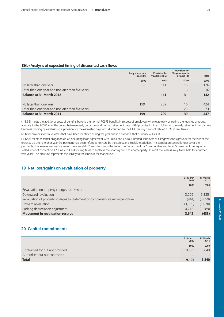#### **18(b) Analysis of expected timing of discounted cash flows**

|                                                   | <b>Early departure</b><br>costs (1) | <b>Provision for</b><br>fraud losses (2) | <b>Provision for</b><br>Glasgow sports<br>ground (3) | <b>Total</b> |
|---------------------------------------------------|-------------------------------------|------------------------------------------|------------------------------------------------------|--------------|
|                                                   | £000                                | £000                                     | £000                                                 | £000         |
| No later than one year                            |                                     | 111                                      | 15                                                   | 126          |
| Later than one year and not later than five years |                                     |                                          | 16                                                   | 16           |
| <b>Balance at 31 March 2012</b>                   |                                     | 111                                      | 31                                                   | 142          |
|                                                   |                                     |                                          |                                                      |              |
| No later than one year                            | 199                                 | 209                                      | 16                                                   | 424          |
| Later than one year and not later than five years |                                     |                                          | 23                                                   | 23           |
| <b>Balance at 31 March 2011</b>                   | 199                                 | 209                                      | 39                                                   | 447          |

(1) NS&I meets the additional costs of benefits beyond the normal PCSPS benefits in respect of employees who retire early by paying the required amounts annually to the PCSPS over the period between early departure and normal retirement date. NS&I provides for this in full when the early retirement programme becomes binding by establishing a provision for the estimated payments discounted by the HM Treasury discount rate of 3.5% in real terms.

(2) NS&I provides for fraud losses that have been identified during the year and it is probable that a liability will result.

(3) NS&I meets its rental obligations in an operating lease agreement with Pollok and Corrour Limited (landlords of Glasgow sports ground) for the hire of the ground. Up until the prior year the payment had been refunded to NS&I by the Sports and Social Association. The association can no longer cover the payments. The lease is an onerous lease. There are still 62 years to run on the lease. The Department for Communities and Local Government has signed a sealed letter of consent on 17 June 2011 authorising NS&I to sublease the sports ground to another party. At most the lease is likely to be held for a further two years. The provision represents the liability to the landlord for that period.

# **19 Net loss/(gain) on revaluation of property**

|                                                                                | 31 March<br>2012 | 31 March<br>2011 |
|--------------------------------------------------------------------------------|------------------|------------------|
|                                                                                | £000             | £000             |
| Revaluation on property charges to reserve;                                    |                  |                  |
| Downward revaluation                                                           | 3,209            | 5,385            |
| Revaluation of property: charges to Statement of comprehensive net expenditure | (944)            | (3,659)          |
| Upward revaluation                                                             | (3,339)          | (1,070)          |
| Backlog depreciation adjustment                                                | 4.716            | (1,289)          |
| <b>Movement in revaluation reserve</b>                                         | 3,642            | (633)            |

# **20 Capital commitments**

|                                 | 31 March<br>2012 | 31 March<br>2011 |
|---------------------------------|------------------|------------------|
|                                 | £000             | £000             |
| Contracted for but not provided | 9.195            | 5,840            |
| Authorised but not contracted   |                  |                  |
| <b>Total</b>                    | 9.195            | 5,840            |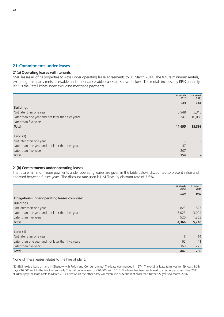#### **21 Commitments under leases**

#### **21(a) Operating leases with tenants**

NS&I leases all of its properties to Atos under operating lease agreements to 31 March 2014. The future minimum rentals, excluding third party rents receivable under non-cancellable leases are shown below. The rentals increase by RPIX annually. RPIX is the Retail Prices Index excluding mortgage payments.

|                                                   | 31 March<br>2012 | 31 March<br>2011 |
|---------------------------------------------------|------------------|------------------|
|                                                   | £000             | £000             |
| <b>Buildings</b>                                  |                  |                  |
| Not later than one year                           | 5,948            | 5,310            |
| Later than one year and not later than five years | 5,747            | 10,088           |
| Later than five years                             |                  |                  |
| <b>Total</b>                                      | 11,695           | 15,398           |
|                                                   |                  |                  |
| Land $(1)$                                        |                  |                  |
| Not later than one year                           |                  |                  |
| Later than one year and not later than five years | 47               |                  |
| Later than five years                             | 207              |                  |
| <b>Total</b>                                      | 254              |                  |

#### **21(b) Commitments under operating leases**

The future minimum lease payments under operating leases are given in the table below, discounted to present value and analysed between future years. The discount rate used is HM Treasury discount rate of 3.5%.

|                                                     | 31 March<br>2012 | 31 March<br>2011 |
|-----------------------------------------------------|------------------|------------------|
|                                                     | £000             | £000             |
| <b>Obligations under operating leases comprise:</b> |                  |                  |
| <b>Buildings</b>                                    |                  |                  |
| Not later than one year                             | 823              | 823              |
| Later than one year and not later than five years   | 3,023            | 3,024            |
| Later than five years                               | 520              | 1,363            |
| <b>Total</b>                                        | 4,366            | 5,210            |
|                                                     |                  |                  |
| Land $(1)$                                          |                  |                  |
| Not later than one year                             | 16               | 16               |
| Later than one year and not later than five years   | 62               | 41               |
| Later than five years                               | 369              | 223              |
| <b>Total</b>                                        | 447              | 280              |

None of these leases relates to the hire of plant.

(1) NS&I holds a lease on land in Glasgow with Pollok and Corrour Limited. The lease commenced in 1974. The original lease term was for 99 years. NS&I pays £16,000 rent to the landlord annually. This will be increased to £20,000 from 2014. The lease has been subleased to another party from July 2011. NS&I will pay the lease costs to March 2014 after which the other party will reimburse NS&I the rent costs for a further 22 years to March 2036.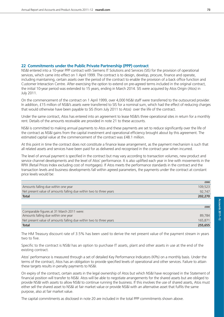### **22 Commitments under the Public Private Partnership (PPP) contract**

NS&I entered into a 10-year PPP contract with Siemens IT Solutions and Services (SIS) for the provision of operational services, which came into effect on 1 April 1999. The contract is to design, develop, procure, finance and operate, including maintaining, certain assets over the period of the contract to enable the provision of a back office function and Customer Interaction Centre. After exercising the option to extend on pre-agreed terms included in the original contract, the initial 10-year period was extended to 15 years, ending in March 2014. SIS were acquired by Atos Origin (Atos) in July 2011.

On the commencement of the contract on 1 April 1999, over 4,000 NS&I staff were transferred to the outsourced provider. In addition, £15 million of NS&I's assets were transferred to SIS for a nominal sum, which had the effect of reducing charges that would otherwise have been payable to SIS (from July 2011 to Atos) over the life of the contract.

Under the same contract, Atos has entered into an agreement to lease NS&I's three operational sites in return for a monthly rent. Details of the amounts receivable are provided in note 21 to these accounts.

NS&I is committed to making annual payments to Atos and these payments are set to reduce significantly over the life of the contract as NS&I gains from the capital investment and operational efficiency brought about by this agreement. The estimated capital value at the commencement of the contract was £48.1 million.

At this point in time the contract does not constitute a finance lease arrangement, as the payment mechanism is such that all related assets and services have been paid for as delivered and recognised in the contract year when incurred.

The level of annual payment is specified in the contract but may vary according to transaction volumes, new product and service channel developments and the level of Atos' performance. It is also uplifted each year in line with movements in the RPIX (Retail Prices Index excluding cost of mortgages). If Atos meets the performance standards in the contract and the transaction levels and business developments fall within agreed parameters, the payments under the contract at constant price levels would be:

|                                                                    | £000    |
|--------------------------------------------------------------------|---------|
| Amounts falling due within one year                                | 109,523 |
| Net present value of amounts falling due within two to three years | 92,747  |
| <b>Total</b>                                                       | 202,270 |
|                                                                    |         |
|                                                                    | £000    |
| Comparable figures at 31 March 2011 were:                          |         |
| Amounts falling due within one year                                | 89,784  |
| Net present value of amounts falling due within two to three years | 165,871 |
| <b>Total</b>                                                       | 255,655 |

The HM Treasury discount rate of 3.5% has been used to derive the net present value of the payment stream in years two to five.

Specific to the contract is NS&I has an option to purchase IT assets, plant and other assets in use at the end of the existing contract.

Atos' performance is measured through a set of detailed Key Performance Indicators (KPIs) on a monthly basis. Under the terms of the contract, Atos has an obligation to provide specified levels of operational and other services. Failure to attain these targets results in penalty payments to NS&I.

On expiry of the contract, certain assets in the legal ownership of Atos but which NS&I have recognised in the Statement of financial position will transfer to NS&I. Atos will be able to negotiate arrangements for the shared assets but are obliged to provide NS&I with assets to allow NS&I to continue running the business. If this involves the use of shared assets, Atos must either sell the shared asset to NS&I at fair market value or provide NS&I with an alternative asset that fulfils the same purpose, also at fair market value.

The capital commitments as disclosed in note 20 are included in the total PPP commitments shown above.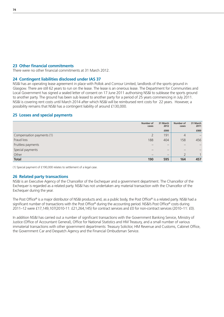#### **23 Other financial commitments**

There were no other financial commitments at 31 March 2012.

#### **24 Contingent liabilities disclosed under IAS 37**

NS&I has an operating lease agreement in place with Pollok and Corrour Limited, landlords of the sports ground in Glasgow. There are still 62 years to run on the lease. The lease is an onerous lease. The Department for Communities and Local Government has signed a sealed letter of consent on 17 June 2011 authorising NS&I to sublease the sports ground to another party. The ground has been sub leased to another party for a period of 25 years commencing in July 2011. NS&I is covering rent costs until March 2014 after which NS&I will be reimbursed rent costs for 22 years. However, a possibility remains that NS&I has a contingent liability of around £130,000.

#### **25 Losses and special payments**

|                           | Number of<br>cases | 31 March<br>2012         | Number of<br>cases | 31 March<br>2011                |
|---------------------------|--------------------|--------------------------|--------------------|---------------------------------|
|                           |                    | £000                     |                    | £000                            |
| Compensation payments (1) |                    | 191                      | $\overline{4}$     | $\qquad \qquad -$               |
| Fraud loss                | 188                | 404                      | 158                | 456                             |
| Fruitless payments        |                    |                          | —                  | $\hspace{0.1mm}-\hspace{0.1mm}$ |
| Special payments          |                    | $\overline{\phantom{m}}$ |                    |                                 |
| Other                     | –                  | $\overline{\phantom{m}}$ |                    |                                 |
| <b>Total</b>              | 190                | 595                      | 164                | 457                             |

(1) Special payment of £190,000 relates to settlement of a legal case.

#### **26 Related party transactions**

NS&I is an Executive Agency of the Chancellor of the Exchequer and a government department. The Chancellor of the Exchequer is regarded as a related party. NS&I has not undertaken any material transaction with the Chancellor of the Exchequer during the year.

The Post Office® is a major distributor of NS&I products and, as a public body, the Post Office® is a related party. NS&I had a significant number of transactions with the Post Office® during the accounting period. NS&I's Post Office® costs during 2011–12 were £17,149,107(2010-11: £21,264,145) for contract services and £0 for non-contract services (2010–11: £0).

In addition NS&I has carried out a number of significant transactions with the Government Banking Service, Ministry of Justice (Office of Accountant General), Office for National Statistics and HM Treasury, and a small number of various immaterial transactions with other government departments: Treasury Solicitor, HM Revenue and Customs, Cabinet Office, the Government Car and Despatch Agency and the Financial Ombudsman Service.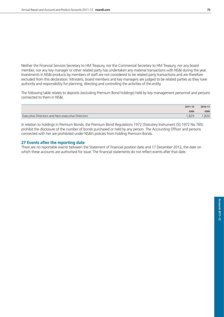Neither the Financial Services Secretary to HM Treasury, nor the Commercial Secretary to HM Treasury, nor any board member, nor any key manager or other related party has undertaken any material transactions with NS&I during the year. Investments in NS&I products by members of staff are not considered to be related party transactions and are therefore excluded from this declaration. Ministers, board members and key managers are judged to be related parties as they have authority and responsibility for planning, directing and controlling the activities of the entity.

The following table relates to deposits (excluding Premium Bond holdings) held by key management personnel and persons connected to them in NS&I.

|                                                        | $2011 - 12$ | 2010-11 |
|--------------------------------------------------------|-------------|---------|
|                                                        | £000        | £000    |
| <b>Executive Directors and Non-executive Directors</b> | 1.829       | ,820    |

In relation to holdings in Premium Bonds, the Premium Bond Regulations 1972 (Statutory Instrument (SI) 1972 No 765) prohibit the disclosure of the number of bonds purchased or held by any person. The Accounting Officer and persons connected with her are prohibited under NS&I's policies from holding Premium Bonds.

#### **27 Events after the reporting date**

There are no reportable events between the Statement of financial position date and 17 December 2012, the date on which these accounts are authorised for issue. The financial statements do not reflect events after that date.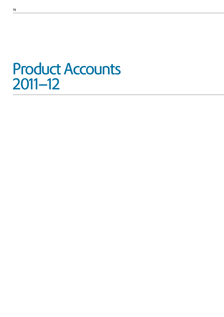# Product Accounts 2011–12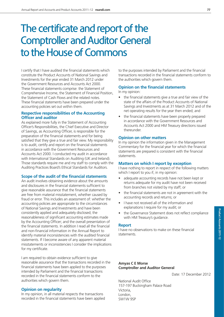# The certificate and report of the Comptroller and Auditor General to the House of Commons

I certify that I have audited the financial statements which constitute the Product Accounts of National Savings and Investments for the year ended 31 March 2012 under the Government Resources and Accounts Act 2000. These financial statements comprise: the Statement of Comprehensive Income, the Statement of Financial Position, the Statement of Cash Flows and the related notes. These financial statements have been prepared under the accounting policies set out within them.

#### **Respective responsibilities of the Accounting Officer and auditor**

As explained more fully in the Statement of Accounting Officer's Responsibilities, the Chief Executive and Director of Savings, as Accounting Officer, is responsible for the preparation of the financial statements and for being satisfied that they give a true and fair view. My responsibility is to audit, certify and report on the financial statements in accordance with the Government Resources and Accounts Act 2000. I conducted my audit in accordance with International Standards on Auditing (UK and Ireland). Those standards require me and my staff to comply with the Auditing Practices Board's Ethical Standards for Auditors.

#### **Scope of the audit of the financial statements**

An audit involves obtaining evidence about the amounts and disclosures in the financial statements sufficient to give reasonable assurance that the financial statements are free from material misstatement, whether caused by fraud or error. This includes an assessment of: whether the accounting policies are appropriate to the circumstances of National Savings and Investments and have been consistently applied and adequately disclosed; the reasonableness of significant accounting estimates made by the Accounting Officer; and the overall presentation of the financial statements. In addition I read all the financial and non-financial information in the Annual Report to identify material inconsistencies with the audited financial statements. If I become aware of any apparent material misstatements or inconsistencies I consider the implications for my certificate.

I am required to obtain evidence sufficient to give reasonable assurance that the transactions recorded in the financial statements have been applied to the purposes intended by Parliament and the financial transactions recorded in the financial statements conform to the authorities which govern them.

#### **Opinion on regularity**

In my opinion, in all material respects the transactions recorded in the financial statements have been applied to the purposes intended by Parliament and the financial transactions recorded in the financial statements conform to the authorities which govern them.

#### **Opinion on the financial statements**

In my opinion:

- the financial statements give a true and fair view of the state of the affairs of the Product Accounts of National Savings and Investments as at 31 March 2012 and of the net operating results for the year then ended; and
- the financial statements have been properly prepared in accordance with the Government Resources and Accounts Act 2000 and HM Treasury directions issued thereunder.

#### **Opinion on other matters**

In my opinion the information given in the Management Commentary for the financial year for which the financial statements are prepared is consistent with the financial statements.

#### **Matters on which I report by exception**

I have nothing to report in respect of the following matters which I report to you if, in my opinion:

- adequate accounting records have not been kept or returns adequate for my audit have not been received from branches not visited by my staff; or
- the financial statements are not in agreement with the accounting records and returns; or
- I have not received all of the information and explanations I require for my audit; or
- the Governance Statement does not reflect compliance with HM Treasury's guidance.

#### **Report**

I have no observations to make on these financial statements.

#### **Amyas C E Morse Comptroller and Auditor General**

Date: 17 December 2012

National Audit Office 157-197 Buckingham Palace Road Victoria, London, SW1W 9SP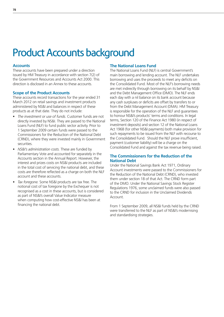# Product Accounts background

#### **Accounts**

These accounts have been prepared under a direction issued by HM Treasury in accordance with section 7(2) of the Government Resources and Accounts Act 2000. This direction is disclosed in an Annex to these accounts.

#### **Scope of the Product Accounts**

These accounts record transactions for the year ended 31 March 2012 on retail savings and investment products administered by NS&I and balances in respect of these products as at that date. They do not include:

- *The investment or use of funds.* Customer funds are not directly invested by NS&I. They are passed to the National Loans Fund (NLF) to fund public sector activity. Prior to 1 September 2009 certain funds were passed to the Commissioners for the Reduction of the National Debt (CRND), where they were invested mainly in Government securities.
- *NS&I's administration costs.* These are funded by Parliamentary Vote and accounted for separately in the Accounts section in the Annual Report. However, the interest and prizes costs on NS&I products are included in the total cost of servicing the national debt, and these costs are therefore reflected as a charge on both the NLF account and these accounts.
- *Tax foregone.* Some NS&I products are tax free. The notional cost of tax foregone by the Exchequer is not recognised as a cost in these accounts, but is considered as part of NS&I's overall Value Indicator measure when computing how cost-effective NS&I has been at financing the national debt.

#### **The National Loans Fund**

The National Loans Fund (NLF) is central Government's main borrowing and lending account. The NLF undertakes borrowing and uses the proceeds to meet any deficits on the Consolidated Fund. Most of the NLF's borrowing needs are met indirectly through borrowing on its behalf by NS&I and the Debt Management Office (DMO). The NLF ends each day with a nil balance on its bank account because any cash surpluses or deficits are offset by transfers to or from the Debt Management Account (DMA). HM Treasury is responsible for the operation of the NLF and guarantees to honour NS&I's products' terms and conditions. In legal terms, Section 120 of the Finance Act 1980 (in respect of investment deposits) and section 12 of the National Loans Act 1968 (for other NS&I payments) both make provision for such repayments to be issued from the NLF with recourse to the Consolidated Fund. Should the NLF prove insufficient, payment (customer liability) will be a charge on the Consolidated Fund and against the tax revenue being raised.

#### **The Commissioners for the Reduction of the National Debt**

Under the National Savings Bank Act 1971, Ordinary Account investments were passed to the Commissioners for the Reduction of the National Debt (CRND), who invested them under section 18 of that Act. The CRND form part of the DMO. Under the National Savings Stock Register Regulations 1976, some unclaimed funds were also passed to the CRND for inclusion in the Unclaimed Dividends **Account** 

From 1 September 2009, all NS&I funds held by the CRND were transferred to the NLF as part of NS&I's modernising and standardising strategies.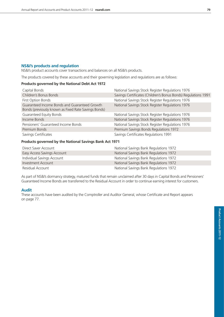#### **NS&I's products and regulation**

NS&I's product accounts cover transactions and balances on all NS&I's products.

The products covered by these accounts and their governing legislation and regulations are as follows:

#### **Products governed by the National Debt Act 1972**

| Capital Bonds                                                                                         | National Savings Stock Register Regulations 1976               |
|-------------------------------------------------------------------------------------------------------|----------------------------------------------------------------|
| Children's Bonus Bonds                                                                                | Savings Certificates (Children's Bonus Bonds) Regulations 1991 |
| First Option Bonds                                                                                    | National Savings Stock Register Regulations 1976               |
| Guaranteed Income Bonds and Guaranteed Growth<br>Bonds (previously known as Fixed Rate Savings Bonds) | National Savings Stock Register Regulations 1976               |
| <b>Guaranteed Equity Bonds</b>                                                                        | National Savings Stock Register Regulations 1976               |
| Income Bonds                                                                                          | National Savings Stock Register Regulations 1976               |
| Pensioners' Guaranteed Income Bonds                                                                   | National Savings Stock Register Regulations 1976               |
| Premium Bonds                                                                                         | Premium Savings Bonds Regulations 1972                         |
| Savings Certificates                                                                                  | Savings Certificates Regulations 1991                          |

#### **Products governed by the National Savings Bank Act 1971**

| Direct Saver Account        | National Savings Bank Regulations 1972 |
|-----------------------------|----------------------------------------|
| Easy Access Savings Account | National Savings Bank Regulations 1972 |
| Individual Savings Account  | National Savings Bank Regulations 1972 |
| Investment Account          | National Savings Bank Regulations 1972 |
| Residual Account            | National Savings Bank Regulations 1972 |

As part of NS&I's dormancy strategy, matured funds that remain unclaimed after 30 days in Capital Bonds and Pensioners' Guaranteed Income Bonds are transferred to the Residual Account in order to continue earning interest for customers.

#### **Audit**

These accounts have been audited by the Comptroller and Auditor General, whose Certificate and Report appears on page 77.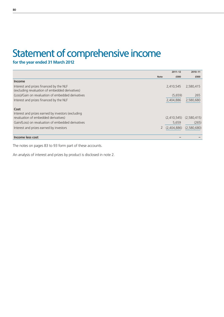# Statement of comprehensive income

**for the year ended 31 March 2012**

|                                                    |             | $2011 - 12$ | 2010-11     |
|----------------------------------------------------|-------------|-------------|-------------|
|                                                    | <b>Note</b> | £000        | £000        |
| <b>Income</b>                                      |             |             |             |
| Interest and prizes financed by the NLF            |             | 2,410,545   | 2,580,415   |
| (excluding revaluation of embedded derivatives)    |             |             |             |
| (Loss)/Gain on revaluation of embedded derivatives |             | (5,659)     | 265         |
| Interest and prizes financed by the NLF            |             | 2,404,886   | 2,580,680   |
|                                                    |             |             |             |
| Cost                                               |             |             |             |
| Interest and prizes earned by investors (excluding |             |             |             |
| revaluation of embedded derivatives)               |             | (2,410,545) | (2,580,415) |
| Gain/(Loss) on revaluation of embedded derivatives |             | 5,659       | (265)       |
| Interest and prizes earned by investors            |             | (2,404,886) | (2,580,680) |
|                                                    |             |             |             |
| Income less cost                                   |             |             |             |

The notes on pages 83 to 93 form part of these accounts.

An analysis of interest and prizes by product is disclosed in note 2.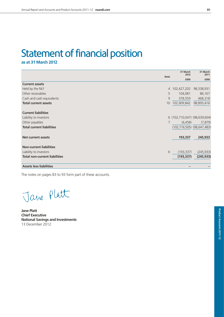# Statement of financial position

**as at 31 March 2012**

|                                      | <b>Note</b> | 31 March<br>2012                   | 31 March<br>2011 |
|--------------------------------------|-------------|------------------------------------|------------------|
|                                      |             | £000                               | £000             |
| <b>Current assets</b>                |             |                                    |                  |
| Held by the NLF                      | 4           | 102,427,202                        | 98,338,931       |
| Other receivables                    | 5           | 104,081                            | 86,167           |
| Cash and cash equivalents            | 9           | 378,559                            | 468,318          |
| <b>Total current assets</b>          | 10          | 102,909,842                        | 98,893,416       |
|                                      |             |                                    |                  |
| <b>Current liabilities</b>           |             |                                    |                  |
| Liability to investors               |             | 6 (102,710,047) (98,639,604)       |                  |
| Other payables                       | 7           | (6, 458)                           | (7, 879)         |
| <b>Total current liabilities</b>     |             | $(102, 716, 505)$ $(98, 647, 483)$ |                  |
| <b>Net current assets</b>            |             | 193,337                            | 245,933          |
| <b>Non-current liabilities</b>       |             |                                    |                  |
| Liability to investors               | 6           | (193, 337)                         | (245, 933)       |
| <b>Total non-current liabilities</b> |             | (193, 337)                         | (245, 933)       |
| <b>Assets less liabilities</b>       |             |                                    |                  |

The notes on pages 83 to 93 form part of these accounts.

Jave Platt

**Jane Platt Chief Executive National Savings and Investments** 13 December 2012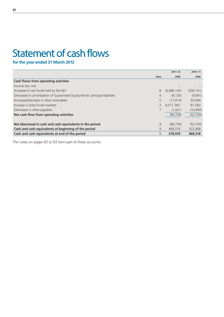# Statement of cash flows

**for the year ended 31 March 2012**

|                                                                              |             | $2011 - 12$ | 2010-11    |
|------------------------------------------------------------------------------|-------------|-------------|------------|
|                                                                              | <b>Note</b> | £000        | £000       |
| Cash flows from operating activities                                         |             |             |            |
| Income less cost                                                             |             |             |            |
| (Increase) in net funds held by the NLF                                      | 8           | (4,080,145) | (209, 101) |
| (Decrease) in amortisation of Guaranteed Equity Bonds' principal liabilities | 4           | (8, 126)    | (9,691)    |
| (Increase)/Decrease in other receivables                                     | 5           | (17.914)    | 93,949     |
| Increase in total funds invested                                             |             | 4,017, 847  | 81,583     |
| (Decrease) in other payables                                                 |             | (1,421)     | (10, 490)  |
| Net cash flow from operating activities                                      |             | (89, 759)   | (53, 750)  |
|                                                                              |             |             |            |
| Net (decrease) in cash and cash equivalents in the period                    | 9           | (89.759)    | (53,750)   |
| Cash and cash equivalents at beginning of the period                         | 9           | 468,318     | 522,068    |
| Cash and cash equivalents at end of the period                               | 9           | 378,559     | 468,318    |

The notes on pages 83 to 93 form part of these accounts.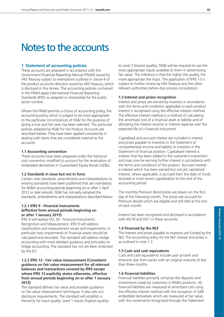# Notes to the accounts

#### **1 Statement of accounting policies**

These accounts are prepared in accordance with the *Government Financial Reporting Manual* (FReM) issued by HM Treasury subject to exemptions outlined in clause 4 of the product accounts direction issued by HM Treasury, which is disclosed in the Annex. The accounting policies contained in the FReM apply International Financial Reporting Standards (IFRS) as adapted or interpreted for the public sector context.

Where the FReM permits a choice of accounting policy, the accounting policy which is judged to be most appropriate to the particular circumstances of NS&I for the purpose of giving a true and fair view has been selected. The particular policies adopted by NS&I for the Product Accounts are described below. They have been applied consistently in dealing with items that are considered material to the accounts.

#### **1.1 Accounting convention**

These accounts have been prepared under the historical cost convention modified to account for the revaluation of embedded derivatives in Guaranteed Equity Bonds (GEBs).

#### **1.2 Standards in issue but not in force**

Certain new standards, amendments and interpretations to existing standards have been published that are mandatory for NS&I's accounting periods beginning on or after 1 April 2012 or later periods. NS&I has not early adopted the standards, amendments and interpretations described below:

#### **1.2.1 IFRS 9 - Financial instruments (effective from annual periods beginning on or after 1 January 2015)**

IFRS 9 will replace IAS 39 - Financial Instruments: Recognition and Measurement. IFRS 9 will address classification and measurement issues and impairments; in particular how impairments of financial assets should be calculated and recorded. The standard will address hedge accounting with more detailed guidance and principles on hedge accounting. The standard has not yet been endorsed by the EU.

#### **1.2.2 IFRS 13 - Fair value measurement (Consistent guidance on fair value measurement for all relevant balances and transactions covered by IFRS except where IFRS 13 explicitly states otherwise, effective from annual periods beginning on or after 1 January 2013)**

The standard defines fair value and provides guidance on fair value measurement techniques. It also sets out disclosure requirements. The standard will establish a hierarchy for input quality: Level 1 inputs (highest quality)

to Level 3 (lowest quality). NS&I will be required to use the most appropriate inputs available to them in determining fair value. The inference is that the higher the quality, the more appropriate the input. The application of IFRS 13 is subject to further review by HM Treasury and the other relevant authorities before due process consultation.

#### **1.3 Interest and prizes recognition**

Interest and prizes are earned by investors in accordance with the terms and conditions applicable to each product. Interest is recognised using the effective interest method. The effective interest method is a method of calculating the amortised cost of a financial asset or liability and of allocating the interest income or interest expense over the expected life of a financial instrument.

Capitalised and accrued interest are included in interest and prizes payable to investors in the Statement of comprehensive income and liability to investors in the Statement of financial position. Capitalised interest is interest that has been added to the customer's investment and may now be earning further interest in accordance with the terms and conditions of the product. Accrued interest is interest which has been earned but not yet capitalised. Interest, where applicable, is accrued from the date of funds received or most recent capitalisation to the end of the accounting period.

The monthly Premium Bond prizes are drawn on the first day of the following month. The prizes are accrued for Premium Bonds which are eligible and still held at the end of each month.

Interest has been recognised and disclosed in accordance with IAS18 and IAS1 in these accounts.

#### **1.4 Financed by the NLF**

The interest and prizes payable to investors are funded by the NLF. The accounting policy for the NLF interest and prizes is as outlined in note 1.3.

#### **1.5 Cash and cash equivalents**

Cash and cash equivalents include cash at bank and amounts due from banks with an original maturity of less than three months.

#### **1.6 Financial liabilities**

Financial liabilities primarily comprise the deposits and investments made by customers in NS&I's products. All financial liabilities are measured at amortised cost using the effective interest method with the exception of GEB embedded derivatives which are measured at fair value, with the movements recognised through the Statement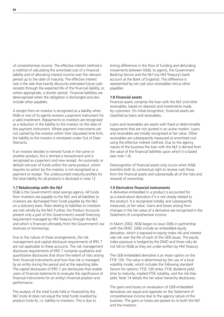of comprehensive income. The effective interest method is a method of calculating the amortised cost of a financial liability and of allocating interest income over the relevant period up to the date of maturity. The effective interest rate is the rate that exactly discounts estimated future cash receipts through the expected life of the financial liability, or, where appropriate, a shorter period. Financial liabilities are derecognised when the obligation is discharged and also include other payables.

A receipt from an investor is recognised as a liability when NS&I or one of its agents receives a payment instrument for a valid investment. Repayments to investors are recognised as a reduction in the liability to the investor on the date of the payment instrument. Where payment instruments are not cashed by the investor within their stipulated time limit, the liability to the investor is reinstated under Out of Date Warrants.

If an investor decides to reinvest funds in the same or another product, this is termed a reinvestment and is recognised as a payment and new receipt. An automatic or default roll-over of funds within the same product, which requires no action by the investor, is not recognised as a payment or receipt. The undiscounted maturity profiles for the total liability for all products is disclosed in note 12.

#### **1.7 Relationship with the NLF**

NS&I is the Government's retail savings agency. All funds from investors are payable to the NLF, and all liabilities to investors are discharged from funds payable by the NLF, on a statutory basis. Risks relating to liabilities to investors are met wholly by the NLF. Further, the Product Accounts present only a part of the Government's overall financing requirement managed by HM Treasury through the NLF, and which is financed ultimately from the Government's tax revenues or borrowings.

Due to the nature of these arrangements, the risk management and capital disclosure requirements of IFRS 7 are not applicable to these accounts. The risk management disclosure requirements of IFRS 7 comprise qualitative and quantitative disclosures that show the extent of risks arising from financial instruments and how that risk is managed by an entity during the period and at the reporting date. The capital disclosures of IFRS 7 are disclosures that enable users of financial statements to evaluate the significance of financial instruments for an entity's financial position and performance.

The analysis of the total funds held or financed by the NLF (note 4) does not equal the total funds invested by product (note 6), i.e. liability to investors. This is due to

timing differences in the flow of funding and defunding movements between NS&I, its agents, the Government Banking Service and the NLF (via HM Treasury's bank account at the Bank of England). This difference is represented by net cash plus receivables minus other payables.

#### **1.8 Financial assets**

Financial assets comprise the loan with the NLF and other receivables, based on deposits and investments made by customers. On initial recognition, financial assets are classified as loans and receivables.

Loans and receivables are assets with fixed or determinable repayments that are not quoted in an active market. Loans and receivables are initially recognised at fair value. Other receivables are subsequently measured at amortised cost using the effective interest method. Due to the agency nature of the business the loan with the NLF is derived from the value of the financial liabilities upon which it is based (see note 1.6).

Derecognition of financial assets only occurs when NS&I transfers both its contractual right to receive cash flows from the financial assets and substantially all of the risks and rewards of ownership.

#### **1.9 Derivative financial instruments**

A derivative embedded in a product is accounted for as a stand-alone derivative if it is not closely related to the product. It is recognised initially, and subsequently measured, at fair value. Gains and losses arising from changes in the fair value of a derivative are recognised in the Statement of comprehensive income.

In March 2002, NS&I began to issue GEBs in partnership with the DMO. GEBs include an embedded equity derivative, which is exposed to equity index risk and interest rate risk over the life of each of the GEB issues. The equity index exposure is hedged by the DMO and these risks do not fall on NS&I as they are under-written by HM Treasury.

The GEB embedded derivative is an Asian option on the FTSE 100. The value is determined by the use of a local volatility model, which includes the following standard factors for options: FTSE 100 strike; FTSE dividend yield; time to maturity; implied FTSE volatility; and the risk-free yield. Note 14 details the fair value hierarchy disclosures.

The gains and losses on revaluation of GEB embedded derivatives are equal and opposite on the Statement of comprehensive income due to the agency nature of the business. The gains or losses are passed on to both the NLF and the investors.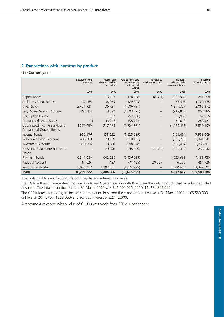## **2 Transactions with investors by product**

#### **(2a) Current year**

|                                                        | <b>Received from</b><br>investors | Interest and<br>prizes earned by<br>investors | <b>Paid to investors</b><br>including tax<br>deducted at<br>source | <b>Transfer to</b><br><b>Residual Account</b> | Increase/<br>(decrease) in<br>investors' funds | Invested<br>31 March 2012 |
|--------------------------------------------------------|-----------------------------------|-----------------------------------------------|--------------------------------------------------------------------|-----------------------------------------------|------------------------------------------------|---------------------------|
|                                                        | £000                              | £000                                          | £000                                                               | £000                                          | £000                                           | £000                      |
| Capital Bonds                                          |                                   | 16,023                                        | (170, 298)                                                         | (8,694)                                       | (162, 969)                                     | 251,058                   |
| Children's Bonus Bonds                                 | 27,465                            | 36,965                                        | (129, 825)                                                         |                                               | (65, 395)                                      | 1,169,175                 |
| <b>Direct Saver</b>                                    | 2,421,721                         | 36,727                                        | (1,086,721)                                                        | $\qquad \qquad -$                             | 1,371,727                                      | 3,062,272                 |
| Easy Access Savings Account                            | 464,602                           | 8,879                                         | (1,393,321)                                                        | $\qquad \qquad -$                             | (919, 840)                                     | 905,685                   |
| First Option Bonds                                     |                                   | 1,652                                         | (57, 638)                                                          |                                               | (55, 986)                                      | 52,335                    |
| <b>Guaranteed Equity Bonds</b>                         | (1)                               | (3,217)                                       | (55, 795)                                                          |                                               | (59,013)                                       | 248,421                   |
| Guaranteed Income Bonds and<br>Guaranteed Growth Bonds | 1,273,059                         | 217,054                                       | (2,624,551)                                                        |                                               | (1, 134, 438)                                  | 5,839,199                 |
| Income Bonds                                           | 985,176                           | 138,622                                       | (1,525,289)                                                        | —                                             | (401, 491)                                     | 7,983,009                 |
| Individual Savings Account                             | 486,683                           | 70,859                                        | (718, 281)                                                         | $\qquad \qquad -$                             | (160, 739)                                     | 3,341,641                 |
| <b>Investment Account</b>                              | 320,596                           | 9,980                                         | (998, 978)                                                         |                                               | (668, 402)                                     | 3,766,207                 |
| Pensioners' Guaranteed Income<br><b>Bonds</b>          |                                   | 20,940                                        | (335, 829)                                                         | (11, 563)                                     | (326, 452)                                     | 288,342                   |
| Premium Bonds                                          | 6,317,080                         | 642,638                                       | (5,936,085)                                                        |                                               | 1,023,633                                      | 44,138,720                |
| Residual Account                                       | 67,024                            | 433                                           | (71, 455)                                                          | 20,257                                        | 16,259                                         | 464,726                   |
| Savings Certificates                                   | 5,928,417                         | 1,207,331                                     | (1, 574, 795)                                                      |                                               | 5,560,953                                      | 31,392,594                |
| <b>Total</b>                                           | 18,291,822                        | 2,404,886                                     | (16, 678, 861)                                                     |                                               | 4,017,847                                      | 102,903,384               |

Amounts paid to investors include both capital and interest payments.

First Option Bonds, Guaranteed Income Bonds and Guaranteed Growth Bonds are the only products that have tax deducted at source. The total tax deducted as at 31 March 2012 was £46,992,000 (2010–11: £74,846,000).

The GEB interest earned figure includes a revaluation loss from the embedded derivative at 31 March 2012 of £5,659,000 (31 March 2011: gain £265,000) and accrued interest of £2,442,000.

A repayment of capital with a value of £1,000 was made from GEB during the year.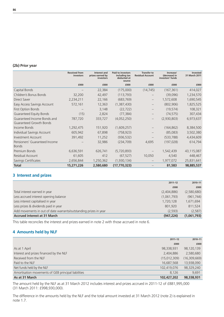|                                                        | <b>Received from</b><br>investors | Interest and<br>prizes earned by<br>investors | <b>Paid to investors</b><br>including tax<br>deducted at<br>source | <b>Transfer to</b><br><b>Residual Account</b> | Increase/<br>(decrease) in<br>investors' funds | Invested<br>31 March 2011 |
|--------------------------------------------------------|-----------------------------------|-----------------------------------------------|--------------------------------------------------------------------|-----------------------------------------------|------------------------------------------------|---------------------------|
|                                                        | £000                              | £000                                          | £000                                                               | £000                                          | £000                                           | £000                      |
| Capital Bonds                                          |                                   | 22,384                                        | (175,000)                                                          | (14, 745)                                     | (167, 361)                                     | 414,027                   |
| Children's Bonus Bonds                                 | 32,200                            | 42,497                                        | (113, 793)                                                         |                                               | (39,096)                                       | 1,234,570                 |
| <b>Direct Saver</b>                                    | 2,234,211                         | 22,166                                        | (683, 769)                                                         | $\overline{\phantom{0}}$                      | 1,572,608                                      | 1,690,545                 |
| Easy Access Savings Account                            | 572,161                           | 12,363                                        | (1,387,430)                                                        |                                               | (802,906)                                      | 1,825,525                 |
| First Option Bonds                                     |                                   | 3,148                                         | (22, 722)                                                          |                                               | (19, 574)                                      | 108,321                   |
| <b>Guaranteed Equity Bonds</b>                         | (15)                              | 2,824                                         | (77, 384)                                                          |                                               | (74, 575)                                      | 307,434                   |
| Guaranteed Income Bonds and<br>Guaranteed Growth Bonds | 787,720                           | 333,727                                       | (4,052,250)                                                        |                                               | (2,930,803)                                    | 6,973,637                 |
| Income Bonds                                           | 1,292,475                         | 151,920                                       | (1,609,257)                                                        |                                               | (164, 862)                                     | 8,384,500                 |
| Individual Savings Account                             | 605,942                           | 67,898                                        | (758, 923)                                                         |                                               | (85,083)                                       | 3,502,380                 |
| <b>Investment Account</b>                              | 391,492                           | 11,252                                        | (936, 532)                                                         |                                               | (533, 788)                                     | 4,434,609                 |
| Pensioners' Guaranteed Income<br><b>Bonds</b>          |                                   | 32,986                                        | (234, 709)                                                         | 4,695                                         | (197, 028)                                     | 614,794                   |
| Premium Bonds                                          | 6,636,591                         | 626,741                                       | (5,720,893)                                                        |                                               | 1,542,439                                      | 43,115,087                |
| Residual Account                                       | 61,605                            | 412                                           | (67, 527)                                                          | 10,050                                        | 4,540                                          | 448,467                   |
| Savings Certificates                                   | 2,656,844                         | 1,250,362                                     | (1,930,134)                                                        |                                               | 1,977,072                                      | 25,831,641                |
| <b>Total</b>                                           | 15,271,226                        | 2,580,680                                     | (17,770,323)                                                       |                                               | 81,583                                         | 98,885,537                |

## **3 Interest and prizes**

|                                                                  | $2011 - 12$ | 2010-11     |
|------------------------------------------------------------------|-------------|-------------|
|                                                                  | £000        | £000        |
| Total interest earned in year                                    | (2,404,886) | (2,580,680) |
| Less accrued interest opening balance                            | (1,061,793) | (961, 744)  |
| Less interest capitalised in year                                | 1,720,128   | 1,671,694   |
| Less prizes & dividends paid in year                             | 801,920     | 811,524     |
| Add movements in out of date warrants/outstanding prizes in year | (2,593)     | (2, 587)    |
| <b>Accrued interest at 31 March</b>                              | (947, 224)  | (1,061,793) |

This table reconciles the interest and prizes earned in note 2 with those accrued in note 6.

#### **4 Amounts held by NLF**

|                                                     | $2011 - 12$  | 2010-11      |
|-----------------------------------------------------|--------------|--------------|
|                                                     | £000         | £000         |
| As at 1 April                                       | 98,338,931   | 98,120,139   |
| Interest and prizes financed by the NLF             | 2,404,886    | 2,580,680    |
| Received from the NLF                               | (15,012,309) | (16,309,669) |
| Paid to the NLF                                     | 16,687,568   | 13,938,090   |
| Net funds held by the NLF                           | 102,419,076  | 98,329,240   |
| Amortisation movements of GEB principal liabilities | 8,126        | 9,691        |
| As at 31 March                                      | 102,427,202  | 98,338,931   |

The amount held by the NLF as at 31 March 2012 includes interest and prizes accrued in 2011-12 of £881,995,000 (31 March 2011: £998,930,000).

The difference in the amounts held by the NLF and the total amount invested at 31 March 2012 (note 2) is explained in note 1.7.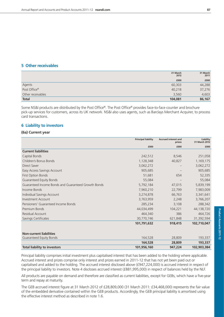#### **5 Other receivables**

|                   | 31 March<br>2012 | 31 March<br>2011 |
|-------------------|------------------|------------------|
|                   | £000             | £000             |
| Agents            | 60,303           | 44,288           |
| Post Office®      | 40,218           | 37,276           |
| Other receivables | 3,560            | 4,603            |
| <b>Total</b>      | 104,081          | 86,167           |

Some NS&I products are distributed by the Post Office®. The Post Office® provides face-to-face counter and brochure pick-up services for customers, across its UK network. NS&I also uses agents, such as Barclays Merchant Acquirer, to process card transactions.

#### **6 Liability to investors**

#### **(6a) Current year**

|                                                     | <b>Principal liability</b> | <b>Accrued interest and</b><br>prizes | Liability<br>31 March 2012 |
|-----------------------------------------------------|----------------------------|---------------------------------------|----------------------------|
|                                                     | £000                       | £000                                  | £000                       |
| <b>Current liabilities</b>                          |                            |                                       |                            |
| Capital Bonds                                       | 242,512                    | 8,546                                 | 251,058                    |
| Children's Bonus Bonds                              | 1,128,348                  | 40,827                                | 1,169,175                  |
| <b>Direct Saver</b>                                 | 3,062,272                  |                                       | 3,062,272                  |
| Easy Access Savings Account                         | 905,685                    |                                       | 905,685                    |
| <b>First Option Bonds</b>                           | 51,681                     | 654                                   | 52,335                     |
| Guaranteed Equity Bonds                             | 55,084                     |                                       | 55,084                     |
| Guaranteed Income Bonds and Guaranteed Growth Bonds | 5,792,184                  | 47,015                                | 5,839,199                  |
| Income Bonds                                        | 7,960,210                  | 22,799                                | 7,983,009                  |
| Individual Savings Account                          | 3,274,878                  | 66,763                                | 3,341,641                  |
| Investment Account                                  | 3,763,959                  | 2,248                                 | 3,766,207                  |
| Pensioners' Guaranteed Income Bonds                 | 285,234                    | 3,108                                 | 288,342                    |
| Premium Bonds                                       | 44,034,499                 | 104,221                               | 44,138,720                 |
| Residual Account                                    | 464,340                    | 386                                   | 464,726                    |
| Savings Certificates                                | 30,770,746                 | 621,848                               | 31,392,594                 |
|                                                     | 101,791,632                | 918,415                               | 102,710,047                |
| <b>Non-current liabilities</b>                      |                            |                                       |                            |
| Guaranteed Equity Bonds                             | 164,528                    | 28,809                                | 193,337                    |
|                                                     | 164,528                    | 28,809                                | 193,337                    |
| <b>Total liability to investors</b>                 | 101,956,160                | 947.224                               | 102,903,384                |

Principal liability comprises initial investment plus capitalised interest that has been added to the holding where applicable. Accrued interest and prizes comprise only interest and prizes earned in 2011-12 that has not yet been paid out or capitalised and added to the holding. The accrued interest disclosed above (£947,224,000) is accrued interest in respect of the principal liability to investors. Note 4 discloses accrued interest (£881,995,000) in respect of balances held by the NLF.

All products are payable on demand and therefore are classified as current liabilities, except for GEBs, which have a five-year term and repay at maturity.

The GEB accrued interest figure at 31 March 2012 of £28,809,000 (31 March 2011: £34,468,000) represents the fair value of the embedded derivative contained within the GEB products. Accordingly, the GEB principal liability is amortised using the effective interest method as described in note 1.6.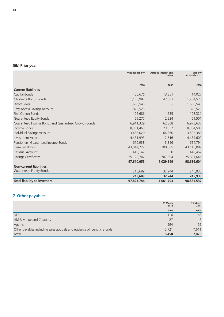# **(6b) Prior year**

|                                                     | <b>Principal liability</b> | <b>Accrued interest and</b><br>prizes | Liability<br>31 March 2011 |
|-----------------------------------------------------|----------------------------|---------------------------------------|----------------------------|
|                                                     |                            |                                       |                            |
|                                                     | £000                       | £000                                  | £000                       |
| <b>Current liabilities</b>                          |                            |                                       |                            |
| Capital Bonds                                       | 400,676                    | 13,351                                | 414,027                    |
| Children's Bonus Bonds                              | 1,186,987                  | 47,583                                | 1,234,570                  |
| <b>Direct Saver</b>                                 | 1,690,545                  |                                       | 1,690,545                  |
| Easy Access Savings Account                         | 1,825,525                  |                                       | 1,825,525                  |
| First Option Bonds                                  | 106,686                    | 1,635                                 | 108,321                    |
| <b>Guaranteed Equity Bonds</b>                      | 59,277                     | 2,224                                 | 61,501                     |
| Guaranteed Income Bonds and Guaranteed Growth Bonds | 6,911,329                  | 62,308                                | 6,973,637                  |
| Income Bonds                                        | 8,361,463                  | 23,037                                | 8,384,500                  |
| Individual Savings Account                          | 3,438,020                  | 64,360                                | 3,502,380                  |
| <b>Investment Account</b>                           | 4,431,993                  | 2,616                                 | 4,434,609                  |
| Pensioners' Guaranteed Income Bonds                 | 610,938                    | 3,856                                 | 614,794                    |
| Premium Bonds                                       | 43,014,722                 | 100,365                               | 43,115,087                 |
| Residual Account                                    | 448,147                    | 320                                   | 448,467                    |
| Savings Certificates                                | 25, 123, 747               | 707,894                               | 25,831,641                 |
|                                                     | 97,610,055                 | 1,029,549                             | 98,639,604                 |
| <b>Non-current liabilities</b>                      |                            |                                       |                            |
| <b>Guaranteed Equity Bonds</b>                      | 213,689                    | 32,244                                | 245,933                    |
|                                                     | 213,689                    | 32,244                                | 245,933                    |
| <b>Total liability to investors</b>                 | 97,823,744                 | 1,061,793                             | 98,885,537                 |

# **7 Other payables**

|                                                                          | 31 March<br>2012 | 31 March<br>2011 |
|--------------------------------------------------------------------------|------------------|------------------|
|                                                                          | £000             | £000             |
| <b>NLF</b>                                                               | 116              | 168              |
| HM Revenue and Customs                                                   | 27               | 8                |
| Agents                                                                   | 594              | 92               |
| Other payables including sales accruals and evidence of identity refunds | 5,721            | 7,611            |
| <b>Total</b>                                                             | 6,458            | 7,879            |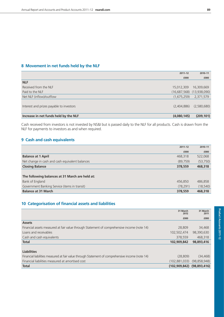# **8 Movement in net funds held by the NLF**

|                                          | $2011 - 12$ | 2010-11                       |
|------------------------------------------|-------------|-------------------------------|
|                                          | £000        | £000                          |
| <b>NLF</b>                               |             |                               |
| Received from the NLF                    | 15,012,309  | 16,309,669                    |
| Paid to the NLF                          |             | $(16,687,568)$ $(13,938,090)$ |
| Net NLF (inflow)/outflow                 | (1,675,259) | 2,371,579                     |
| Interest and prizes payable to investors | (2,404,886) | (2,580,680)                   |
| Increase in net funds held by the NLF    | (4,080,145) | (209, 101)                    |

Cash received from investors is not invested by NS&I but is passed daily to the NLF for all products. Cash is drawn from the NLF for payments to investors as and when required.

#### **9 Cash and cash equivalents**

|                                                 | $2011 - 12$ | 2010-11   |
|-------------------------------------------------|-------------|-----------|
|                                                 | £000        | £000      |
| <b>Balance at 1 April</b>                       | 468,318     | 522,068   |
| Net change in cash and cash equivalent balances | (89, 759)   | (53,750)  |
| <b>Closing Balance</b>                          | 378,559     | 468,318   |
|                                                 |             |           |
| The following balances at 31 March are held at: |             |           |
| Bank of England                                 | 456.850     | 486,858   |
| Government Banking Service (items in transit)   | (78, 291)   | (18, 540) |
| <b>Balance at 31 March</b>                      | 378,559     | 468,318   |

### **10 Categorisation of financial assets and liabilities**

|                                                                                             | 31 March<br>2012 | 31 March<br>2011 |
|---------------------------------------------------------------------------------------------|------------------|------------------|
|                                                                                             | £000             | £000             |
| <b>Assets</b>                                                                               |                  |                  |
| Financial assets measured at fair value through Statement of comprehensive income (note 14) | 28,809           | 34,468           |
| Loans and receivables                                                                       | 102,502,474      | 98,390,630       |
| Cash and cash equivalents                                                                   | 378,559          | 468,318          |
| <b>Total</b>                                                                                | 102,909,842      | 98,893,416       |
|                                                                                             |                  |                  |
| <b>Liabilities</b>                                                                          |                  |                  |
|                                                                                             |                  |                  |

| <b>Total</b>                                                                                     | $(102,909,842)$ $(98,893,416)$ |          |
|--------------------------------------------------------------------------------------------------|--------------------------------|----------|
| Financial liabilities measured at amortised cost                                                 | $(102,881,033)$ $(98,858,948)$ |          |
| Financial liabilities measured at fair value through Statement of comprehensive income (note 14) | (28.809)                       | (34.468) |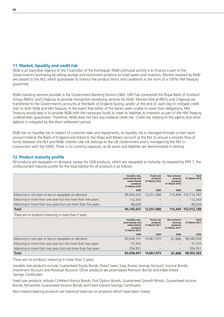#### **11 Market, liquidity and credit risk**

NS&I is an Executive Agency of the Chancellor of the Exchequer. NS&I's principal activity is to finance a part of the Government's borrowing by selling savings and investment products to retail savers and investors. Monies received by NS&I are passed to the NLF, which guarantees to honour the product terms and conditions in the form of a 100% HM Treasury guarantee.

NS&I's banking services provider is the Government Banking Service (GBS). GBS has contracted the Royal Bank of Scotland Group (RBSG) and Citigroup to provide transaction processing services for NS&I. Monies held at RBSG and Citigroup are transferred to the Government's accounts at the Bank of England during, and/or at the end of, each day to mitigate credit risks to both NS&I and HM Treasury. In the event that either of the banks were unable to meet their obligations, HM Treasury would step in to provide NS&I with the necessary funds to meet its liabilities to investors as part of the HM Treasury underwritten guarantees. Therefore, NS&I does not face any material credit risk. Credit risk relating to the agents and other debtors is mitigated by the short settlement period.

NS&I has no liquidity risk in respect of customer sales and repayments, as liquidity risk is managed through a main bank account held at the Bank of England and linked to the Ways and Means account at the NLF to ensure a smooth flow of funds between the NLF and NS&I. Interest rate risk belongs to the UK Government and is managed by the NLF in conjunction with the DMO. There is no currency exposure, as all assets and liabilities are denominated in sterling.

#### **12 Product maturity profile**

All products are repayable on demand, except for GEB products, which are repayable at maturity. As required by IFRS 7, the undiscounted maturity profile for the total liability for all products is as follows:

|                                                              | Variable rate,<br>prize-based and<br>index-linked<br>products<br>31 March 2012 | <b>Fixed rate</b><br>products<br>31 March 2012 | Non-interest<br>bearing<br>products<br>31 March 2012 | <b>Total</b><br>31 March 2012 |
|--------------------------------------------------------------|--------------------------------------------------------------------------------|------------------------------------------------|------------------------------------------------------|-------------------------------|
|                                                              | £000                                                                           | £000                                           | £000                                                 | £000                          |
| Maturing in one year or less or repayable on demand          | 89,944,205                                                                     | 12,651,088                                     |                                                      | 115,494 102,710,787           |
| Maturing in more than one year but not more than two years   | 112,343                                                                        |                                                |                                                      | 112,343                       |
| Maturing in more than two years but not more than five years | 89,059                                                                         |                                                |                                                      | 89,059                        |
| Total                                                        | 90,145,607                                                                     | 12,651,088                                     |                                                      | 115,494 102,912,189           |
| There are no products maturing in more than 5 years          |                                                                                |                                                |                                                      |                               |
|                                                              | Variable rate,<br>prize-based and<br>index-linked<br>products<br>31 March 2011 | <b>Fixed rate</b><br>products<br>31 March 2011 | Non-interest<br>bearing<br>products<br>31 March 2011 | Total<br>31 March 2011        |
|                                                              | £000                                                                           | £000                                           | £000                                                 | £000                          |
| Maturing in one year or less or repayable on demand          | 83,696,191                                                                     | 14,861,979                                     | 81,888                                               | 98,640,058                    |
| Maturing in more than one year but not more than two years   | 57,355                                                                         |                                                |                                                      | 57,355                        |
| Maturing in more than two years but not more than five years | 204,951                                                                        |                                                |                                                      | 204,951                       |

There are no products maturing in more than 5 years.

Variable rate products include Guaranteed Equity Bonds, Direct Saver, Easy Access Savings Account, Income Bonds, Investment Account and Residual Account. Other products are prize-based Premium Bonds and Index-linked Savings Certificates.

Fixed rate products include Children's Bonus Bonds, First Option Bonds, Guaranteed Growth Bonds, Guaranteed Income Bonds, Pensioners Guaranteed Income Bonds and Fixed Interest Savings Certificates.

**Total 83,958,497 14,861,979 81,888 98,902,364**

Non-interest bearing products are historical balances on products which have been closed.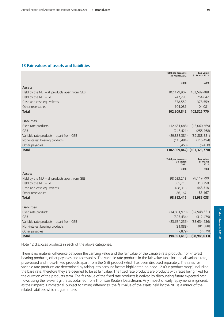## **13 Fair values of assets and liabilities**

|                                               | <b>Total per accounts</b><br>31 March 2012    | <b>Fair value</b><br>31 March 2012    |
|-----------------------------------------------|-----------------------------------------------|---------------------------------------|
|                                               | £000                                          | £000                                  |
| <b>Assets</b>                                 |                                               |                                       |
| Held by the NLF - all products apart from GEB | 102,179,907                                   | 102,589,488                           |
| Held by the NLF - GEB                         | 247,295                                       | 254,642                               |
| Cash and cash equivalents                     | 378,559                                       | 378,559                               |
| Other receivables                             | 104,081                                       | 104,081                               |
| <b>Total</b>                                  | 102,909,842                                   | 103,326,770                           |
|                                               |                                               |                                       |
| <b>Liabilities</b>                            |                                               |                                       |
| Fixed rate products                           | (12,651,088)                                  | (13,060,669)                          |
| GEB                                           | (248, 421)                                    | (255, 768)                            |
| Variable rate products - apart from GEB       | (89, 888, 381)                                | (89, 888, 381)                        |
| Non-interest bearing products                 | (115, 494)                                    | (115, 494)                            |
| Other payables                                | (6, 458)                                      | (6, 458)                              |
| <b>Total</b>                                  |                                               | (102,909,842) (103,326,770)           |
|                                               |                                               |                                       |
|                                               | <b>Total per accounts</b><br>31 March<br>2011 | <b>Fair value</b><br>31 March<br>2011 |
|                                               | £000                                          | £000                                  |
| <b>Assets</b>                                 |                                               |                                       |
| Held by the NLF - all products apart from GEB | 98,033,218                                    | 98,119,790                            |
| Held by the NLF - GEB                         | 305,713                                       | 310,758                               |
| Cash and cash equivalents                     | 468,318                                       | 468,318                               |
| Other receivables                             | 86,167                                        | 86,167                                |
| <b>Total</b>                                  | 98,893,416                                    | 98,985,033                            |
|                                               |                                               |                                       |
| <b>Liabilities</b>                            |                                               |                                       |
| Fixed rate products                           | (14, 861, 979)                                | (14, 948, 551)                        |
| <b>GEB</b>                                    | (307, 434)                                    | (312, 479)                            |
| Variable rate products – apart from GEB       | (83, 634, 236)                                | (83, 634, 236)                        |
| Non-interest bearing products                 | (81, 888)                                     | (81,888)                              |
| Other payables                                | (7, 879)                                      | (7, 879)                              |
| <b>Total</b>                                  | (98,893,416)                                  | (98, 985, 033)                        |

Note 12 discloses products in each of the above categories.

There is no material difference between the carrying value and the fair value of the variable rate products, non-interest bearing products, other payables and receivables. The variable rate products in the fair value table include all variable rate, prize-based and index-linked products apart from the GEB product which has been disclosed separately. The rates for variable rate products are determined by taking into account factors highlighted on page 12 (Our product range) including the base rate, therefore they are deemed to be at fair value. The fixed rate products are products with rates being fixed for the duration of the products term. The fair value of the fixed rate products is derived by discounting future expected cash flows using the relevant gilt rates obtained from Thomson Reuters Datastream. Any impact of early repayments is ignored, as their impact is immaterial. Subject to timing differences, the fair value of the assets held by the NLF is a mirror of the related liabilities which it guarantees.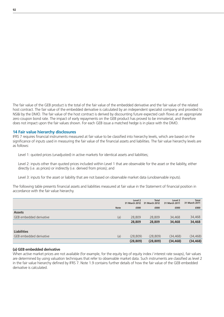The fair value of the GEB product is the total of the fair value of the embedded derivative and the fair value of the related host contract. The fair value of the embedded derivative is calculated by an independent specialist company and provided to NS&I by the DMO. The fair value of the host contract is derived by discounting future expected cash flows at an appropriate zero coupon bond rate. The impact of early repayments on the GEB product has proved to be immaterial, and therefore does not impact upon the fair values shown. For each GEB issue a matched hedge is in place with the DMO.

#### **14 Fair value hierarchy disclosures**

IFRS 7 requires financial instruments measured at fair value to be classified into hierarchy levels, which are based on the significance of inputs used in measuring the fair value of the financial assets and liabilities. The fair value hierarchy levels are as follows:

Level 1: quoted prices (unadjusted) in active markets for identical assets and liabilities;

Level 2: inputs other than quoted prices included within Level 1 that are observable for the asset or the liability, either directly (i.e. as prices) or indirectly (i.e. derived from prices); and

Level 3: inputs for the asset or liability that are not based on observable market data (unobservable inputs).

The following table presents financial assets and liabilities measured at fair value in the Statement of financial position in accordance with the fair value hierarchy.

|                         |             | Level 2<br>31 March 2012 | <b>Total</b><br>31 March 2012 | Level <sub>2</sub><br>31 March 2011 | <b>Total</b><br>31 March 2011 |
|-------------------------|-------------|--------------------------|-------------------------------|-------------------------------------|-------------------------------|
|                         | <b>Note</b> | £000                     | £000                          | £000                                | £000                          |
| <b>Assets</b>           |             |                          |                               |                                     |                               |
| GEB embedded derivative | (a)         | 28,809                   | 28,809                        | 34,468                              | 34,468                        |
|                         |             | 28,809                   | 28,809                        | 34,468                              | 34,468                        |
|                         |             |                          |                               |                                     |                               |
| <b>Liabilities</b>      |             |                          |                               |                                     |                               |
| GEB embedded derivative | (a)         | (28, 809)                | (28, 809)                     | (34, 468)                           | (34, 468)                     |
|                         |             | (28, 809)                | (28, 809)                     | (34, 468)                           | (34, 468)                     |

#### **(a) GEB embedded derivative**

When active market prices are not available (for example, for the equity leg of equity index / interest rate swaps), fair values are determined by using valuation techniques that refer to observable market data. Such instruments are classified as level 2 in the fair value hierarchy defined by IFRS 7. Note 1.9 contains further details of how the fair value of the GEB embedded derivative is calculated.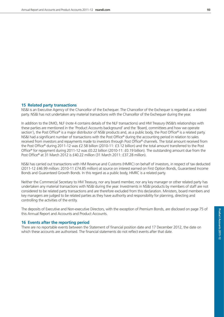## **15 Related party transactions**

NS&I is an Executive Agency of the Chancellor of the Exchequer. The Chancellor of the Exchequer is regarded as a related party. NS&I has not undertaken any material transactions with the Chancellor of the Exchequer during the year.

In addition to the DMO, NLF (note 4 contains details of the NLF transactions) and HM Treasury (NS&I's relationships with these parties are mentioned in the 'Product Accounts background' and the 'Board, committees and how we operate section'), the Post Office® is a major distributor of NS&I products and, as a public body, the Post Office® is a related party. NS&I had a significant number of transactions with the Post Office® during the accounting period in relation to sales received from investors and repayments made to investors through Post Office® channels. The total amount received from the Post Office® during 2011-12 was £2.58 billion (2010-11: £3.12 billion) and the total amount transferred to the Post Office® for repayment during 2011-12 was £0.22 billion (2010-11: £0.19 billion). The outstanding amount due from the Post Office® at 31 March 2012 is £40.22 million (31 March 2011: £37.28 million).

NS&I has carried out transactions with HM Revenue and Customs (HMRC) on behalf of investors, in respect of tax deducted (2011-12 £46.99 million: 2010-11 £74.85 million) at source on interest earned on First Option Bonds, Guaranteed Income Bonds and Guaranteed Growth Bonds. In this regard as a public body, HMRC is a related party.

Neither the Commercial Secretary to HM Treasury, nor any board member, nor any key manager or other related party has undertaken any material transactions with NS&I during the year. Investments in NS&I products by members of staff are not considered to be related party transactions and are therefore excluded from this declaration. Ministers, board members and key managers are judged to be related parties as they have authority and responsibility for planning, directing and controlling the activities of the entity.

The deposits of Executive and Non-executive Directors, with the exception of Premium Bonds, are disclosed on page 75 of this Annual Report and Accounts and Product Accounts.

## **16 Events after the reporting period**

There are no reportable events between the Statement of financial position date and 17 December 2012, the date on which these accounts are authorised. The financial statements do not reflect events after that date.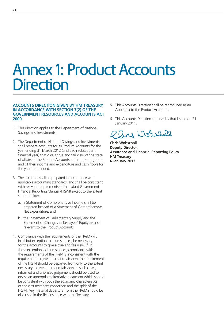# Annex 1: Product Accounts **Direction**

#### **ACCOUNTS DIRECTION GIVEN BY HM TREASURY IN ACCORDANCE WITH SECTION 7(2) OF THE GOVERNMENT RESOURCES AND ACCOUNTS ACT 2000**

- 1. This direction applies to the Department of National Savings and Investments.
- 2. The Department of National Savings and Investments shall prepare accounts for its Product Accounts for the year ending 31 March 2012 (and each subsequent financial year) that give a true and fair view of the state of affairs of the Product Accounts at the reporting date and of their income and expenditure and cash flows for the year then ended.
- 3. The accounts shall be prepared in accordance with applicable accounting standards, and shall be consistent with relevant requirements of the extant Government Financial Reporting Manual (FReM) except to the extent set out below:
	- a. a Statement of Comprehensive Income shall be prepared instead of a Statement of Comprehensive Net Expenditure; and
	- b. the Statement of Parliamentary Supply and the Statement of Changes in Taxpayers' Equity are not relevant to the Product Accounts.
- 4. Compliance with the requirements of the FReM will, in all but exceptional circumstances, be necessary for the accounts to give a true and fair view. If, in these exceptional circumstances, compliance with the requirements of the FReM is inconsistent with the requirement to give a true and fair view, the requirements of the FReM should be departed from only to the extent necessary to give a true and fair view. In such cases, informed and unbiased judgement should be used to devise an appropriate alternative treatment which should be consistent with both the economic characteristics of the circumstances concerned and the spirit of the FReM. Any material departure from the FReM should be discussed in the first instance with the Treasury.
- 5. This Accounts Direction shall be reproduced as an Appendix to the Product Accounts.
- 6. This Accounts Direction supersedes that issued on 21 January 2011.

ry World

**Chris Wobschall Deputy Director, Assurance and Financial Reporting Policy HM Treasury 6 January 2012**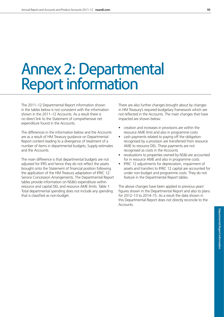# Annex 2: Departmental Report information

The 2011–12 Departmental Report information shown in the tables below is not consistent with the information shown in the 2011–12 Accounts. As a result there is no direct link to the Statement of comprehensive net expenditure found in the Accounts.

The differences in the information below and the Accounts are as a result of HM Treasury guidance on Departmental Report content leading to a divergence of treatment of a number of items in departmental budgets, Supply estimates and the Accounts.

The main difference is that departmental budgets are not adjusted for IFRS and hence they do not reflect the assets brought onto the Statement of financial position following the application of the HM Treasury adaptation of IFRIC 12: Service Concession Arrangements. The Departmental Report tables provide information on NS&I's expenditure within resource and capital DEL and resource AME limits. Table 1: Total departmental spending does not include any spending that is classified as non-budget.

There are also further changes brought about by changes in HM Treasury's required budgetary framework which are not reflected in the Accounts. The main changes that have impacted are shown below:

- creation and increases in provisions are within the resource AME limit and also in programme costs
- cash payments related to paying off the obligation recognised by a provision are transferred from resource AME to resource DEL. These payments are not recognised as costs in the Accounts
- revaluations to properties owned by NS&I are accounted for in resource AME and also in programme costs
- IFRIC 12 adjustments for depreciation, impairment of assets and transfers to IFRIC 12 capital are accounted for under non-budget and programme costs. They do not feature in the Departmental Report tables.

The above changes have been applied to previous years' figures shown in the Departmental Report and also to plans for 2012–13 to 2014–15. As a result the data shown in this Departmental Report does not directly reconcile to the Accounts.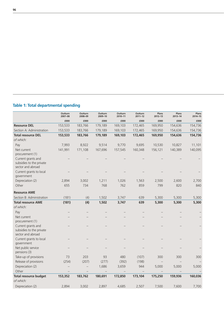|  |  | <b>Table 1: Total departmental spending</b> |  |
|--|--|---------------------------------------------|--|
|--|--|---------------------------------------------|--|

|                                                                     | Outturn<br>2007-08 | Outturn<br>2008-09       | Outturn<br>2009-10 | Outturn<br>2010-11 | Outturn<br>$2011 - 12$ | Plans<br>$2012 - 13$ | Plans<br>2013-14 | Plans<br>2014-15 |
|---------------------------------------------------------------------|--------------------|--------------------------|--------------------|--------------------|------------------------|----------------------|------------------|------------------|
|                                                                     | £000               | £000                     | £000               | £000               | £000                   | £000                 | £000             | £000             |
| <b>Resource DEL</b>                                                 | 153,533            | 183,766                  | 179,189            | 169,103            | 172,465                | 169,950              | 154,636          | 154,736          |
| Section A: Administration                                           | 153,533            | 183,766                  | 179,189            | 169,103            | 172,465                | 169,950              | 154,636          | 154,736          |
| <b>Total resource DEL</b>                                           | 153,533            | 183,766                  | 179,189            | 169,103            | 172,465                | 169,950              | 154,636          | 154,736          |
| of which:                                                           |                    |                          |                    |                    |                        |                      |                  |                  |
| Pay                                                                 | 7,993              | 8,922                    | 9,514              | 9,770              | 9,695                  | 10,530               | 10,827           | 11,101           |
| Net current<br>procurement (1)                                      | 141,991            | 171,108                  | 167,696            | 157,545            | 160,348                | 156,121              | 140,389          | 140,095          |
| Current grants and<br>subsidies to the private<br>sector and abroad |                    |                          |                    |                    |                        |                      |                  |                  |
| Current grants to local<br>government                               |                    |                          |                    |                    |                        |                      |                  |                  |
| Depreciation (2)                                                    | 2,894              | 3,002                    | 1,211              | 1,026              | 1,563                  | 2,500                | 2,600            | 2,700            |
| Other                                                               | 655                | 734                      | 768                | 762                | 859                    | 799                  | 820              | 840              |
| <b>Resource AME</b>                                                 |                    |                          |                    |                    |                        |                      |                  |                  |
| Section B: Administration                                           | (181)              | (4)                      | 1,502              | 3,747              | 639                    | 5,300                | 5,300            | 5,300            |
| <b>Total resource AME</b>                                           | (181)              | (4)                      | 1,502              | 3,747              | 639                    | 5,300                | 5,300            | 5,300            |
| of which:                                                           |                    |                          |                    |                    |                        |                      |                  |                  |
| Pay                                                                 |                    |                          |                    |                    |                        |                      |                  |                  |
| Net current<br>procurement (1)                                      |                    |                          |                    |                    |                        |                      |                  |                  |
| Current grants and<br>subsidies to the private<br>sector and abroad |                    |                          |                    |                    |                        |                      |                  |                  |
| Current grants to local<br>government                               |                    |                          |                    |                    |                        |                      |                  |                  |
| Net public service<br>pensions (3)                                  |                    |                          |                    |                    |                        |                      |                  |                  |
| Take-up of provisions                                               | 73                 | 203                      | 93                 | 480                | (107)                  | 300                  | 300              | 300              |
| Release of provisions                                               | (254)              | (207)                    | (277)              | (392)              | (198)                  |                      |                  |                  |
| Depreciation (2)                                                    |                    | $\overline{\phantom{0}}$ | 1,686              | 3,659              | 944                    | 5,000                | 5,000            | 5,000            |
| Other                                                               |                    |                          |                    |                    |                        |                      |                  |                  |
| <b>Total resource budget</b>                                        | 153,352            | 183,762                  | 180,691            | 172,850            | 173,104                | 175,250              | 159,936          | 160,036          |
| of which:                                                           |                    |                          |                    |                    |                        |                      |                  |                  |
| Depreciation (2)                                                    | 2.894              | 3,002                    | 2,897              | 4.685              | 2,507                  | 7,500                | 7,600            | 7,700            |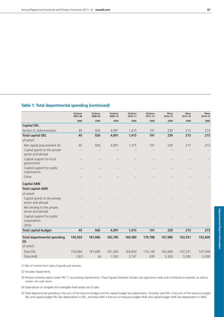# **Table 1: Total departmental spending** *(continued)*

|                                                    | Outturn<br>2007-08 | Outturn<br>2008-09 | Outturn<br>2009-10 | Outturn<br>2010-11 | Outturn<br>$2011 - 12$ | Plans<br>$2012 - 13$ | Plans<br>2013-14 | Plans<br>2014-15 |
|----------------------------------------------------|--------------------|--------------------|--------------------|--------------------|------------------------|----------------------|------------------|------------------|
|                                                    | £000               | £000               | £000               | £000               | £000                   | £000                 | £000             | £000             |
| <b>Capital DEL</b>                                 |                    |                    |                    |                    |                        |                      |                  |                  |
| Section A: Administration                          | 45                 | 926                | 4,991              | 1,415              | 191                    | 239                  | 215              | 273              |
| <b>Total capital DEL</b>                           | 45                 | 926                | 4,991              | 1,415              | 191                    | 239                  | 215              | 273              |
| of which:                                          |                    |                    |                    |                    |                        |                      |                  |                  |
| Net capital procurement (4)                        | 45                 | 926                | 4,991              | 1,415              | 191                    | 239                  | 215              | 273              |
| Capital grants to the private<br>sector and abroad |                    |                    |                    |                    |                        |                      |                  |                  |
| Capital support for local<br>government            |                    |                    |                    |                    |                        |                      |                  |                  |
| Capital support for public<br>corporations         |                    |                    |                    |                    |                        |                      |                  |                  |
| Other                                              |                    |                    |                    |                    |                        |                      |                  |                  |
| <b>Capital AME</b>                                 |                    |                    |                    |                    |                        |                      |                  |                  |
| <b>Total capital AME</b>                           |                    |                    |                    |                    |                        |                      |                  |                  |
| of which:                                          |                    |                    |                    |                    |                        |                      |                  |                  |
| Capital grants to the private<br>sector and abroad |                    |                    |                    |                    |                        |                      |                  |                  |
| Net lending to the private<br>sector and abroad    |                    |                    |                    |                    |                        |                      |                  |                  |
| Capital support for public<br>corporations         |                    |                    |                    |                    |                        |                      |                  |                  |
| Other                                              |                    |                    |                    |                    |                        |                      |                  |                  |
| <b>Total capital budget</b>                        | 45                 | 926                | 4,991              | 1,415              | 191                    | 239                  | 215              | 273              |
| <b>Total departmental spending</b><br>(5)          | 150,503            | 181,686            | 182,785            | 169,580            | 170,788                | 167,989              | 152,551          | 152,609          |
| of which:                                          |                    |                    |                    |                    |                        |                      |                  |                  |
| <b>Total DEL</b>                                   | 150,684            | 181,690            | 181,283            | 165,833            | 170,149                | 162,689              | 147,251          | 147,309          |
| <b>Total AME</b>                                   | (181)              | (4)                | 1,502              | 3.747              | 639                    | 5.300                | 5,300            | 5,300            |

(1) Net of income from sales of goods and services.

(2) Includes impairments.

(3) Pension schemes report under FRS 17 accounting requirements. These figures therefore include cash payments made and contributions received, as well as certain non-cash items.

(4) Expenditure on tangible and intangible fixed assets net of sales.

(5) Total departmental spending is the sum of the resource budget and the capital budget less depreciation. Similarly, total DEL is the sum of the resource budget DEL and capital budget DEL less depreciation in DEL, and total AME is the sum of resource budget AME and capital budget AME less depreciation in AME.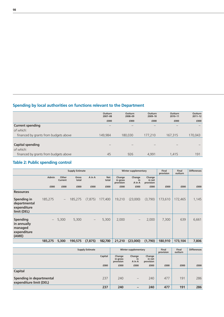# **Spending by local authorities on functions relevant to the Department**

|                                       | Outturn<br>2007-08 | Outturn<br>2008-09 | Outturn<br>2009-10 | Outturn<br>2010-11 | Outturn<br>$2011 - 12$ |
|---------------------------------------|--------------------|--------------------|--------------------|--------------------|------------------------|
|                                       | £000               | £000               | £000               | £000               | £000                   |
| <b>Current spending</b>               |                    |                    |                    |                    |                        |
| of which:                             |                    |                    |                    |                    |                        |
| financed by grants from budgets above | 149.984            | 180.030            | 177.210            | 167,315            | 170,043                |
|                                       |                    |                    |                    |                    |                        |
| <b>Capital spending</b>               | —                  |                    |                    |                    |                        |
| of which:                             |                    |                    |                    |                    |                        |
| financed by grants from budgets above | 45                 | 926                | 4,991              | 1,415              | 191                    |

# **Table 2: Public spending control**

|                                                                   | <b>Supply Estimate</b>   |                          |                |                          |                     | <b>Winter supplementary</b>     |                          |                               | Final<br>provision | Final<br>outturn | <b>Differences</b> |
|-------------------------------------------------------------------|--------------------------|--------------------------|----------------|--------------------------|---------------------|---------------------------------|--------------------------|-------------------------------|--------------------|------------------|--------------------|
|                                                                   | Admin                    | Other<br>Current         | Gross<br>total | A in A                   | <b>Net</b><br>total | Change<br>in gross<br>provision | Change<br>in<br>A in A   | Change<br>in net<br>provision |                    |                  |                    |
|                                                                   | £000                     | £000                     | £000           | £000                     | £000                | £000                            | £000                     | £000                          | £000               | £000             | £000               |
| <b>Resources</b>                                                  |                          |                          |                |                          |                     |                                 |                          |                               |                    |                  |                    |
| Spending in<br>departmental<br>expenditure<br>limit (DEL)         | 185,275                  | $\overline{\phantom{0}}$ | 185,275        | (7, 875)                 | 177,400             | 19,210                          | (23,000)                 | (3,790)                       | 173,610            | 172.465          | 1,145              |
| <b>Spending</b><br>in annually<br>managed<br>expenditure<br>(AME) | $\overline{\phantom{m}}$ | 5,300                    | 5,300          | $\overline{\phantom{m}}$ | 5,300               | 2,000                           | $\overline{\phantom{m}}$ | 2,000                         | 7,300              | 639              | 6,661              |
|                                                                   | 185,275                  | 5,300                    | 190,575        | (7, 875)                 | 182,700             | 21,210                          | (23,000)                 | (1,790)                       | 180,910            | 173,104          | 7,806              |

|                                                     | <b>Supply Estimate</b> | Winter supplementary            |                        |                               | <b>Final</b><br>provision | Final<br>outturn | <b>Differences</b> |
|-----------------------------------------------------|------------------------|---------------------------------|------------------------|-------------------------------|---------------------------|------------------|--------------------|
|                                                     | Capital                | Change<br>in gross<br>provision | Change<br>in<br>A in A | Change<br>in net<br>provision |                           |                  |                    |
|                                                     | £000                   | £000                            | £000                   | £000                          | £000                      | £000             | £000               |
| <b>Capital</b>                                      |                        |                                 |                        |                               |                           |                  |                    |
| Spending in departmental<br>expenditure limit (DEL) | 237                    | 240                             | $\qquad \qquad -$      | 240                           | 477                       | 191              | 286                |
|                                                     | 237                    | 240                             |                        | 240                           | 477                       | 191              | 286                |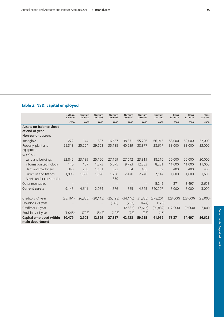# **Table 3: NS&I capital employed**

|                                                  | Outturn<br>2005-06 | Outturn<br>2006-07 | Outturn<br>2007-08 | Outturn<br>2008-09 | Outturn<br>2009-10 | Outturn<br>2010-11 | Outturn<br>$2011 - 12$ | Plans<br>$2012 - 13$ | Plans<br>2013-14 | Plans<br>$2014 - 15$ |
|--------------------------------------------------|--------------------|--------------------|--------------------|--------------------|--------------------|--------------------|------------------------|----------------------|------------------|----------------------|
|                                                  | £000               | £000               | £000               | £000               | £000               | £000               | £000                   | £000                 | £000             | £000                 |
| <b>Assets on balance sheet</b><br>at end of year |                    |                    |                    |                    |                    |                    |                        |                      |                  |                      |
| <b>Non-current assets</b>                        |                    |                    |                    |                    |                    |                    |                        |                      |                  |                      |
| Intangible                                       | 222                | 144                | 1,897              | 16,637             | 38,371             | 55,726             | 66,915                 | 58,000               | 52,000           | 52,000               |
| Property, plant and<br>equipment                 | 25,318             | 25,204             | 29,608             | 35,185             | 40,539             | 38,877             | 28,677                 | 33,000               | 33,000           | 33,000               |
| of which:                                        |                    |                    |                    |                    |                    |                    |                        |                      |                  |                      |
| Land and buildings                               | 22,842             | 23,139             | 25,156             | 27,159             | 27,642             | 23,819             | 18,210                 | 20,000               | 20,000           | 20,000               |
| Information technology                           | 140                | 137                | 1,373              | 5,075              | 9,793              | 12,383             | 8,281                  | 11,000               | 11,000           | 11,000               |
| Plant and machinery                              | 340                | 260                | 1,151              | 893                | 634                | 435                | 39                     | 400                  | 400              | 400                  |
| Furniture and fittings                           | 1,996              | 1,668              | 1,928              | 1,208              | 2,470              | 2,240              | 2,147                  | 1,600                | 1,600            | 1,600                |
| Assets under construction                        |                    |                    |                    | 850                |                    |                    |                        |                      |                  |                      |
| Other receivables                                |                    |                    |                    |                    |                    |                    | 5,245                  | 4,371                | 3,497            | 2,623                |
| <b>Current assets</b>                            | 9,145              | 4,641              | 2,054              | 1,576              | 855                | 4,525              | 340,297                | 3,000                | 3,000            | 3,000                |
| Creditors <1 year                                | (23, 161)          | (26, 356)          | (20, 113)          | (25, 498)          | (34, 146)          | (31, 330)          | (378, 201)             | (28,000)             | (28,000)         | (28,000)             |
| Provisions <1 year                               |                    |                    |                    | (345)              | (287)              | (424)              | (126)                  |                      |                  |                      |
| Creditors $>1$ year                              |                    |                    |                    | $\qquad \qquad -$  | (2,532)            | (7,616)            | (20, 832)              | (12,000)             | (9,000)          | (6,000)              |
| Provisions >1 year                               | (1,045)            | (728)              | (547)              | (198)              | (72)               | (23)               | (16)                   |                      |                  |                      |
| Capital employed within<br>main department       | 10,479             | 2,905              | 12,899             | 27,357             | 42,728             | 59,735             | 41,959                 | 58,371               | 54,497           | 56,623               |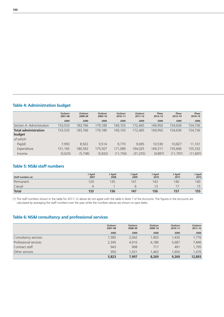|  | <b>Table 4: Administration budget</b> |  |
|--|---------------------------------------|--|
|--|---------------------------------------|--|

|                             | <b>Outturn</b><br>2007-08 | Outturn<br>2008-09 | Outturn<br>2009-10 | Outturn<br>$2010 - 11$ | Outturn<br>$2011 - 12$ | Plans<br>$2012 - 13$ | Plans<br>$2013 - 14$ | Plans<br>2014-15 |
|-----------------------------|---------------------------|--------------------|--------------------|------------------------|------------------------|----------------------|----------------------|------------------|
|                             | £000                      | £000               | £000               | £000                   | £000                   | £000                 | £000                 | £000             |
| Section A: Administration   | 153,533                   | 183,766            | 179.189            | 169,103                | 172,465                | 169,950              | 154,636              | 154,736          |
| <b>Total administration</b> | 153,533                   | 183,766            | 179,189            | 169,103                | 172,465                | 169,950              | 154,636              | 154,736          |
| budget                      |                           |                    |                    |                        |                        |                      |                      |                  |
| of which:                   |                           |                    |                    |                        |                        |                      |                      |                  |
| Paybill                     | 7,993                     | 8,922              | 9.514              | 9,770                  | 9.695                  | 10.530               | 10.827               | 11,101           |
| Expenditure                 | 151.165                   | 180,592            | 175,507            | 171,089                | 194,025                | 169,317              | 155,606              | 155,332          |
| Income                      | (5,625)                   | (5,748)            | (5,832)            | (11,756)               | (31, 255)              | (9,897)              | (11, 797)            | (11, 697)        |
|                             |                           |                    |                    |                        |                        |                      |                      |                  |

## **Table 5: NS&I staff numbers**

| <b>Staff numbers at:</b> | 1 April<br>2007 | 1 April<br>2008 | 1 April<br>2009 | 1 April<br>2010 | 1 April<br>2011 | 1 April<br>2012 |
|--------------------------|-----------------|-----------------|-----------------|-----------------|-----------------|-----------------|
| Permanent                | 129             | 135             | 141             | 143             | 140             | 140             |
| Casual                   |                 |                 |                 | 1 <sup>2</sup>  |                 |                 |
| <b>Total</b>             | 133             | 136             | 147             | 156             | 157             | 155             |

(1) The staff numbers shown in the table for 2011–12 above do not agree with the table in Note 7 of the Accounts. The figures in the Accounts are calculated by averaging the staff numbers over the year while the numbers above are shown on spot dates.

# **Table 6: NS&I consultancy and professional services**

|                       | <b>Outturn</b><br>2007-08 | <b>Outturn</b><br>2008-09 | <b>Outturn</b><br>2009-10 | Outturn<br>2010-11 | <b>Outturn</b><br>$2011 - 12$ |
|-----------------------|---------------------------|---------------------------|---------------------------|--------------------|-------------------------------|
|                       |                           |                           |                           |                    |                               |
|                       | £000                      | £000                      | £000                      | £000               | £000                          |
| Consultancy services  | 1,585                     | 2,042                     | 1,903                     | 1,435              | 1,776                         |
| Professional services | 2,345                     | 4,016                     | 4,186                     | 5,687              | 7,846                         |
| Contract staff        | 943                       | 908                       | 717                       | 491                | 1,795                         |
| Other services        | 950                       | 1.031                     | 1.463                     | 1.656              | 1,476                         |
|                       | 5,823                     | 7.997                     | 8,269                     | 9,269              | 12,893                        |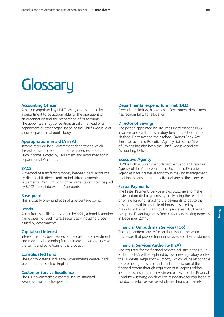# **Glossary**

#### **Accounting Officer**

A person appointed by HM Treasury or designated by a department to be accountable for the operations of an organisation and the preparation of its accounts. The appointee is, by convention, usually the head of a department or other organisation or the Chief Executive of a non-departmental public body.

#### **Appropriations in aid (A in A)**

Income received by a Government department which it is authorised to retain to finance related expenditure. Such income is voted by Parliament and accounted for in departmental Accounts.

#### **BACS**

A method of transferring money between bank accounts by direct debit, direct credit or individual payments or settlements. Premium Bond prize warrants can now be paid by BACS direct into winners' accounts.

#### **Basis point**

This is usually one-hundredth of a percentage point.

#### **Bonds**

Apart from specific bonds issued by NS&I, a bond is another name given to fixed interest securities – including those issued by governments.

#### **Capitalised interest**

Interest that has been added to the customer's investment and may now be earning further interest in accordance with the terms and conditions of the product.

#### **Consolidated Fund**

The Consolidated Fund is the Government's general bank account at the Bank of England.

#### **Customer Service Excellence**

The UK government's customer service standard. www.cse.cabinetoffice.gov.uk

#### **Departmental expenditure limit (DEL)**

Expenditure limit within which a Government department has responsibility for allocation.

#### **Director of Savings**

The person appointed by HM Treasury to manage NS&I in accordance with the statutory functions set out in the National Debt Act and the National Savings Bank Act. Since we acquired Executive Agency status, the Director of Savings has also been the Chief Executive and the Accounting Officer.

#### **Executive Agency**

NS&I is both a government department and an Executive Agency of the Chancellor of the Exchequer. Executive Agencies have greater autonomy in making management decisions to ensure the effective delivery of their services.

#### **Faster Payments**

The Faster Payments Service allows customers to make faster automated payments, typically using the telephone or online banking, enabling the payments to get to the destination within a couple of hours. It is used by the majority of UK banks and building societies. NS&I began accepting Faster Payments from customers making deposits in December 2011.

#### **Financial Ombudsman Service (FOS)**

The independent service for settling disputes between businesses that provide financial services and their customers.

#### **Financial Services Authority (FSA)**

The regulator for the financial services industry in the UK. In 2013, the FSA will be replaced by two new regulatory bodies: the Prudential Regulation Authority, which will be responsible for promoting the stable and prudent operation of the financial system through regulation of all deposit-taking institutions, insurers and investment banks, and the Financial Conduct Authority, which will be responsible for regulation of conduct in retail, as well as wholesale, financial markets.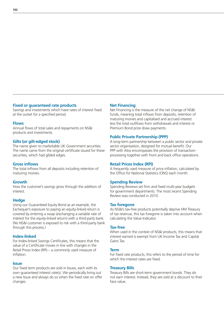#### **Fixed or guaranteed rate products**

Savings and investments which have rates of interest fixed at the outset for a specified period.

#### **Flows**

Annual flows of total sales and repayments on NS&I products and investments.

#### **Gilts (or gilt-edged stock)**

The name given to marketable UK Government securities. The name came from the original certificate issued for these securities, which had gilded edges.

#### **Gross inflows**

The total inflows from all deposits including retention of maturing monies.

#### **Growth**

How the customer's savings grow through the addition of interest.

#### **Hedge**

Using our Guaranteed Equity Bond as an example, the Exchequer's exposure to paying an equity-linked return is covered by entering a swap (exchanging a variable rate of interest for the equity-linked return) with a third-party bank. (No NS&I customer is exposed to risk with a third-party bank through this process.)

#### **Index-linked**

For Index-linked Savings Certificates, this means that the value of a Certificate moves in line with changes in the Retail Prices Index (RPI) – a commonly used measure of inflation.

#### **Issue**

Our fixed term products are sold in Issues, each with its own guaranteed interest rate(s). We periodically bring out a new Issue and always do so when the fixed rate on offer changes.

#### **Net Financing**

Net Financing is the measure of the net change of NS&I funds, meaning total inflows from deposits, retention of maturing monies and capitalised and accrued interest less the total outflows from withdrawals and interest or Premium Bond prize draw payments.

#### **Public Private Partnership (PPP)**

A long-term partnership between a public sector and private sector organisation, designed for mutual benefit. Our PPP with Atos encompasses the provision of transactionprocessing together with front and back office operations.

#### **Retail Prices Index (RPI)**

A frequently used measure of price inflation, calculated by the Office for National Statistics (ONS) each month.

#### **Spending Review**

Spending Reviews set firm and fixed multi-year budgets for government departments. The most recent Spending Review was conducted in 2010.

#### **Tax foregone**

As NS&I's tax-free products potentially deprive HM Treasury of tax revenue, this tax foregone is taken into account when calculating the Value Indicator.

#### **Tax-free**

When used in the context of NS&I products, this means that interest earned is exempt from UK Income Tax and Capital Gains Tax.

#### **Term**

For fixed rate products, this refers to the period of time for which the interest rates are fixed.

#### **Treasury Bills**

Treasury Bills are short-term government bonds. They do not earn interest. Instead, they are sold at a discount to their face value.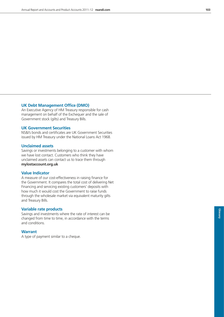#### **UK Debt Management Office (DMO)**

An Executive Agency of HM Treasury responsible for cash management on behalf of the Exchequer and the sale of Government stock (gilts) and Treasury Bills.

#### **UK Government Securities**

NS&I's bonds and certificates are UK Government Securities issued by HM Treasury under the National Loans Act 1968.

#### **Unclaimed assets**

Savings or investments belonging to a customer with whom we have lost contact. Customers who think they have unclaimed assets can contact us to trace them through **mylostaccount.org.uk**

#### **Value Indicator**

A measure of our cost-effectiveness in raising finance for the Government. It compares the total cost of delivering Net Financing and servicing existing customers' deposits with how much it would cost the Government to raise funds through the wholesale market via equivalent maturity gilts and Treasury Bills.

#### **Variable rate products**

Savings and investments where the rate of interest can be changed from time to time, in accordance with the terms and conditions.

#### **Warrant**

A type of payment similar to a cheque.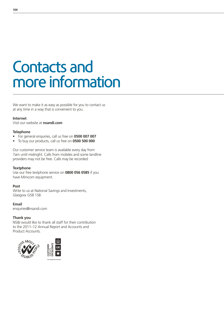# Contacts and more information

We want to make it as easy as possible for you to contact us at any time in a way that is convenient to you.

#### **Internet**

Visit our website at **nsandi.com**

#### **Telephone**

- For general enquiries, call us free on **0500 007 007**
- To buy our products, call us free on **0500 500 000**

Our customer service team is available every day from 7am until midnight. Calls from mobiles and some landline providers may not be free. Calls may be recorded.

#### **Textphone**

Use our free textphone service on **0800 056 0585** if you have Minicom equipment.

#### **Post**

Write to us at National Savings and Investments, Glasgow G58 1SB.

**Email**

enquiries@nsandi.com

#### **Thank you**

NS&I would like to thank all staff for their contribution to the 2011–12 Annual Report and Accounts and Product Accounts.